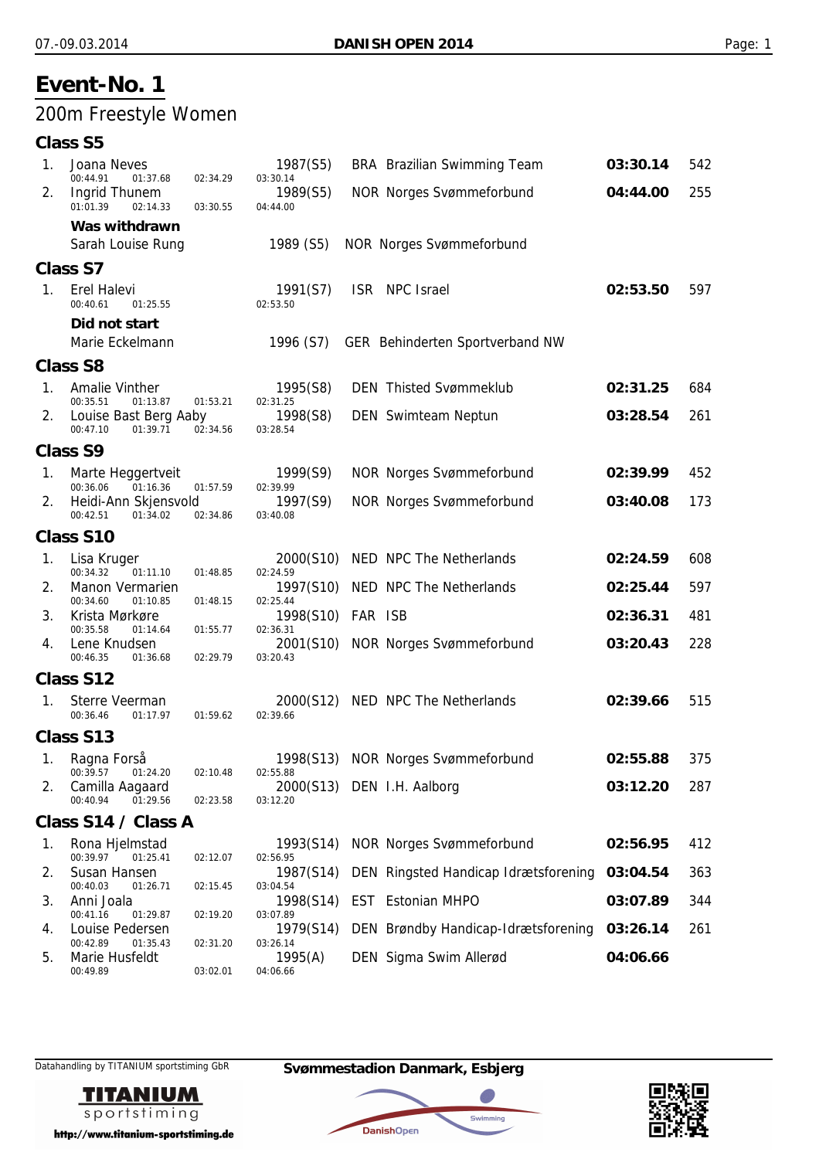## 200m Freestyle Women

### **Class S5**

| 1.          | Joana Neves<br>00:44.91<br>01:37.68           | 02:34.29 | 1987(S5)<br>03:30.14  |         | BRA Brazilian Swimming Team          | 03:30.14 | 542 |
|-------------|-----------------------------------------------|----------|-----------------------|---------|--------------------------------------|----------|-----|
| 2.          | <b>Ingrid Thunem</b><br>01:01.39<br>02:14.33  | 03:30.55 | 1989(S5)<br>04:44.00  |         | <b>NOR Norges Svømmeforbund</b>      | 04:44.00 | 255 |
|             | Was withdrawn<br>Sarah Louise Rung            |          | 1989 (S5)             |         | <b>NOR Norges Svømmeforbund</b>      |          |     |
|             | <b>Class S7</b>                               |          |                       |         |                                      |          |     |
| 1.          | <b>Erel Halevi</b><br>00:40.61<br>01:25.55    |          | 1991(S7)<br>02:53.50  |         | ISR NPC Israel                       | 02:53.50 | 597 |
|             | Did not start<br>Marie Eckelmann              |          | 1996 (S7)             |         | GER Behinderten Sportverband NW      |          |     |
|             | <b>Class S8</b>                               |          |                       |         |                                      |          |     |
| $1_{\cdot}$ | Amalie Vinther<br>00:35.51<br>01:13.87        | 01:53.21 | 1995(S8)<br>02:31.25  |         | <b>DEN</b> Thisted Svømmeklub        | 02:31.25 | 684 |
| 2.          | Louise Bast Berg Aaby<br>00:47.10<br>01:39.71 | 02:34.56 | 1998(S8)<br>03:28.54  |         | <b>DEN</b> Swimteam Neptun           | 03:28.54 | 261 |
|             | <b>Class S9</b>                               |          |                       |         |                                      |          |     |
| 1.          | Marte Heggertveit<br>00:36.06<br>01:16.36     | 01:57.59 | 1999(S9)<br>02:39.99  |         | <b>NOR Norges Svømmeforbund</b>      | 02:39.99 | 452 |
| 2.          | Heidi-Ann Skjensvold<br>00:42.51<br>01:34.02  | 02:34.86 | 1997(S9)<br>03:40.08  |         | <b>NOR Norges Svømmeforbund</b>      | 03:40.08 | 173 |
|             | <b>Class S10</b>                              |          |                       |         |                                      |          |     |
| 1.          | Lisa Kruger<br>00:34.32<br>01:11.10           | 01:48.85 | 2000(S10)<br>02:24.59 |         | NED NPC The Netherlands              | 02:24.59 | 608 |
| 2.          | Manon Vermarien<br>00:34.60<br>01:10.85       | 01:48.15 | 1997(S10)<br>02:25.44 |         | NED NPC The Netherlands              | 02:25.44 | 597 |
| 3.          | Krista Mørkøre<br>00:35.58<br>01:14.64        | 01:55.77 | 1998(S10)<br>02:36.31 | FAR ISB |                                      | 02:36.31 | 481 |
| 4.          | Lene Knudsen<br>00:46.35<br>01:36.68          | 02:29.79 | 2001(S10)<br>03:20.43 |         | <b>NOR Norges Svømmeforbund</b>      | 03:20.43 | 228 |
|             | Class S12                                     |          |                       |         |                                      |          |     |
| 1.          | Sterre Veerman<br>00:36.46<br>01:17.97        | 01:59.62 | 2000(S12)<br>02:39.66 |         | NED NPC The Netherlands              | 02:39.66 | 515 |
|             | Class S13                                     |          |                       |         |                                      |          |     |
| 1.          | Ragna Forså<br>00:39.57 01:24.20              | 02:10.48 | 02:55.88              |         | 1998(S13) NOR Norges Svømmeforbund   | 02:55.88 | 375 |
| 2.          | Camilla Aagaard<br>00:40.94<br>01:29.56       | 02:23.58 | 03:12.20              |         | 2000(S13) DEN I.H. Aalborg           | 03:12.20 | 287 |
|             | Class S14 / Class A                           |          |                       |         |                                      |          |     |
| 1.          | Rona Hjelmstad<br>00:39.97<br>01:25.41        | 02:12.07 | 1993(S14)<br>02:56.95 |         | <b>NOR Norges Svømmeforbund</b>      | 02:56.95 | 412 |
| 2.          | Susan Hansen<br>00:40.03<br>01:26.71          | 02:15.45 | 1987(S14)<br>03:04.54 |         | DEN Ringsted Handicap Idrætsforening | 03:04.54 | 363 |
| 3.          | Anni Joala<br>00:41.16<br>01:29.87            | 02:19.20 | 1998(S14)<br>03:07.89 |         | EST Estonian MHPO                    | 03:07.89 | 344 |
| 4.          | Louise Pedersen<br>00:42.89<br>01:35.43       | 02:31.20 | 1979(S14)<br>03:26.14 |         | DEN Brøndby Handicap-Idrætsforening  | 03:26.14 | 261 |
| 5.          | Marie Husfeldt<br>00:49.89                    | 03:02.01 | 1995(A)<br>04:06.66   |         | DEN Sigma Swim Allerød               | 04:06.66 |     |
|             |                                               |          |                       |         |                                      |          |     |



http://www.titanium-sportstiming.de

Datahandling by TITANIUM sportstiming GbR **Svømmestadion Danmark, Esbjerg**



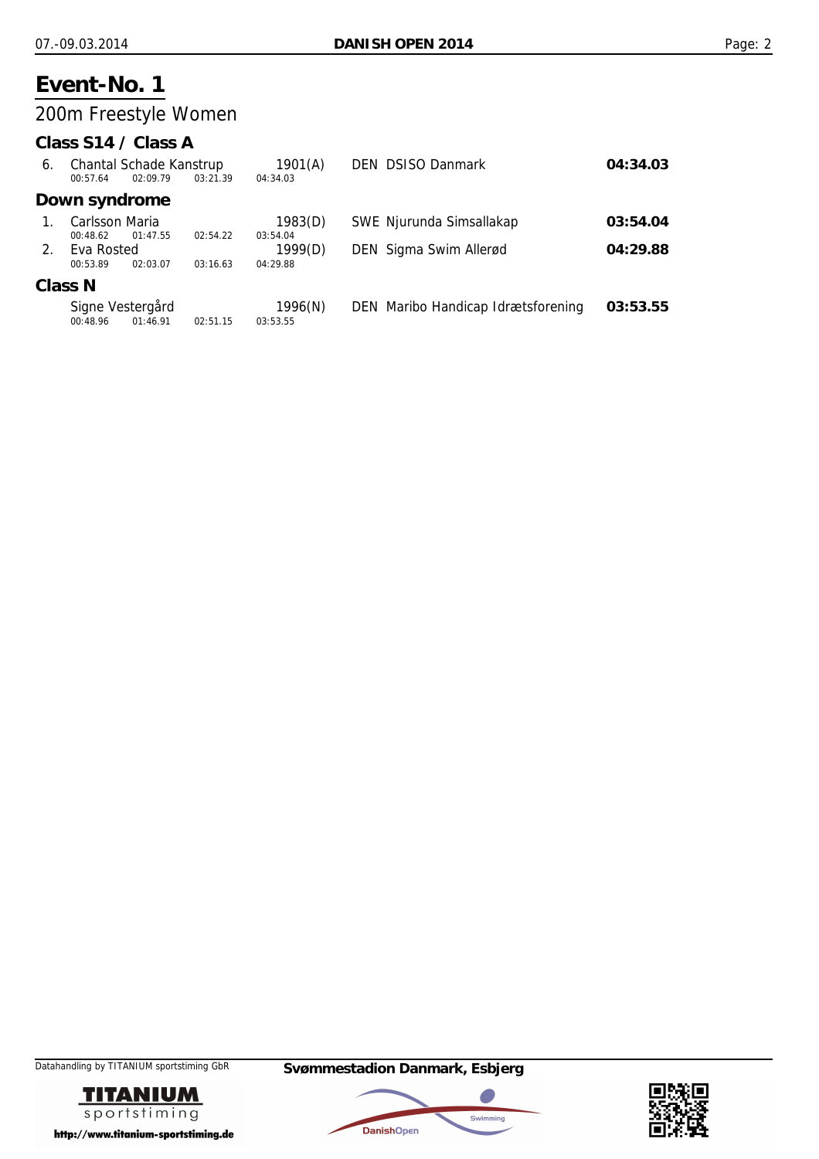## 200m Freestyle Women

### **Class S14 / Class A**

| 6.      | Chantal Schade Kanstrup |            | 1901(A)  | <b>DEN DSISO Danmark</b> | 04:34.03                           |          |
|---------|-------------------------|------------|----------|--------------------------|------------------------------------|----------|
|         | 00:57.64                | 02.09.79   | 03:21.39 | 04:34.03                 |                                    |          |
|         | Down syndrome           |            |          |                          |                                    |          |
|         | Carlsson Maria          |            |          | 1983(D)                  | SWE Njurunda Simsallakap           | 03:54.04 |
|         | 00:48.62                | 01:47.55   | 02:54.22 | 03:54.04                 |                                    |          |
| $2_{1}$ |                         | Eva Rosted |          |                          | DEN Sigma Swim Allerød             | 04:29.88 |
|         | 00:53.89                | 02:03.07   | 03:16.63 | 04:29.88                 |                                    |          |
|         | <b>Class N</b>          |            |          |                          |                                    |          |
|         | Signe Vestergård        |            |          | 1996(N)                  | DEN Maribo Handicap Idrætsforening | 03:53.55 |
|         | 00:48.96                | 01:46.91   | 02:51.15 | 03:53.55                 |                                    |          |





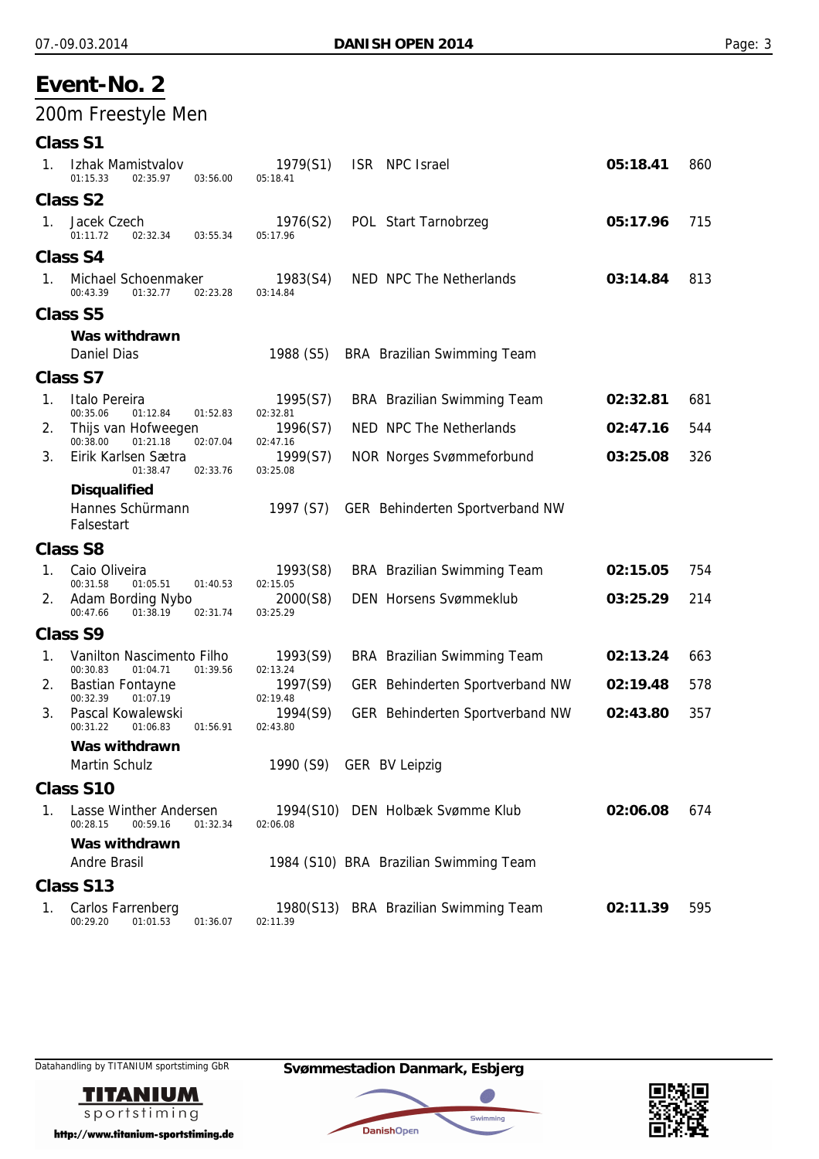## 200m Freestyle Men

| <b>Class S</b> |  |
|----------------|--|
|----------------|--|

| 1. | Izhak Mamistvalov<br>01:15.33<br>02:35.97<br>03:56.00                                     | 1979(S1)<br>05:18.41             | ISR NPC Israel                                                | 05:18.41 | 860 |
|----|-------------------------------------------------------------------------------------------|----------------------------------|---------------------------------------------------------------|----------|-----|
|    | <b>Class S2</b>                                                                           |                                  |                                                               |          |     |
| 1. | Jacek Czech<br>01:11.72<br>02:32.34<br>03:55.34                                           | 1976(S2)<br>05:17.96             | POL Start Tarnobrzeg                                          | 05:17.96 | 715 |
|    | Class S4                                                                                  |                                  |                                                               |          |     |
| 1. | Michael Schoenmaker<br>00:43.39<br>01:32.77<br>02:23.28                                   | 1983(S4)<br>03:14.84             | NED NPC The Netherlands                                       | 03:14.84 | 813 |
|    | <b>Class S5</b>                                                                           |                                  |                                                               |          |     |
|    | Was withdrawn<br><b>Daniel Dias</b>                                                       | 1988 (S5)                        | <b>BRA</b> Brazilian Swimming Team                            |          |     |
|    | <b>Class S7</b>                                                                           |                                  |                                                               |          |     |
| 1. | Italo Pereira<br>00:35.06<br>01:12.84<br>01:52.83                                         | 1995(S7)<br>02:32.81             | <b>BRA</b> Brazilian Swimming Team<br>NED NPC The Netherlands | 02:32.81 | 681 |
| 2. | Thijs van Hofweegen<br>00:38.00<br>01:21.18<br>02:07.04                                   | 1996(S7)<br>02:47.16             |                                                               | 02:47.16 | 544 |
| 3. | Eirik Karlsen Sætra<br>01:38.47<br>02:33.76                                               | 1999(S7)<br>03:25.08             | <b>NOR Norges Svømmeforbund</b>                               | 03:25.08 | 326 |
|    | <b>Disqualified</b><br>Hannes Schürmann<br>Falsestart                                     | 1997 (S7)                        | GER Behinderten Sportverband NW                               |          |     |
|    | <b>Class S8</b>                                                                           |                                  |                                                               |          |     |
| 1. | Caio Oliveira                                                                             | 1993(S8)                         | <b>BRA</b> Brazilian Swimming Team                            | 02:15.05 | 754 |
| 2. | 00:31.58<br>01:05.51<br>01:40.53<br>Adam Bording Nybo<br>00:47.66<br>01:38.19<br>02:31.74 | 02:15.05<br>2000(S8)<br>03:25.29 | <b>DEN Horsens Svømmeklub</b>                                 | 03:25.29 | 214 |
|    | Class S9                                                                                  |                                  |                                                               |          |     |
| 1. | Vanilton Nascimento Filho<br>00:30.83<br>01:39.56<br>01:04.71                             | 1993(S9)<br>02:13.24             | <b>BRA</b> Brazilian Swimming Team                            | 02:13.24 | 663 |
| 2. | <b>Bastian Fontayne</b><br>00:32.39<br>01:07.19                                           | 1997(S9)<br>02:19.48             | GER Behinderten Sportverband NW                               | 02:19.48 | 578 |
| 3. | Pascal Kowalewski<br>00:31.22<br>01:06.83<br>01:56.91                                     | 1994(S9)<br>02:43.80             | GER Behinderten Sportverband NW                               | 02:43.80 | 357 |
|    | Was withdrawn                                                                             |                                  |                                                               |          |     |
|    | <b>Martin Schulz</b>                                                                      | 1990 (S9)                        | <b>GER BV Leipzig</b>                                         |          |     |
|    | <b>Class S10</b>                                                                          |                                  |                                                               |          |     |
| 1. | Lasse Winther Andersen<br>00:59.16<br>00:28.15<br>01:32.34                                | 02:06.08                         | 1994(S10) DEN Holbæk Svømme Klub                              | 02:06.08 | 674 |
|    | Was withdrawn<br>Andre Brasil                                                             |                                  | 1984 (S10) BRA Brazilian Swimming Team                        |          |     |
|    | Class S13                                                                                 |                                  |                                                               |          |     |
| 1. | Carlos Farrenberg<br>00:29.20<br>01:01.53<br>01:36.07                                     | 02:11.39                         | 1980(S13) BRA Brazilian Swimming Team                         | 02:11.39 | 595 |



http://www.titanium-sportstiming.de

Datahandling by TITANIUM sportstiming GbR **Svømmestadion Danmark, Esbjerg**



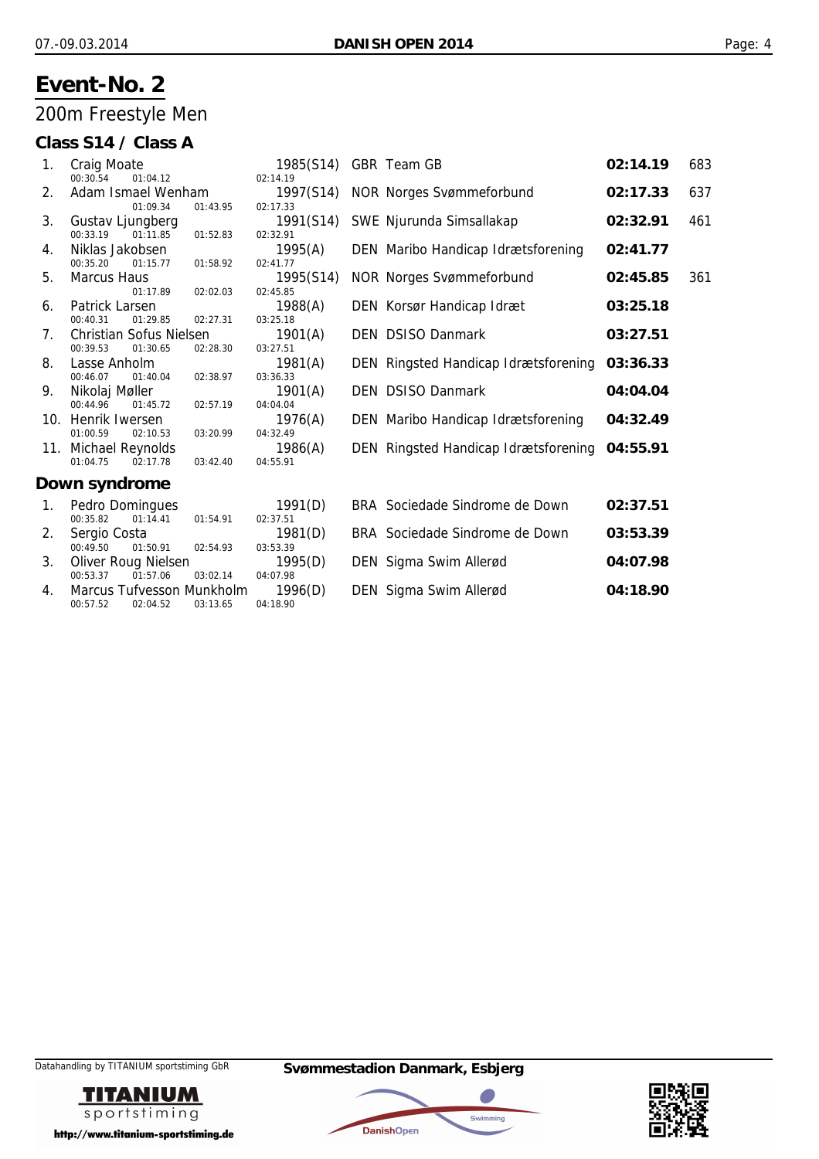## 200m Freestyle Men

### **Class S14 / Class A**

| 1. | <b>Craig Moate</b><br>00:30.54<br>01:04.12        |          | 1985(S14)<br>02:14.19 | GBR Team GB                          | 02:14.19 | 683 |
|----|---------------------------------------------------|----------|-----------------------|--------------------------------------|----------|-----|
| 2. | Adam Ismael Wenham<br>01:09.34                    | 01:43.95 | 1997(S14)<br>02:17.33 | <b>NOR Norges Svømmeforbund</b>      | 02:17.33 | 637 |
| 3. | Gustav Ljungberg<br>00:33.19<br>01:11.85          | 01:52.83 | 1991(S14)<br>02:32.91 | SWE Njurunda Simsallakap             | 02:32.91 | 461 |
| 4. | Niklas Jakobsen<br>00:35.20<br>01:15.77           | 01:58.92 | 1995(A)<br>02:41.77   | DEN Maribo Handicap Idrætsforening   | 02:41.77 |     |
| 5. | <b>Marcus Haus</b><br>01:17.89                    | 02:02.03 | 1995(S14)<br>02:45.85 | <b>NOR Norges Svømmeforbund</b>      | 02:45.85 | 361 |
| 6. | Patrick Larsen<br>00:40.31<br>01:29.85            | 02:27.31 | 1988(A)<br>03:25.18   | DEN Korsør Handicap Idræt            | 03:25.18 |     |
| 7. | Christian Sofus Nielsen<br>00:39.53<br>01:30.65   | 02:28.30 | 1901(A)<br>03:27.51   | <b>DEN DSISO Danmark</b>             | 03:27.51 |     |
| 8. | Lasse Anholm<br>00:46.07<br>01:40.04              | 02:38.97 | 1981(A)<br>03:36.33   | DEN Ringsted Handicap Idrætsforening | 03:36.33 |     |
| 9. | Nikolaj Møller<br>00:44.96<br>01:45.72            | 02:57.19 | 1901(A)<br>04:04.04   | <b>DEN DSISO Danmark</b>             | 04:04.04 |     |
|    | 10. Henrik Iwersen<br>01:00.59<br>02:10.53        | 03:20.99 | 1976(A)<br>04:32.49   | DEN Maribo Handicap Idrætsforening   | 04:32.49 |     |
|    | 11. Michael Reynolds<br>01:04.75<br>02:17.78      | 03:42.40 | 1986(A)<br>04:55.91   | DEN Ringsted Handicap Idrætsforening | 04:55.91 |     |
|    | Down syndrome                                     |          |                       |                                      |          |     |
| 1. | Pedro Domingues<br>00:35.82<br>01:14.41           | 01:54.91 | 1991(D)<br>02:37.51   | BRA Sociedade Sindrome de Down       | 02:37.51 |     |
| 2. | Sergio Costa<br>00:49.50<br>01:50.91              | 02:54.93 | 1981(D)<br>03:53.39   | BRA Sociedade Sindrome de Down       | 03:53.39 |     |
| 3. | Oliver Roug Nielsen<br>00:53.37<br>01:57.06       | 03:02.14 | 1995(D)<br>04:07.98   | DEN Sigma Swim Allerød               | 04:07.98 |     |
| 4. | Marcus Tufvesson Munkholm<br>00:57.52<br>02:04.52 | 03:13.65 | 1996(D)<br>04:18.90   | DEN Sigma Swim Allerød               | 04:18.90 |     |





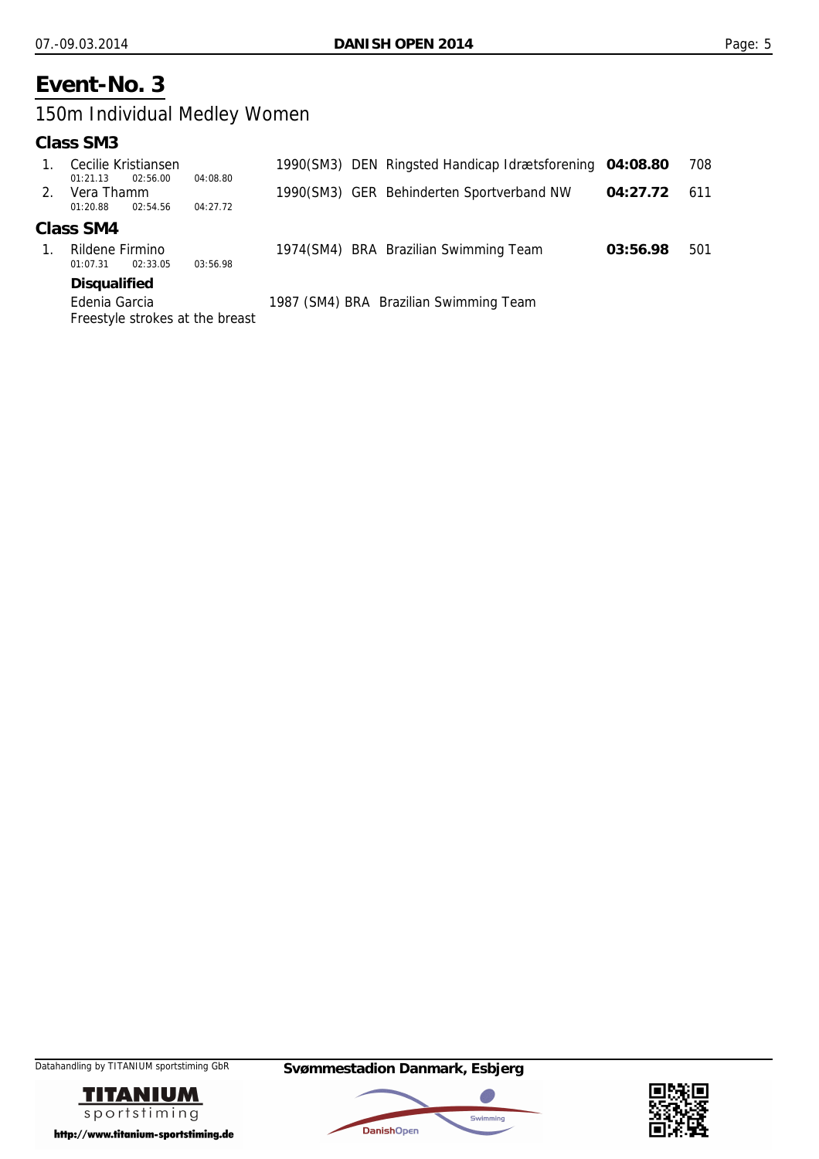### 150m Individual Medley Women

#### **Class SM3**

|         | <b>Disaualified</b>                         |          |  |                                                         |          |     |
|---------|---------------------------------------------|----------|--|---------------------------------------------------------|----------|-----|
|         | Rildene Firmino<br>02:33.05<br>01:07.31     | 03:56.98 |  | 1974(SM4) BRA Brazilian Swimming Team                   | 03:56.98 | 501 |
|         | Class SM4                                   |          |  |                                                         |          |     |
| $2_{1}$ | Vera Thamm<br>02:54.56<br>01:20.88          | 04:27.72 |  | 1990(SM3) GER Behinderten Sportverband NW               | 04:27.72 | 611 |
|         | Cecilie Kristiansen<br>02:56.00<br>01:21.13 | 04:08.80 |  | 1990(SM3) DEN Ringsted Handicap Idrætsforening 04:08.80 |          | 708 |

Edenia Garcia 1987 (SM4) BRA Brazilian Swimming Team Freestyle strokes at the breast





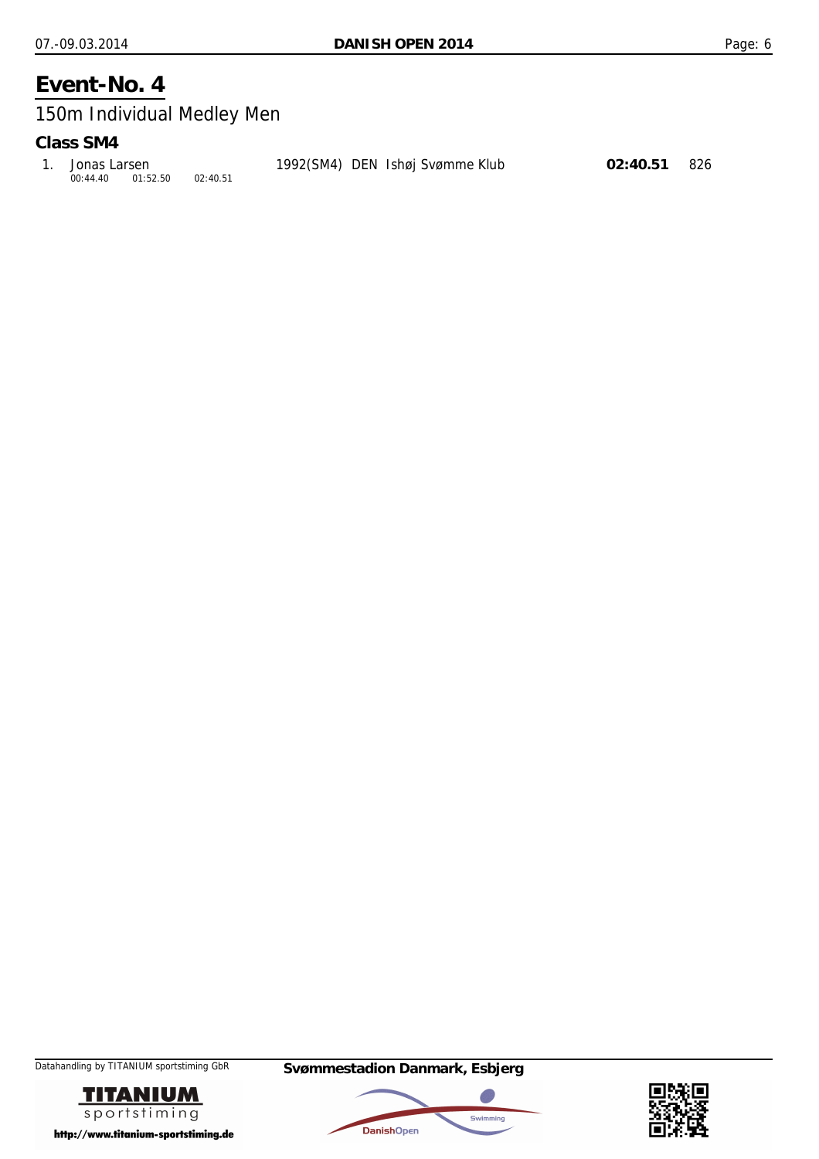## 150m Individual Medley Men

#### **Class SM4**

| 1. Jonas Larsen   |          | 1992(SM4) DEN Ishøj Svømme Klub | 02:40.51 826 |  |
|-------------------|----------|---------------------------------|--------------|--|
| 00:44.40 01:52.50 | 02:40.51 |                                 |              |  |





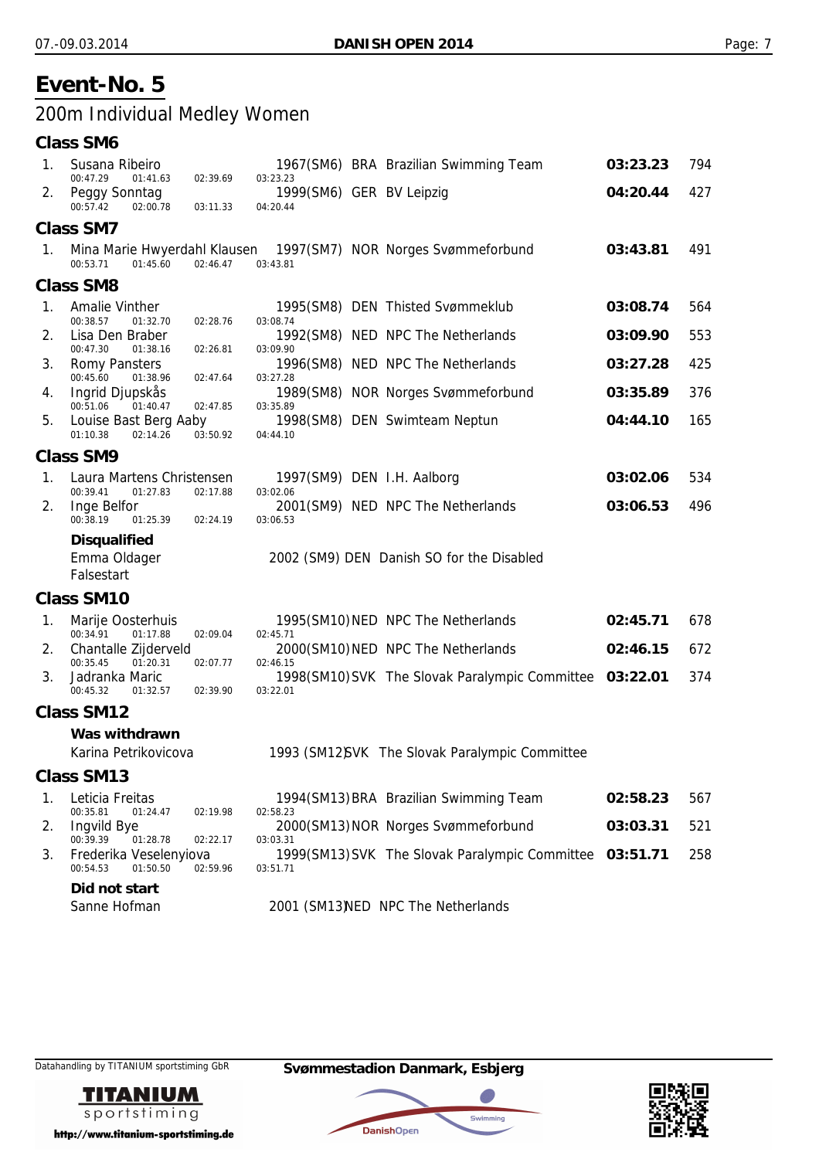## 200m Individual Medley Women

#### **Class SM6**

| 1.          | Susana Ribeiro                                                  |                      |                                                  | 1967(SM6) BRA Brazilian Swimming Team                   | 03:23.23 | 794 |
|-------------|-----------------------------------------------------------------|----------------------|--------------------------------------------------|---------------------------------------------------------|----------|-----|
| 2.          | 00:47.29<br>01:41.63<br>Peggy Sonntag<br>00:57.42<br>02:00.78   | 02:39.69<br>03:11.33 | 03:23.23<br>1999(SM6) GER BV Leipzig<br>04:20.44 |                                                         | 04:20.44 | 427 |
|             | <b>Class SM7</b>                                                |                      |                                                  |                                                         |          |     |
| 1.          | Mina Marie Hwyerdahl Klausen<br>00:53.71<br>01:45.60            | 02:46.47             | 03:43.81                                         | 1997(SM7) NOR Norges Svømmeforbund                      | 03:43.81 | 491 |
|             | <b>Class SM8</b>                                                |                      |                                                  |                                                         |          |     |
| 1.          | Amalie Vinther                                                  |                      |                                                  | 1995(SM8) DEN Thisted Svømmeklub                        | 03:08.74 | 564 |
| 2.          | 00:38.57<br>01:32.70<br>Lisa Den Braber<br>00:47.30<br>01:38.16 | 02:28.76<br>02:26.81 | 03:08.74<br>03:09.90                             | 1992(SM8) NED NPC The Netherlands                       | 03:09.90 | 553 |
| 3.          | <b>Romy Pansters</b>                                            |                      |                                                  | 1996(SM8) NED NPC The Netherlands                       | 03:27.28 | 425 |
| 4.          | 00:45.60<br>01:38.96<br>Ingrid Djupskås<br>00:51.06<br>01:40.47 | 02:47.64<br>02:47.85 | 03:27.28<br>03:35.89                             | 1989(SM8) NOR Norges Svømmeforbund                      | 03:35.89 | 376 |
| 5.          | Louise Bast Berg Aaby<br>01:10.38<br>02:14.26                   | 03:50.92             | 04:44.10                                         | 1998(SM8) DEN Swimteam Neptun                           | 04:44.10 | 165 |
|             | <b>Class SM9</b>                                                |                      |                                                  |                                                         |          |     |
| $1_{\cdot}$ | Laura Martens Christensen                                       | 02:17.88             |                                                  | 1997(SM9) DEN I.H. Aalborg                              | 03:02.06 | 534 |
| 2.          | 00:39.41<br>01:27.83<br>Inge Belfor<br>00:38.19<br>01:25.39     | 02:24.19             | 03:02.06<br>03:06.53                             | 2001(SM9) NED NPC The Netherlands                       | 03:06.53 | 496 |
|             | <b>Disqualified</b><br>Emma Oldager<br>Falsestart               |                      |                                                  | 2002 (SM9) DEN Danish SO for the Disabled               |          |     |
|             | <b>Class SM10</b>                                               |                      |                                                  |                                                         |          |     |
| 1.          | Marije Oosterhuis<br>00:34.91<br>01:17.88                       | 02:09.04             | 02:45.71                                         | 1995(SM10) NED NPC The Netherlands                      | 02:45.71 | 678 |
| 2.          | Chantalle Zijderveld<br>00:35.45<br>01:20.31                    | 02:07.77             | 02:46.15                                         | 2000(SM10) NED NPC The Netherlands                      | 02:46.15 | 672 |
| 3.          | Jadranka Maric<br>00:45.32<br>01:32.57                          | 02:39.90             | 03:22.01                                         | 1998(SM10) SVK The Slovak Paralympic Committee 03:22.01 |          | 374 |
|             | <b>Class SM12</b>                                               |                      |                                                  |                                                         |          |     |
|             | Was withdrawn                                                   |                      |                                                  |                                                         |          |     |
|             | Karina Petrikovicova                                            |                      |                                                  | 1993 (SM12)SVK The Slovak Paralympic Committee          |          |     |
|             | Class SM13                                                      |                      |                                                  |                                                         |          |     |
| 1.          | Leticia Freitas<br>00:35.81<br>01:24.47                         | 02:19.98             | 02:58.23                                         | 1994(SM13) BRA Brazilian Swimming Team                  | 02:58.23 | 567 |
| 2.          | <b>Ingvild Bye</b><br>00:39.39<br>01:28.78                      | 02:22.17             | 03:03.31                                         | 2000(SM13) NOR Norges Svømmeforbund                     | 03:03.31 | 521 |
| 3.          | Frederika Veselenyiova<br>00:54.53<br>01:50.50                  | 02:59.96             | 03:51.71                                         | 1999(SM13) SVK The Slovak Paralympic Committee 03:51.71 |          | 258 |
|             | Did not start<br>Sanne Hofman                                   |                      |                                                  | 2001 (SM13) NED NPC The Netherlands                     |          |     |



http://www.titanium-sportstiming.de

### Datahandling by TITANIUM sportstiming GbR **Svømmestadion Danmark, Esbjerg**



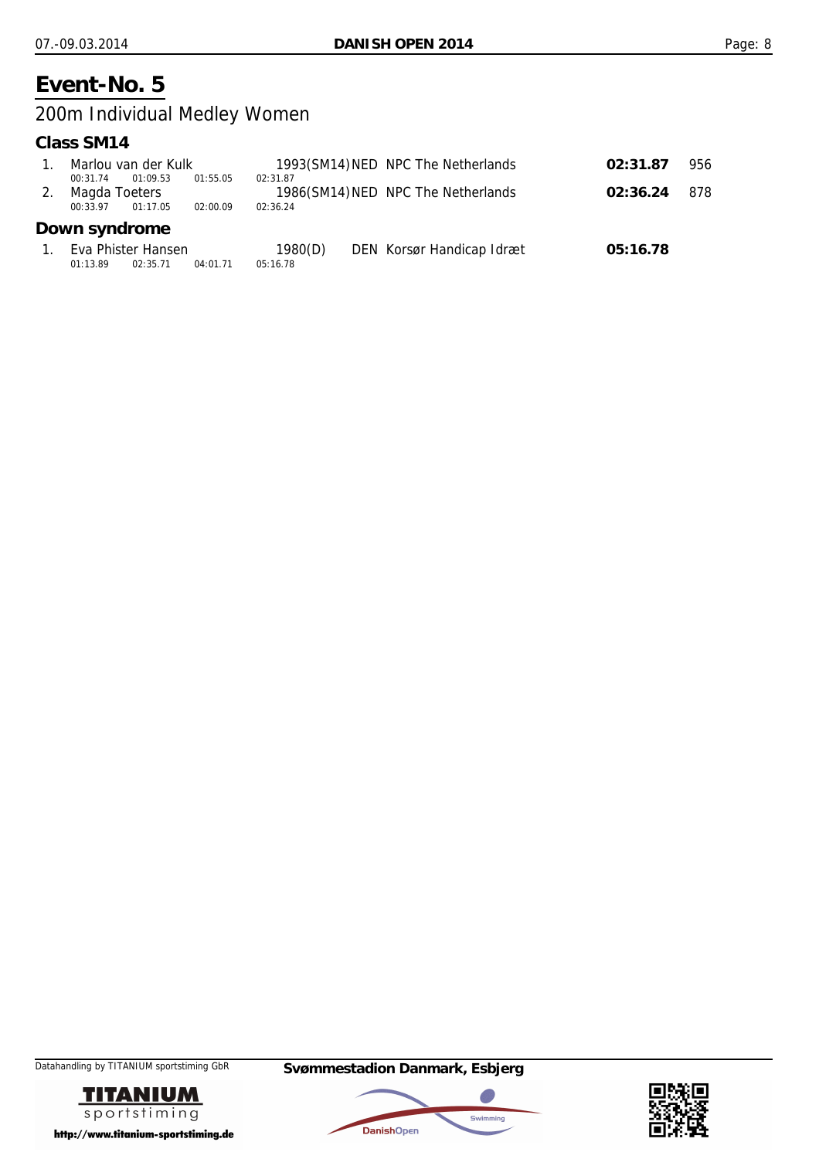## 200m Individual Medley Women

#### **Class SM14**

|                                       | Marlou van der Kulk            |                      |                      | 1993(SM14) NED NPC The Netherlands | 02:31.87 | 956 |
|---------------------------------------|--------------------------------|----------------------|----------------------|------------------------------------|----------|-----|
| 00:31.74<br>Magda Toeters<br>00:33.97 | 01:09.53<br>01:17.05           | 01:55.05<br>02:00.09 | 02:31.87<br>02:36.24 | 1986(SM14) NED NPC The Netherlands | 02:36.24 | 878 |
| Down syndrome                         |                                |                      |                      |                                    |          |     |
| 01:13.89                              | Eva Phister Hansen<br>02:35.71 | 04:01.71             | 1980(D)<br>05:16.78  | DEN Korsør Handicap Idræt          | 05:16.78 |     |





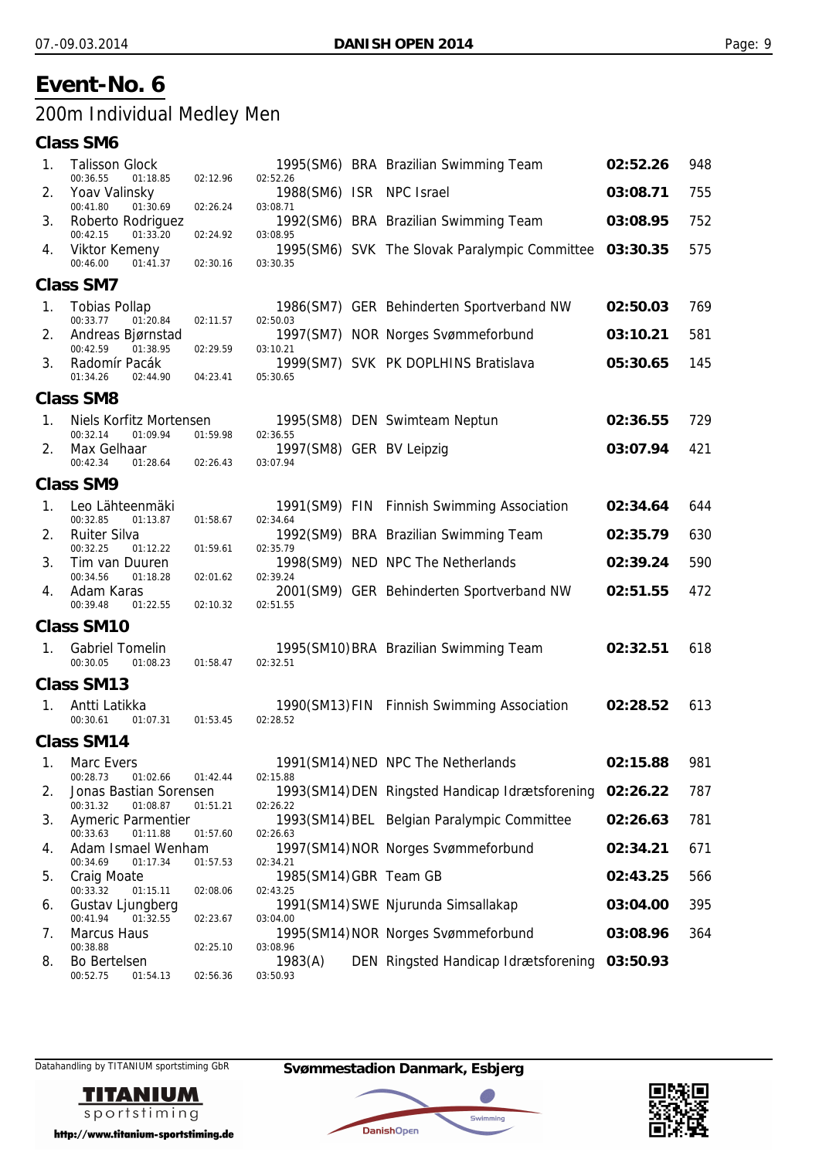## 200m Individual Medley Men

#### **Class SM6**

| 1. | <b>Talisson Glock</b><br>00:36.55<br>01:18.85              | 02:12.96             | 02:52.26                             | 1995(SM6) BRA Brazilian Swimming Team                    | 02:52.26 | 948 |
|----|------------------------------------------------------------|----------------------|--------------------------------------|----------------------------------------------------------|----------|-----|
| 2. | Yoav Valinsky<br>00:41.80<br>01:30.69                      | 02:26.24             | 1988(SM6) ISR NPC Israel             |                                                          | 03:08.71 | 755 |
| 3. | Roberto Rodriguez<br>00:42.15<br>01:33.20                  |                      | 03:08.71                             | 1992(SM6) BRA Brazilian Swimming Team                    | 03:08.95 | 752 |
| 4. | <b>Viktor Kemeny</b><br>00:46.00<br>01:41.37               | 02:24.92<br>02:30.16 | 03:08.95<br>03:30.35                 | 1995(SM6) SVK The Slovak Paralympic Committee            | 03:30.35 | 575 |
|    | <b>Class SM7</b>                                           |                      |                                      |                                                          |          |     |
| 1. | <b>Tobias Pollap</b><br>00:33.77<br>01:20.84               | 02:11.57             | 02:50.03                             | 1986(SM7) GER Behinderten Sportverband NW                | 02:50.03 | 769 |
| 2. | Andreas Bjørnstad<br>00:42.59<br>01:38.95                  |                      | 03:10.21                             | 1997(SM7) NOR Norges Svømmeforbund                       | 03:10.21 | 581 |
| 3. | Radomír Pacák<br>01:34.26<br>02:44.90                      | 02:29.59<br>04:23.41 | 05:30.65                             | 1999(SM7) SVK PK DOPLHINS Bratislava                     | 05:30.65 | 145 |
|    | Class SM8                                                  |                      |                                      |                                                          |          |     |
| 1. | Niels Korfitz Mortensen<br>00:32.14<br>01:09.94            | 01:59.98             | 02:36.55                             | 1995(SM8) DEN Swimteam Neptun                            | 02:36.55 | 729 |
| 2. | Max Gelhaar<br>00:42.34<br>01:28.64                        | 02:26.43             | 1997(SM8) GER BV Leipzig<br>03:07.94 |                                                          | 03:07.94 | 421 |
|    | <b>Class SM9</b>                                           |                      |                                      |                                                          |          |     |
| 1. | Leo Lähteenmäki<br>00:32.85<br>01:13.87                    | 01:58.67             | 02:34.64                             | 1991(SM9) FIN Finnish Swimming Association               | 02:34.64 | 644 |
| 2. | <b>Ruiter Silva</b>                                        |                      |                                      | 1992(SM9) BRA Brazilian Swimming Team                    | 02:35.79 | 630 |
| 3. | 00:32.25<br>01:12.22<br>Tim van Duuren                     | 01:59.61             | 02:35.79                             | 1998(SM9) NED NPC The Netherlands                        | 02:39.24 | 590 |
| 4. | 00:34.56<br>01:18.28<br>Adam Karas<br>00:39.48<br>01:22.55 | 02:01.62<br>02:10.32 | 02:39.24<br>02:51.55                 | 2001(SM9) GER Behinderten Sportverband NW                | 02:51.55 | 472 |
|    | <b>Class SM10</b>                                          |                      |                                      |                                                          |          |     |
| 1. | <b>Gabriel Tomelin</b><br>00:30.05<br>01:08.23             | 01:58.47             | 02:32.51                             | 1995(SM10) BRA Brazilian Swimming Team                   | 02:32.51 | 618 |
|    | <b>Class SM13</b>                                          |                      |                                      |                                                          |          |     |
| 1. | Antti Latikka<br>00:30.61<br>01:07.31                      | 01:53.45             | 02:28.52                             | 1990(SM13) FIN Finnish Swimming Association              | 02:28.52 | 613 |
|    | <b>Class SM14</b>                                          |                      |                                      |                                                          |          |     |
| 1. | Marc Evers<br>00:28.73<br>01:02.66                         | 01:42.44             | 02:15.88                             | 1991(SM14) NED NPC The Netherlands                       | 02:15.88 | 981 |
| 2. | Jonas Bastian Sorensen<br>00:31.32<br>01:08.87             | 01:51.21             | 02:26.22                             | 1993(SM14) DEN Ringsted Handicap Idrætsforening 02:26.22 |          | 787 |
| 3. | Aymeric Parmentier<br>00:33.63<br>01:11.88                 | 01:57.60             | 02:26.63                             | 1993(SM14) BEL Belgian Paralympic Committee              | 02:26.63 | 781 |
| 4. | Adam Ismael Wenham<br>00:34.69<br>01:17.34                 | 01:57.53             | 02:34.21                             | 1997(SM14) NOR Norges Svømmeforbund                      | 02:34.21 | 671 |
| 5. | <b>Craig Moate</b>                                         |                      | 1985(SM14) GBR Team GB               |                                                          | 02:43.25 | 566 |
| 6. | 00:33.32<br>01:15.11<br>Gustav Ljungberg                   | 02:08.06             | 02:43.25                             | 1991(SM14) SWE Njurunda Simsallakap                      | 03:04.00 | 395 |
| 7. | 00:41.94<br>01:32.55<br><b>Marcus Haus</b>                 | 02:23.67             | 03:04.00                             | 1995(SM14) NOR Norges Svømmeforbund                      | 03:08.96 | 364 |
| 8. | 00:38.88<br><b>Bo Bertelsen</b>                            | 02:25.10             | 03:08.96<br>1983(A)                  | DEN Ringsted Handicap Idrætsforening                     | 03:50.93 |     |
|    | 00:52.75<br>01:54.13                                       | 02:56.36             | 03:50.93                             |                                                          |          |     |



http://www.titanium-sportstiming.de



**DanishOpen** 

a.

Swimming

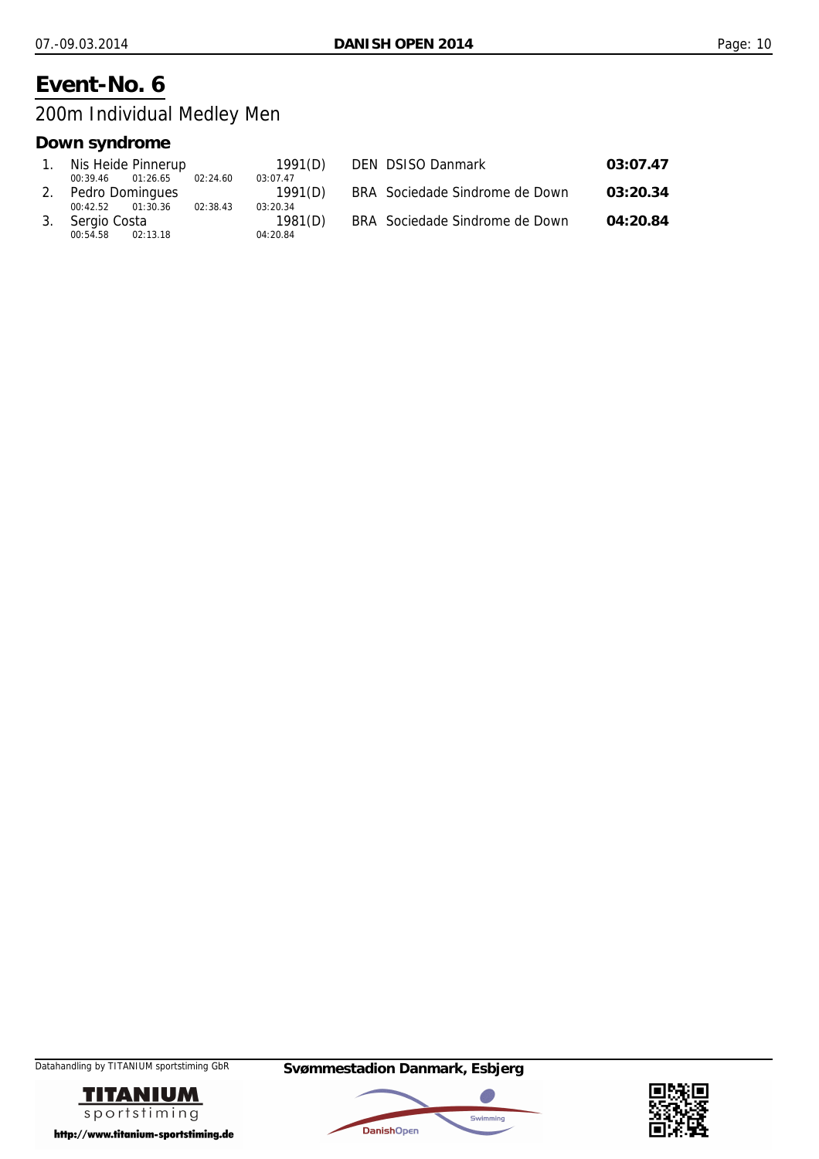200m Individual Medley Men

### **Down syndrome**

| 1. Nis Heide Pinnerup            | 1991(D)  | DEN DSISO Danmark              | 03:07.47 |
|----------------------------------|----------|--------------------------------|----------|
| 01:26.65<br>02:24.60<br>00:39.46 | 03:07.47 |                                |          |
| 2. Pedro Domingues               | 1991(D)  | BRA Sociedade Sindrome de Down | 03:20.34 |
| 02:38.43<br>01:30.36<br>00:42.52 | 03:20.34 |                                |          |
| 3. Sergio Costa                  | 1981(D)  | BRA Sociedade Sindrome de Down | 04:20.84 |
| 00:54.58<br>02:13.18             | 04:20.84 |                                |          |



Datahandling by TITANIUM sportstiming GbR **Svømmestadion Danmark, Esbjerg**



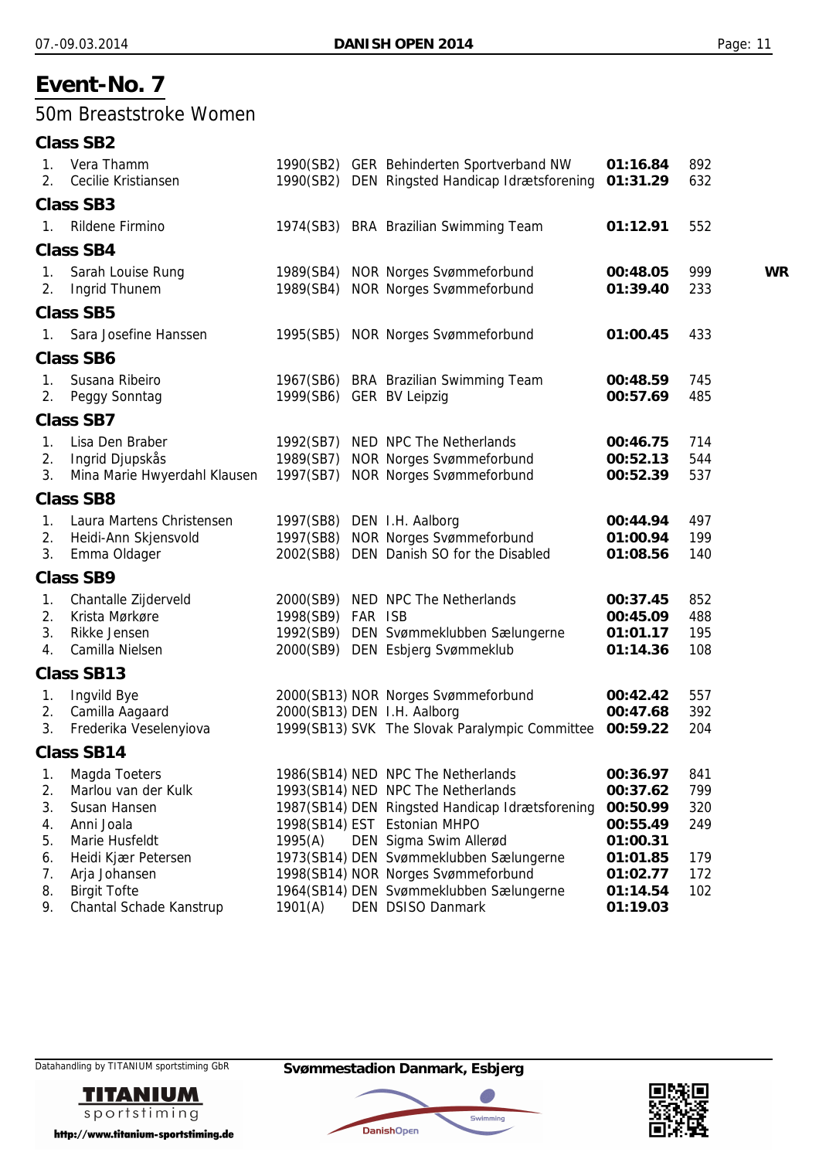### 50m Breaststroke Women

|                            | <b>Class SB2</b>                                                                       |                          |                                                                                                                                                                                       |                                                          |                          |           |
|----------------------------|----------------------------------------------------------------------------------------|--------------------------|---------------------------------------------------------------------------------------------------------------------------------------------------------------------------------------|----------------------------------------------------------|--------------------------|-----------|
| 1.<br>2.                   | Vera Thamm<br>Cecilie Kristiansen                                                      |                          | 1990(SB2) GER Behinderten Sportverband NW<br>1990(SB2) DEN Ringsted Handicap Idrætsforening                                                                                           | 01:16.84<br>01:31.29                                     | 892<br>632               |           |
|                            | <b>Class SB3</b>                                                                       |                          |                                                                                                                                                                                       |                                                          |                          |           |
| 1.                         | Rildene Firmino                                                                        |                          | 1974(SB3) BRA Brazilian Swimming Team                                                                                                                                                 | 01:12.91                                                 | 552                      |           |
|                            | <b>Class SB4</b>                                                                       |                          |                                                                                                                                                                                       |                                                          |                          |           |
| $1_{\cdot}$<br>2.          | Sarah Louise Rung<br>Ingrid Thunem                                                     |                          | 1989(SB4) NOR Norges Svømmeforbund<br>1989(SB4) NOR Norges Svømmeforbund                                                                                                              | 00:48.05<br>01:39.40                                     | 999<br>233               | <b>WR</b> |
|                            | <b>Class SB5</b>                                                                       |                          |                                                                                                                                                                                       |                                                          |                          |           |
| 1.                         | Sara Josefine Hanssen                                                                  |                          | 1995(SB5) NOR Norges Svømmeforbund                                                                                                                                                    | 01:00.45                                                 | 433                      |           |
|                            | <b>Class SB6</b>                                                                       |                          |                                                                                                                                                                                       |                                                          |                          |           |
| $1_{\cdot}$<br>2.          | Susana Ribeiro<br>Peggy Sonntag                                                        | 1999(SB6) GER BV Leipzig | 1967(SB6) BRA Brazilian Swimming Team                                                                                                                                                 | 00:48.59<br>00:57.69                                     | 745<br>485               |           |
|                            | <b>Class SB7</b>                                                                       |                          |                                                                                                                                                                                       |                                                          |                          |           |
| 1.<br>2.<br>3.             | Lisa Den Braber<br>Ingrid Djupskås<br>Mina Marie Hwyerdahl Klausen                     |                          | 1992(SB7) NED NPC The Netherlands<br>1989(SB7) NOR Norges Svømmeforbund<br>1997(SB7) NOR Norges Svømmeforbund                                                                         | 00:46.75<br>00:52.13<br>00:52.39                         | 714<br>544<br>537        |           |
|                            | <b>Class SB8</b>                                                                       |                          |                                                                                                                                                                                       |                                                          |                          |           |
| 1.<br>2.<br>3.             | Laura Martens Christensen<br>Heidi-Ann Skjensvold<br>Emma Oldager                      |                          | 1997(SB8) DEN I.H. Aalborg<br>1997(SB8) NOR Norges Svømmeforbund<br>2002(SB8) DEN Danish SO for the Disabled                                                                          | 00:44.94<br>01:00.94<br>01:08.56                         | 497<br>199<br>140        |           |
|                            | <b>Class SB9</b>                                                                       |                          |                                                                                                                                                                                       |                                                          |                          |           |
| 1.<br>2.<br>3.<br>4.       | Chantalle Zijderveld<br>Krista Mørkøre<br>Rikke Jensen<br>Camilla Nielsen              | 1998(SB9) FAR ISB        | 2000(SB9) NED NPC The Netherlands<br>1992(SB9) DEN Svømmeklubben Sælungerne<br>2000(SB9) DEN Esbjerg Svømmeklub                                                                       | 00:37.45<br>00:45.09<br>01:01.17<br>01:14.36             | 852<br>488<br>195<br>108 |           |
|                            | <b>Class SB13</b>                                                                      |                          |                                                                                                                                                                                       |                                                          |                          |           |
| 1.<br>2.<br>3.             | Ingvild Bye<br>Camilla Aagaard<br>Frederika Veselenyiova                               |                          | 2000(SB13) NOR Norges Svømmeforbund<br>2000(SB13) DEN I.H. Aalborg<br>1999(SB13) SVK The Slovak Paralympic Committee                                                                  | 00:42.42<br>00:47.68<br>00:59.22                         | 557<br>392<br>204        |           |
|                            | <b>Class SB14</b>                                                                      |                          |                                                                                                                                                                                       |                                                          |                          |           |
| 1.<br>2.<br>3.<br>4.<br>5. | Magda Toeters<br>Marlou van der Kulk<br>Susan Hansen<br>Anni Joala<br>Marie Husfeldt   | 1995(A)                  | 1986(SB14) NED NPC The Netherlands<br>1993(SB14) NED NPC The Netherlands<br>1987(SB14) DEN Ringsted Handicap Idrætsforening<br>1998(SB14) EST Estonian MHPO<br>DEN Sigma Swim Allerød | 00:36.97<br>00:37.62<br>00:50.99<br>00:55.49<br>01:00.31 | 841<br>799<br>320<br>249 |           |
| 6.<br>7.<br>8.<br>9.       | Heidi Kjær Petersen<br>Arja Johansen<br><b>Birgit Tofte</b><br>Chantal Schade Kanstrup | 1901(A)                  | 1973(SB14) DEN Svømmeklubben Sælungerne<br>1998(SB14) NOR Norges Svømmeforbund<br>1964(SB14) DEN Svømmeklubben Sælungerne<br>DEN DSISO Danmark                                        | 01:01.85<br>01:02.77<br>01:14.54<br>01:19.03             | 179<br>172<br>102        |           |







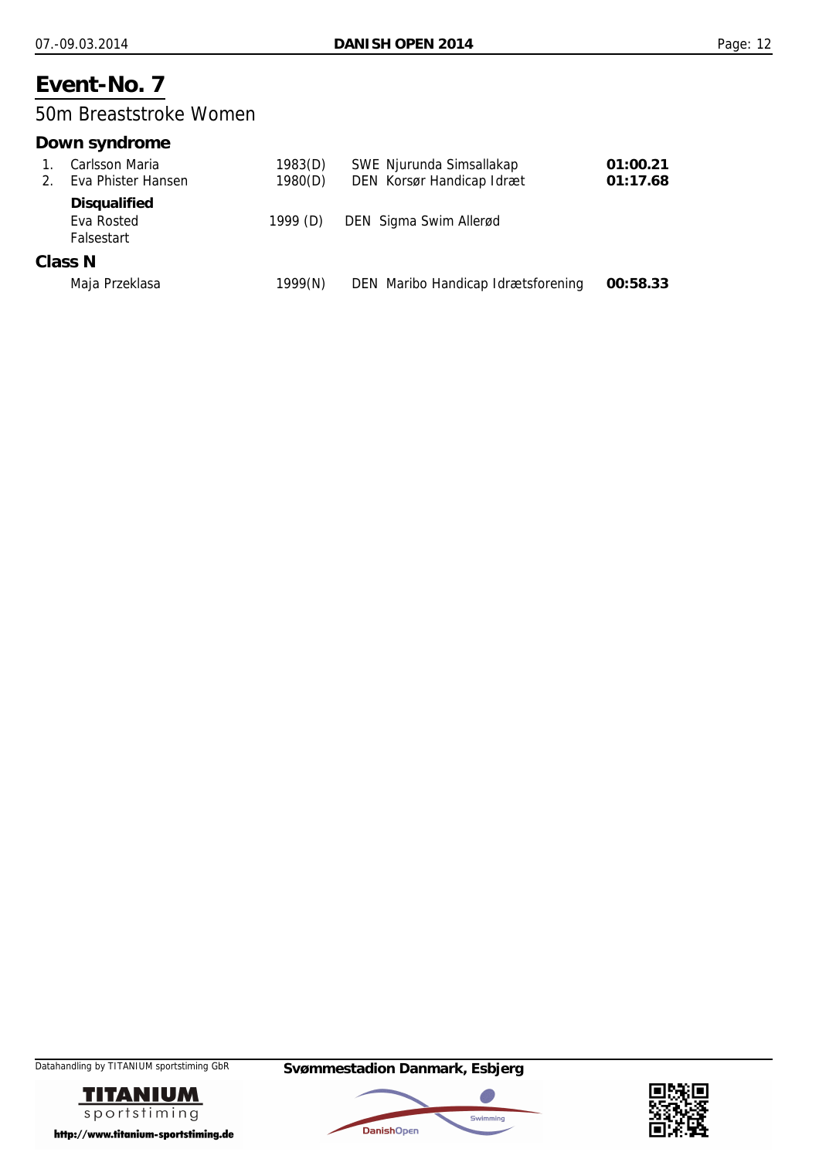### 50m Breaststroke Women

### **Down syndrome**

|                                 | Carlsson Maria                                  | 1983(D)    | SWE Njurunda Simsallakap           | 01:00.21 |
|---------------------------------|-------------------------------------------------|------------|------------------------------------|----------|
| $2_{\scriptscriptstyle{\perp}}$ | Eva Phister Hansen                              | 1980(D)    | DEN Korsør Handicap Idræt          | 01:17.68 |
|                                 | <b>Disqualified</b><br>Eva Rosted<br>Falsestart | 1999 $(D)$ | DEN Sigma Swim Allerød             |          |
|                                 | Class N                                         |            |                                    |          |
|                                 | Maja Przeklasa                                  | 1999(N)    | DEN Maribo Handicap Idrætsforening | 00:58.33 |





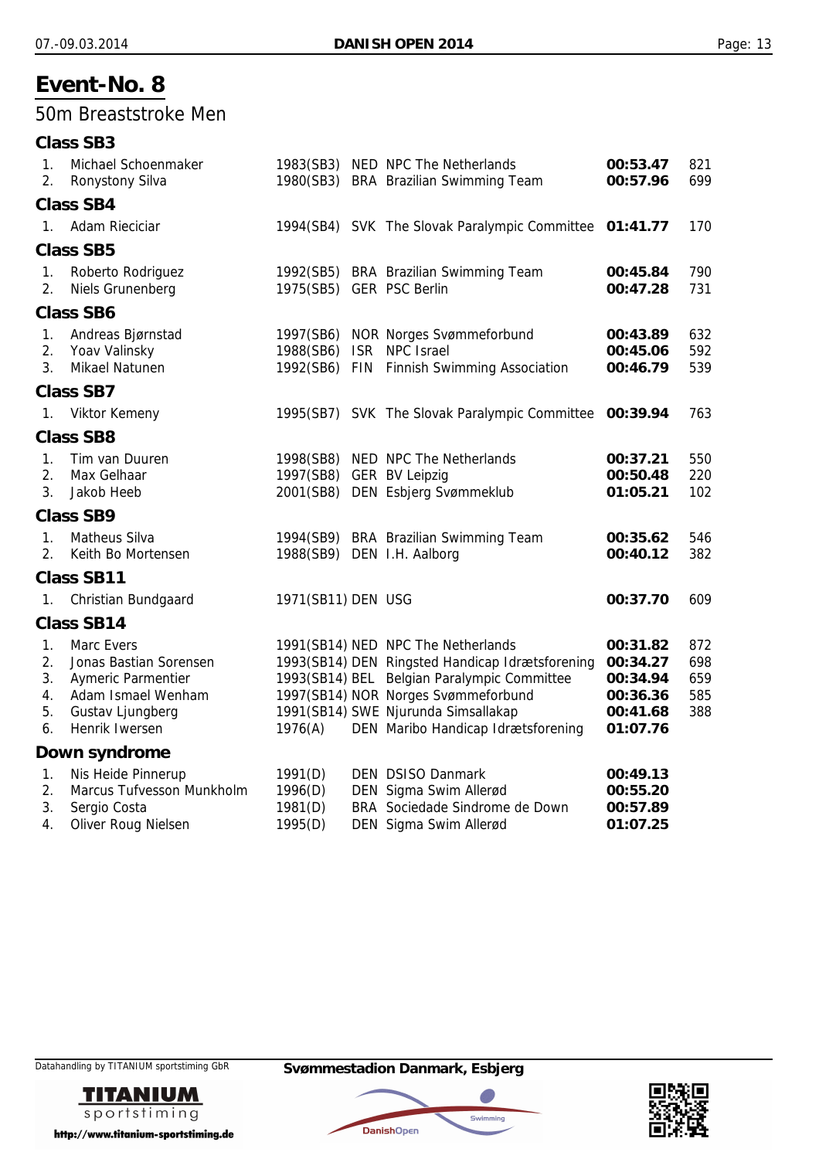### 50m Breaststroke Men

|                                  | <b>Class SB3</b>                                                                                                       |                                          |                                                                                                                                                                                                                                                          |                                                                      |                                 |
|----------------------------------|------------------------------------------------------------------------------------------------------------------------|------------------------------------------|----------------------------------------------------------------------------------------------------------------------------------------------------------------------------------------------------------------------------------------------------------|----------------------------------------------------------------------|---------------------------------|
| $\mathbf{1}$ .<br>2.             | Michael Schoenmaker<br>Ronystony Silva                                                                                 |                                          | 1983(SB3) NED NPC The Netherlands<br>1980(SB3) BRA Brazilian Swimming Team                                                                                                                                                                               | 00:53.47<br>00:57.96                                                 | 821<br>699                      |
|                                  | <b>Class SB4</b>                                                                                                       |                                          |                                                                                                                                                                                                                                                          |                                                                      |                                 |
| $1_{-}$                          | Adam Rieciciar                                                                                                         |                                          | 1994(SB4) SVK The Slovak Paralympic Committee 01:41.77                                                                                                                                                                                                   |                                                                      | 170                             |
|                                  | <b>Class SB5</b>                                                                                                       |                                          |                                                                                                                                                                                                                                                          |                                                                      |                                 |
| 1.<br>2.                         | Roberto Rodriguez<br>Niels Grunenberg                                                                                  | 1975(SB5) GER PSC Berlin                 | 1992(SB5) BRA Brazilian Swimming Team                                                                                                                                                                                                                    | 00:45.84<br>00:47.28                                                 | 790<br>731                      |
|                                  | <b>Class SB6</b>                                                                                                       |                                          |                                                                                                                                                                                                                                                          |                                                                      |                                 |
| 1.<br>2.<br>3.                   | Andreas Bjørnstad<br>Yoav Valinsky<br>Mikael Natunen                                                                   | 1988(SB6) ISR NPC Israel                 | 1997(SB6) NOR Norges Svømmeforbund<br>1992(SB6) FIN Finnish Swimming Association                                                                                                                                                                         | 00:43.89<br>00:45.06<br>00:46.79                                     | 632<br>592<br>539               |
|                                  | <b>Class SB7</b>                                                                                                       |                                          |                                                                                                                                                                                                                                                          |                                                                      |                                 |
| 1.                               | <b>Viktor Kemeny</b>                                                                                                   |                                          | 1995(SB7) SVK The Slovak Paralympic Committee                                                                                                                                                                                                            | 00:39.94                                                             | 763                             |
|                                  | <b>Class SB8</b>                                                                                                       |                                          |                                                                                                                                                                                                                                                          |                                                                      |                                 |
| $1_{\cdot}$<br>2.<br>3.          | Tim van Duuren<br>Max Gelhaar<br>Jakob Heeb                                                                            | 1997(SB8) GER BV Leipzig<br>2001(SB8)    | 1998(SB8) NED NPC The Netherlands<br>DEN Esbjerg Svømmeklub                                                                                                                                                                                              | 00:37.21<br>00:50.48<br>01:05.21                                     | 550<br>220<br>102               |
|                                  | <b>Class SB9</b>                                                                                                       |                                          |                                                                                                                                                                                                                                                          |                                                                      |                                 |
| 1.<br>2.                         | <b>Matheus Silva</b><br>Keith Bo Mortensen                                                                             |                                          | 1994(SB9) BRA Brazilian Swimming Team<br>1988(SB9) DEN I.H. Aalborg                                                                                                                                                                                      | 00:35.62<br>00:40.12                                                 | 546<br>382                      |
|                                  | <b>Class SB11</b>                                                                                                      |                                          |                                                                                                                                                                                                                                                          |                                                                      |                                 |
| 1.                               | <b>Christian Bundgaard</b>                                                                                             | 1971(SB11) DEN USG                       |                                                                                                                                                                                                                                                          | 00:37.70                                                             | 609                             |
|                                  | <b>Class SB14</b>                                                                                                      |                                          |                                                                                                                                                                                                                                                          |                                                                      |                                 |
| 1.<br>2.<br>3.<br>4.<br>5.<br>6. | Marc Evers<br>Jonas Bastian Sorensen<br>Aymeric Parmentier<br>Adam Ismael Wenham<br>Gustav Ljungberg<br>Henrik Iwersen | 1976(A)                                  | 1991(SB14) NED NPC The Netherlands<br>1993(SB14) DEN Ringsted Handicap Idrætsforening<br>1993(SB14) BEL Belgian Paralympic Committee<br>1997(SB14) NOR Norges Svømmeforbund<br>1991(SB14) SWE Njurunda Simsallakap<br>DEN Maribo Handicap Idrætsforening | 00:31.82<br>00:34.27<br>00:34.94<br>00:36.36<br>00:41.68<br>01:07.76 | 872<br>698<br>659<br>585<br>388 |
|                                  | Down syndrome                                                                                                          |                                          |                                                                                                                                                                                                                                                          |                                                                      |                                 |
| 1.<br>2.<br>3.<br>4.             | Nis Heide Pinnerup<br>Marcus Tufvesson Munkholm<br>Sergio Costa<br>Oliver Roug Nielsen                                 | 1991(D)<br>1996(D)<br>1981(D)<br>1995(D) | <b>DEN DSISO Danmark</b><br>DEN Sigma Swim Allerød<br>BRA Sociedade Sindrome de Down<br>DEN Sigma Swim Allerød                                                                                                                                           | 00:49.13<br>00:55.20<br>00:57.89<br>01:07.25                         |                                 |





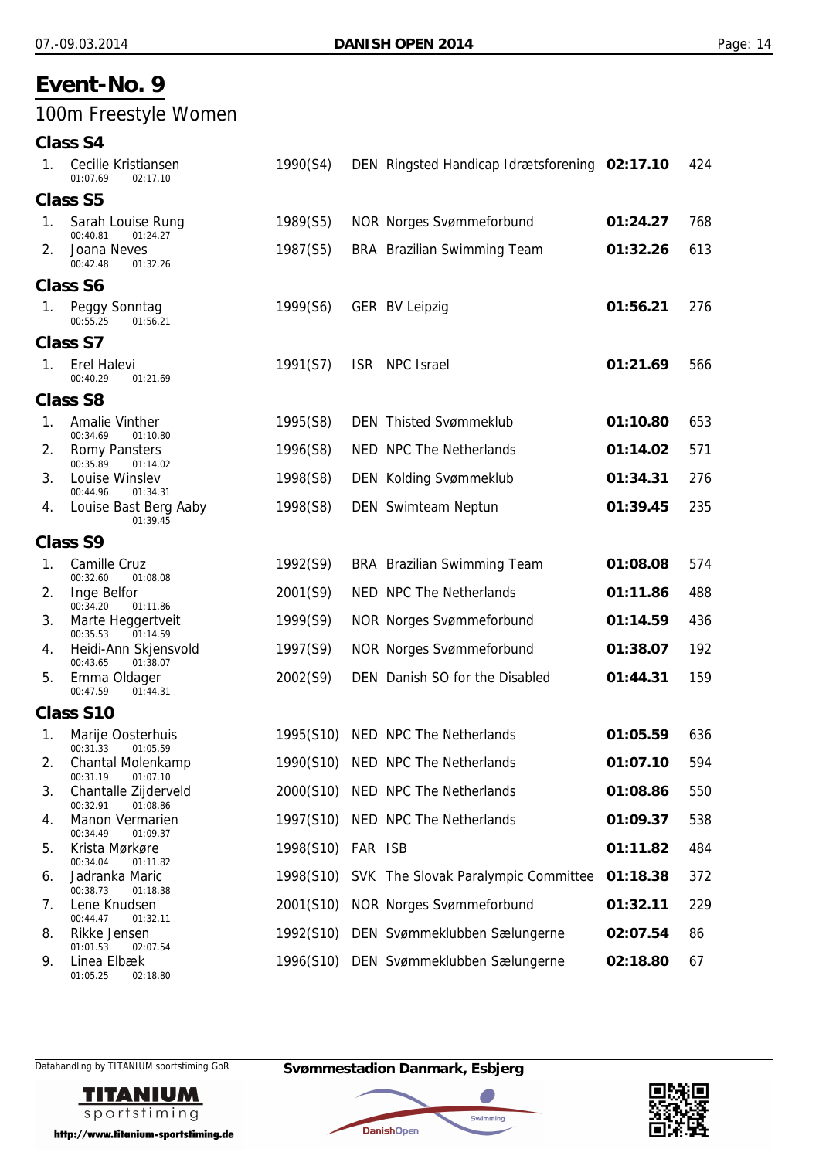## 100m Freestyle Women

**Class S4**

| 1. | Cecilie Kristiansen<br>01:07.69<br>02:17.10                       | 1990(S4)          | DEN Ringsted Handicap Idrætsforening 02:17.10 |          | 424 |
|----|-------------------------------------------------------------------|-------------------|-----------------------------------------------|----------|-----|
|    | <b>Class S5</b>                                                   |                   |                                               |          |     |
| 1. | Sarah Louise Rung<br>00:40.81<br>01:24.27                         | 1989(S5)          | <b>NOR Norges Svømmeforbund</b>               | 01:24.27 | 768 |
| 2. | Joana Neves<br>00:42.48<br>01:32.26                               | 1987(S5)          | <b>BRA</b> Brazilian Swimming Team            | 01:32.26 | 613 |
|    | <b>Class S6</b>                                                   |                   |                                               |          |     |
| 1. | Peggy Sonntag<br>00:55.25<br>01:56.21                             | 1999(S6)          | <b>GER BV Leipzig</b>                         | 01:56.21 | 276 |
|    | Class S7                                                          |                   |                                               |          |     |
| 1. | Erel Halevi<br>00:40.29<br>01:21.69                               | 1991(S7)          | ISR NPC Israel                                | 01:21.69 | 566 |
|    | <b>Class S8</b>                                                   |                   |                                               |          |     |
| 1. | <b>Amalie Vinther</b><br>00:34.69<br>01:10.80                     | 1995(S8)          | <b>DEN Thisted Svømmeklub</b>                 | 01:10.80 | 653 |
| 2. | <b>Romy Pansters</b><br>00:35.89<br>01:14.02                      | 1996(S8)          | NED NPC The Netherlands                       | 01:14.02 | 571 |
| 3. | Louise Winslev<br>00:44.96<br>01:34.31                            | 1998(S8)          | <b>DEN Kolding Svømmeklub</b>                 | 01:34.31 | 276 |
| 4. | Louise Bast Berg Aaby<br>01:39.45                                 | 1998(S8)          | DEN Swimteam Neptun                           | 01:39.45 | 235 |
|    | <b>Class S9</b>                                                   |                   |                                               |          |     |
| 1. | Camille Cruz<br>00:32.60<br>01:08.08                              | 1992(S9)          | BRA Brazilian Swimming Team                   | 01:08.08 | 574 |
| 2. | Inge Belfor<br>00:34.20<br>01:11.86                               | 2001(S9)          | NED NPC The Netherlands                       | 01:11.86 | 488 |
| 3. | Marte Heggertveit<br>00:35.53<br>01:14.59                         | 1999(S9)          | <b>NOR Norges Svømmeforbund</b>               | 01:14.59 | 436 |
| 4. | Heidi-Ann Skjensvold<br>00:43.65<br>01:38.07                      | 1997(S9)          | <b>NOR Norges Svømmeforbund</b>               | 01:38.07 | 192 |
| 5. | Emma Oldager<br>00:47.59<br>01:44.31                              | 2002(S9)          | DEN Danish SO for the Disabled                | 01:44.31 | 159 |
|    | Class S10                                                         |                   |                                               |          |     |
| 1. | Marije Oosterhuis                                                 | 1995(S10)         | NED NPC The Netherlands                       | 01:05.59 | 636 |
| 2. | 00:31.33<br>01:05.59<br>Chantal Molenkamp<br>00:31.19<br>01:07.10 |                   | 1990(S10) NED NPC The Netherlands             | 01:07.10 | 594 |
| 3. | Chantalle Zijderveld<br>00:32.91<br>01:08.86                      |                   | 2000(S10) NED NPC The Netherlands             | 01:08.86 | 550 |
| 4. | <b>Manon Vermarien</b><br>00:34.49<br>01:09.37                    |                   | 1997(S10) NED NPC The Netherlands             | 01:09.37 | 538 |
| 5. | Krista Mørkøre<br>00:34.04<br>01:11.82                            | 1998(S10) FAR ISB |                                               | 01:11.82 | 484 |
| 6. | Jadranka Maric<br>00:38.73<br>01:18.38                            |                   | 1998(S10) SVK The Slovak Paralympic Committee | 01:18.38 | 372 |
| 7. | Lene Knudsen<br>00:44.47<br>01:32.11                              | 2001(S10)         | <b>NOR Norges Svømmeforbund</b>               | 01:32.11 | 229 |
| 8. | Rikke Jensen<br>01:01.53<br>02:07.54                              |                   | 1992(S10) DEN Svømmeklubben Sælungerne        | 02:07.54 | 86  |
| 9. | Linea Elbæk                                                       |                   | 1996(S10) DEN Svømmeklubben Sælungerne        | 02:18.80 | 67  |

01:05.25 02:18.80



http://www.titanium-sportstiming.de

Datahandling by TITANIUM sportstiming GbR **Svømmestadion Danmark, Esbjerg**

**DanishOpen** 

a.

Swimming

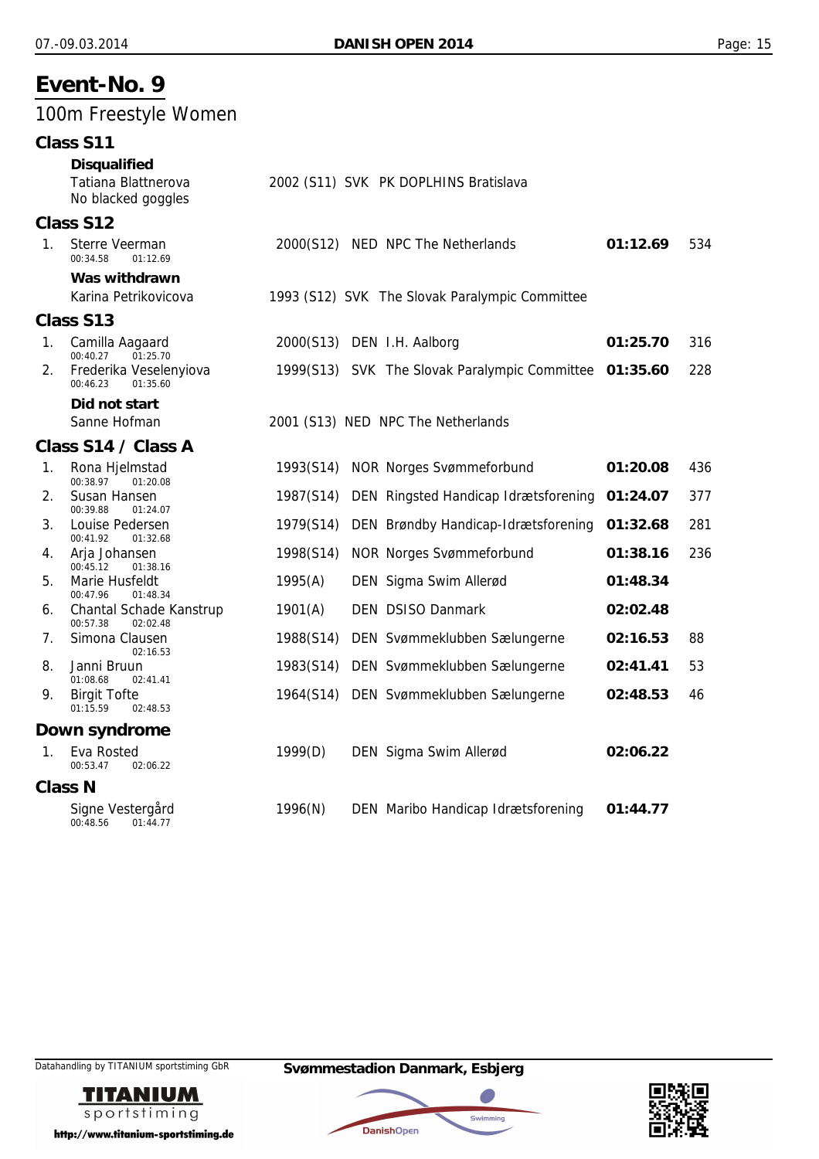## 100m Freestyle Women

| Class S11 |  |  |
|-----------|--|--|
|-----------|--|--|

|             | u i u ccdiu                                                            |           |                                                        |          |     |
|-------------|------------------------------------------------------------------------|-----------|--------------------------------------------------------|----------|-----|
|             | <b>Disqualified</b><br>Tatiana Blattnerova<br>No blacked goggles       |           | 2002 (S11) SVK PK DOPLHINS Bratislava                  |          |     |
|             | Class S12                                                              |           |                                                        |          |     |
| $1_{\cdot}$ | Sterre Veerman<br>00:34.58<br>01:12.69                                 |           | 2000(S12) NED NPC The Netherlands                      | 01:12.69 | 534 |
|             | Was withdrawn<br>Karina Petrikovicova                                  |           | 1993 (S12) SVK The Slovak Paralympic Committee         |          |     |
|             | Class S13                                                              |           |                                                        |          |     |
| $1_{\cdot}$ | Camilla Aagaard                                                        |           | 2000(S13) DEN I.H. Aalborg                             | 01:25.70 | 316 |
| 2.          | 00:40.27<br>01:25.70<br>Frederika Veselenyiova<br>00:46.23<br>01:35.60 |           | 1999(S13) SVK The Slovak Paralympic Committee 01:35.60 |          | 228 |
|             | Did not start                                                          |           |                                                        |          |     |
|             | Sanne Hofman                                                           |           | 2001 (S13) NED NPC The Netherlands                     |          |     |
|             | Class S14 / Class A                                                    |           |                                                        |          |     |
| 1.          | Rona Hjelmstad<br>00:38.97<br>01:20.08                                 | 1993(S14) | <b>NOR Norges Svømmeforbund</b>                        | 01:20.08 | 436 |
| 2.          | Susan Hansen<br>00:39.88<br>01:24.07                                   | 1987(S14) | DEN Ringsted Handicap Idrætsforening                   | 01:24.07 | 377 |
| 3.          | Louise Pedersen<br>00:41.92<br>01:32.68                                | 1979(S14) | DEN Brøndby Handicap-Idrætsforening                    | 01:32.68 | 281 |
| 4.          | Arja Johansen<br>00:45.12<br>01:38.16                                  | 1998(S14) | <b>NOR Norges Svømmeforbund</b>                        | 01:38.16 | 236 |
| 5.          | Marie Husfeldt<br>00:47.96                                             | 1995(A)   | DEN Sigma Swim Allerød                                 | 01:48.34 |     |
| 6.          | 01:48.34<br>Chantal Schade Kanstrup                                    | 1901(A)   | <b>DEN DSISO Danmark</b>                               | 02:02.48 |     |
| 7.          | 00:57.38<br>02:02.48<br>Simona Clausen                                 | 1988(S14) | DEN Svømmeklubben Sælungerne                           | 02:16.53 | 88  |
| 8.          | 02:16.53<br>Janni Bruun                                                | 1983(S14) | DEN Svømmeklubben Sælungerne                           | 02:41.41 | 53  |
| 9.          | 01:08.68<br>02:41.41<br><b>Birgit Tofte</b><br>01:15.59<br>02:48.53    | 1964(S14) | DEN Svømmeklubben Sælungerne                           | 02:48.53 | 46  |
|             | Down syndrome                                                          |           |                                                        |          |     |
| 1.          | Eva Rosted<br>00:53.47<br>02:06.22                                     | 1999(D)   | DEN Sigma Swim Allerød                                 | 02:06.22 |     |
|             | <b>Class N</b>                                                         |           |                                                        |          |     |
|             | Signe Vestergård<br>00:48.56<br>01:44.77                               | 1996(N)   | DEN Maribo Handicap Idrætsforening                     | 01:44.77 |     |





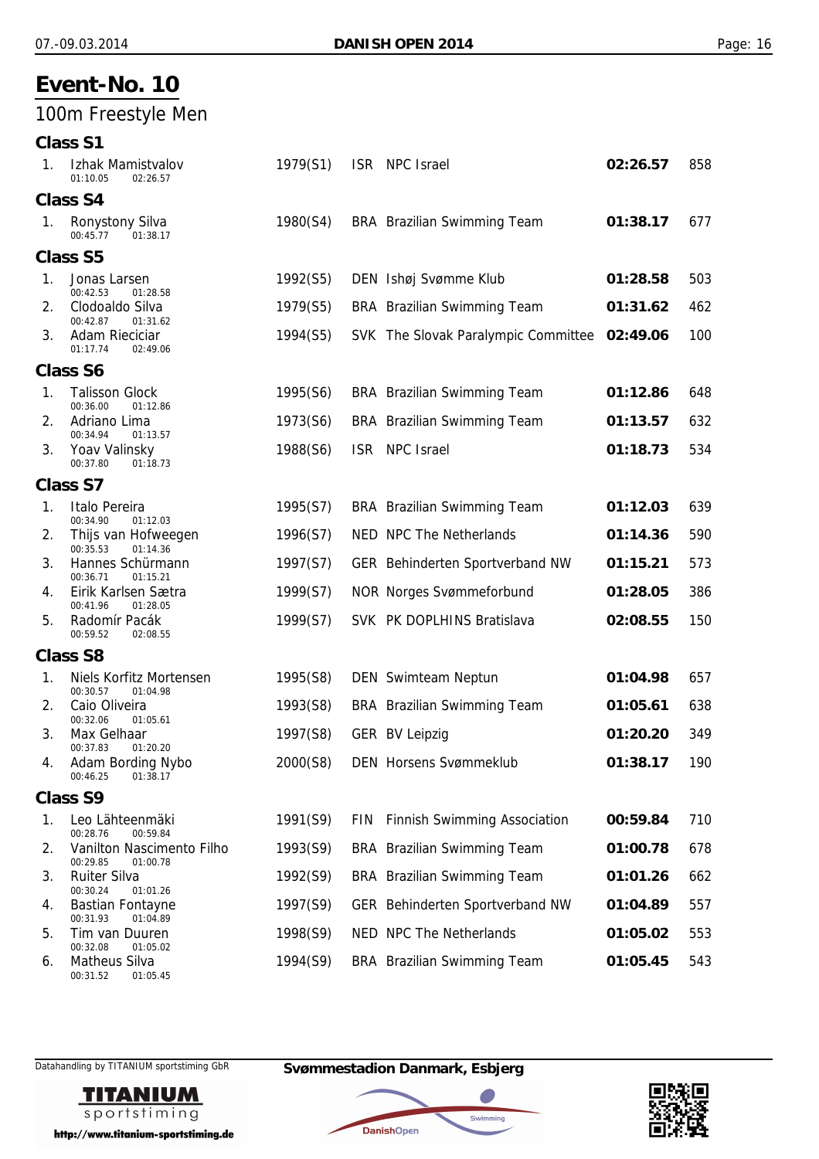## 100m Freestyle Men

|    | <b>Class S1</b>                                                   |          |            |                                     |          |     |
|----|-------------------------------------------------------------------|----------|------------|-------------------------------------|----------|-----|
| 1. | Izhak Mamistvalov<br>01:10.05<br>02:26.57                         | 1979(S1) |            | ISR NPC Israel                      | 02:26.57 | 858 |
|    | <b>Class S4</b>                                                   |          |            |                                     |          |     |
| 1. | <b>Ronystony Silva</b><br>00:45.77<br>01:38.17                    | 1980(S4) |            | <b>BRA</b> Brazilian Swimming Team  | 01:38.17 | 677 |
|    | <b>Class S5</b>                                                   |          |            |                                     |          |     |
| 1. | Jonas Larsen<br>00:42.53<br>01:28.58                              | 1992(S5) |            | DEN Ishøj Svømme Klub               | 01:28.58 | 503 |
| 2. | Clodoaldo Silva<br>00:42.87<br>01:31.62                           | 1979(S5) |            | <b>BRA</b> Brazilian Swimming Team  | 01:31.62 | 462 |
| 3. | <b>Adam Rieciciar</b><br>01:17.74<br>02:49.06                     | 1994(S5) |            | SVK The Slovak Paralympic Committee | 02:49.06 | 100 |
|    | <b>Class S6</b>                                                   |          |            |                                     |          |     |
| 1. | <b>Talisson Glock</b><br>00:36.00<br>01:12.86                     | 1995(S6) |            | <b>BRA</b> Brazilian Swimming Team  | 01:12.86 | 648 |
| 2. | Adriano Lima<br>00:34.94<br>01:13.57                              | 1973(S6) |            | BRA Brazilian Swimming Team         | 01:13.57 | 632 |
| 3. | Yoav Valinsky<br>00:37.80<br>01:18.73                             | 1988(S6) | <b>ISR</b> | NPC Israel                          | 01:18.73 | 534 |
|    | <b>Class S7</b>                                                   |          |            |                                     |          |     |
| 1. | Italo Pereira<br>00:34.90<br>01:12.03                             | 1995(S7) |            | <b>BRA</b> Brazilian Swimming Team  | 01:12.03 | 639 |
| 2. | Thijs van Hofweegen<br>00:35.53<br>01:14.36                       | 1996(S7) |            | NED NPC The Netherlands             | 01:14.36 | 590 |
| 3. | Hannes Schürmann<br>00:36.71<br>01:15.21                          | 1997(S7) |            | GER Behinderten Sportverband NW     | 01:15.21 | 573 |
| 4. | Eirik Karlsen Sætra<br>00:41.96<br>01:28.05                       | 1999(S7) |            | <b>NOR Norges Svømmeforbund</b>     | 01:28.05 | 386 |
| 5. | Radomír Pacák<br>00:59.52<br>02:08.55                             | 1999(S7) |            | SVK PK DOPLHINS Bratislava          | 02:08.55 | 150 |
|    | <b>Class S8</b>                                                   |          |            |                                     |          |     |
| 1. | Niels Korfitz Mortensen<br>00:30.57<br>01:04.98                   | 1995(S8) |            | DEN Swimteam Neptun                 | 01:04.98 | 657 |
| 2. | Caio Oliveira<br>00:32.06<br>01:05.61                             | 1993(S8) |            | <b>BRA</b> Brazilian Swimming Team  | 01:05.61 | 638 |
| 3. | Max Gelhaar                                                       | 1997(S8) |            | <b>GER BV Leipzig</b>               | 01:20.20 | 349 |
| 4. | 00:37.83<br>01:20.20<br>Adam Bording Nybo<br>00:46.25<br>01:38.17 | 2000(S8) |            | <b>DEN Horsens Svømmeklub</b>       | 01:38.17 | 190 |
|    | <b>Class S9</b>                                                   |          |            |                                     |          |     |
| 1. | Leo Lähteenmäki<br>00:28.76<br>00:59.84                           | 1991(S9) | <b>FIN</b> | <b>Finnish Swimming Association</b> | 00:59.84 | 710 |
| 2. | Vanilton Nascimento Filho<br>00:29.85<br>01:00.78                 | 1993(S9) |            | <b>BRA</b> Brazilian Swimming Team  | 01:00.78 | 678 |
| 3. | <b>Ruiter Silva</b><br>00:30.24                                   | 1992(S9) |            | BRA Brazilian Swimming Team         | 01:01.26 | 662 |
| 4. | 01:01.26<br><b>Bastian Fontayne</b><br>00:31.93<br>01:04.89       | 1997(S9) |            | GER Behinderten Sportverband NW     | 01:04.89 | 557 |
| 5. | Tim van Duuren<br>00:32.08<br>01:05.02                            | 1998(S9) |            | NED NPC The Netherlands             | 01:05.02 | 553 |
|    |                                                                   |          |            |                                     |          |     |

6. Matheus Silva 1994(S9) BRA Brazilian Swimming Team **01:05.45** 543 01:05.45

Datahandling by TITANIUM sportstiming GbR **Svømmestadion Danmark, Esbjerg**



http://www.titanium-sportstiming.de



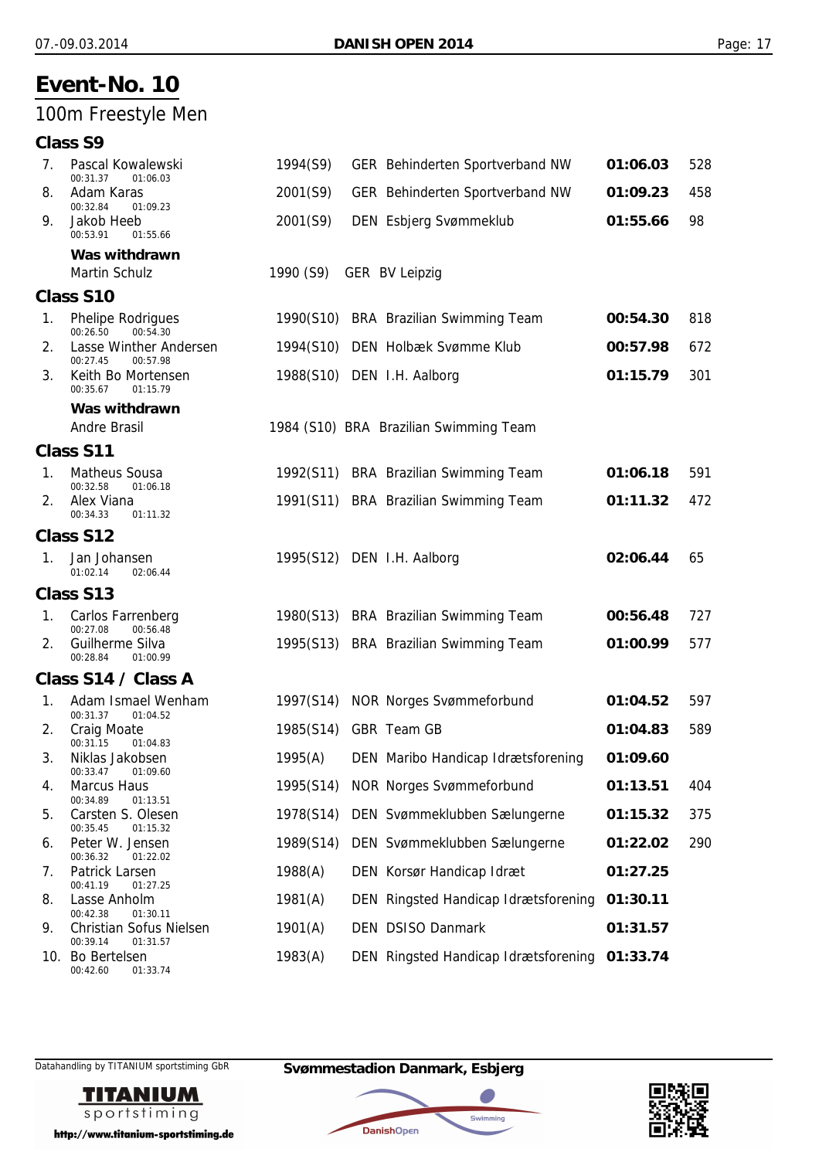## 100m Freestyle Men

#### **Class S9**

| 7. | Pascal Kowalewski<br>00:31.37<br>01:06.03       | 1994(S9)  | GER Behinderten Sportverband NW        | 01:06.03 | 528 |
|----|-------------------------------------------------|-----------|----------------------------------------|----------|-----|
| 8. | Adam Karas<br>00:32.84<br>01:09.23              | 2001(S9)  | GER Behinderten Sportverband NW        | 01:09.23 | 458 |
| 9. | Jakob Heeb<br>00:53.91<br>01:55.66              | 2001(S9)  | DEN Esbjerg Svømmeklub                 | 01:55.66 | 98  |
|    | Was withdrawn                                   |           |                                        |          |     |
|    | Martin Schulz                                   | 1990 (S9) | <b>GER BV Leipzig</b>                  |          |     |
|    | <b>Class S10</b>                                |           |                                        |          |     |
| 1. | Phelipe Rodrigues<br>00:26.50<br>00:54.30       |           | 1990(S10) BRA Brazilian Swimming Team  | 00:54.30 | 818 |
| 2. | Lasse Winther Andersen<br>00:27.45<br>00:57.98  | 1994(S10) | DEN Holbæk Svømme Klub                 | 00:57.98 | 672 |
| 3. | Keith Bo Mortensen<br>00:35.67<br>01:15.79      |           | 1988(S10) DEN I.H. Aalborg             | 01:15.79 | 301 |
|    | Was withdrawn                                   |           |                                        |          |     |
|    | <b>Andre Brasil</b>                             |           | 1984 (S10) BRA Brazilian Swimming Team |          |     |
|    | Class S11                                       |           |                                        |          |     |
| 1. | <b>Matheus Sousa</b><br>00:32.58<br>01:06.18    |           | 1992(S11) BRA Brazilian Swimming Team  | 01:06.18 | 591 |
| 2. | Alex Viana<br>00:34.33<br>01:11.32              |           | 1991(S11) BRA Brazilian Swimming Team  | 01:11.32 | 472 |
|    | Class S12                                       |           |                                        |          |     |
| 1. | Jan Johansen<br>01:02.14<br>02:06.44            |           | 1995(S12) DEN I.H. Aalborg             | 02:06.44 | 65  |
|    | Class S13                                       |           |                                        |          |     |
| 1. | Carlos Farrenberg<br>00:27.08<br>00:56.48       |           | 1980(S13) BRA Brazilian Swimming Team  | 00:56.48 | 727 |
| 2. | Guilherme Silva<br>00:28.84<br>01:00.99         |           | 1995(S13) BRA Brazilian Swimming Team  | 01:00.99 | 577 |
|    | Class S14 / Class A                             |           |                                        |          |     |
| 1. | Adam Ismael Wenham<br>00:31.37<br>01:04.52      | 1997(S14) | <b>NOR Norges Svømmeforbund</b>        | 01:04.52 | 597 |
| 2. | Craig Moate<br>00:31.15<br>01:04.83             | 1985(S14) | GBR Team GB                            | 01:04.83 | 589 |
| 3. | Niklas Jakobsen<br>00:33.47 01:09.60            | 1995(A)   | DEN Maribo Handicap Idrætsforening     | 01:09.60 |     |
| 4. | <b>Marcus Haus</b><br>00:34.89<br>01:13.51      | 1995(S14) | <b>NOR Norges Svømmeforbund</b>        | 01:13.51 | 404 |
| 5. | Carsten S. Olesen<br>00:35.45<br>01:15.32       | 1978(S14) | DEN Svømmeklubben Sælungerne           | 01:15.32 | 375 |
| 6. | Peter W. Jensen<br>00:36.32<br>01:22.02         | 1989(S14) | DEN Svømmeklubben Sælungerne           | 01:22.02 | 290 |
| 7. | Patrick Larsen<br>00:41.19<br>01:27.25          | 1988(A)   | DEN Korsør Handicap Idræt              | 01:27.25 |     |
| 8. | Lasse Anholm<br>00:42.38<br>01:30.11            | 1981(A)   | DEN Ringsted Handicap Idrætsforening   | 01:30.11 |     |
| 9. | Christian Sofus Nielsen<br>00:39.14<br>01:31.57 | 1901(A)   | DEN DSISO Danmark                      | 01:31.57 |     |
|    | 10. Bo Bertelsen<br>00:42.60<br>01:33.74        | 1983(A)   | DEN Ringsted Handicap Idrætsforening   | 01:33.74 |     |



Datahandling by TITANIUM sportstiming GbR **Svømmestadion Danmark, Esbjerg**

**DanishOpen** 

Swimming

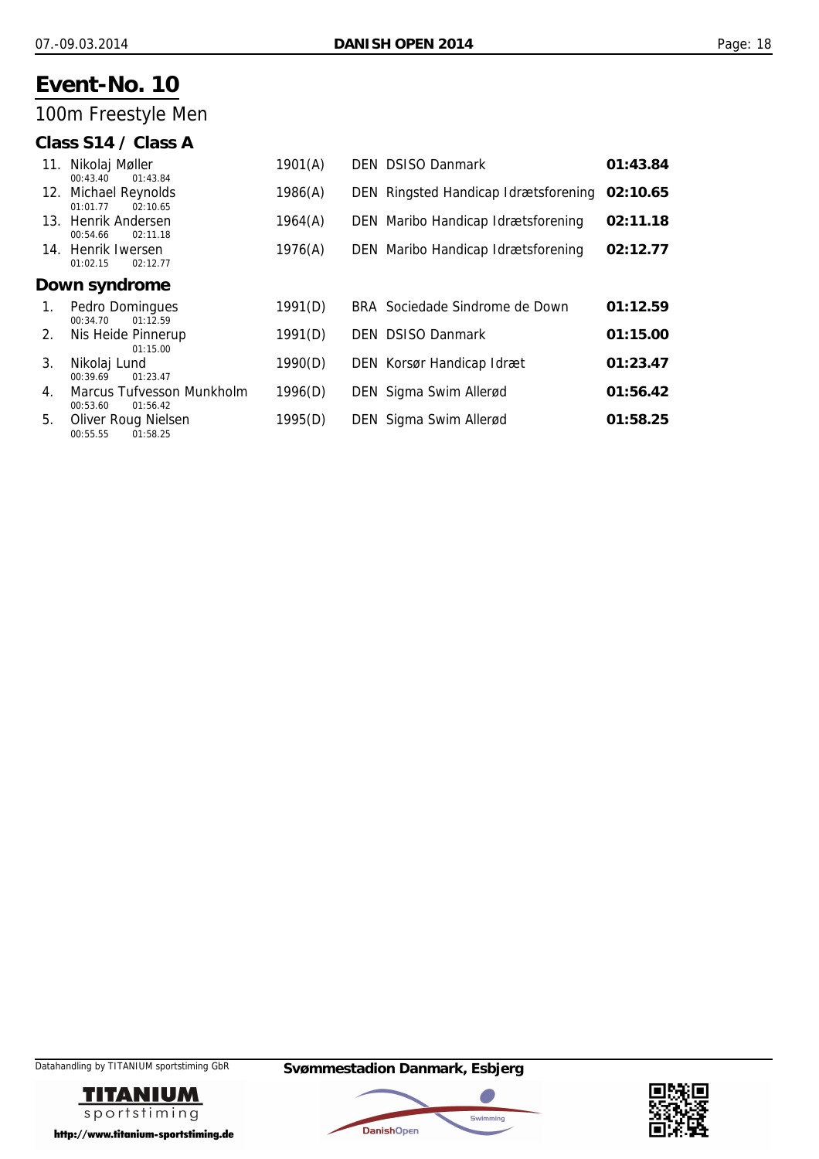## 100m Freestyle Men

### **Class S14 / Class A**

|    | 11. Nikolaj Møller<br>00:43.40<br>01:43.84         | 1901(A) | <b>DEN DSISO Danmark</b>             | 01:43.84 |
|----|----------------------------------------------------|---------|--------------------------------------|----------|
|    | 12. Michael Reynolds<br>02:10.65<br>01:01.77       | 1986(A) | DEN Ringsted Handicap Idrætsforening | 02:10.65 |
|    | 13. Henrik Andersen<br>00:54.66<br>02:11.18        | 1964(A) | DEN Maribo Handicap Idrætsforening   | 02:11.18 |
|    | 14. Henrik Iwersen<br>01:02.15<br>02:12.77         | 1976(A) | DEN Maribo Handicap Idrætsforening   | 02:12.77 |
|    | Down syndrome                                      |         |                                      |          |
| 1. | Pedro Domingues<br>01:12.59<br>00:34.70            | 1991(D) | BRA Sociedade Sindrome de Down       | 01:12.59 |
| 2. | Nis Heide Pinnerup<br>01:15.00                     | 1991(D) | <b>DEN DSISO Danmark</b>             | 01:15.00 |
| 3. | Nikolaj Lund<br>00:39.69<br>01:23.47               | 1990(D) | DEN Korsør Handicap Idræt            | 01:23.47 |
| 4. | Marcus Tufvesson Munkholm<br>00:53.60<br>01:56.42  | 1996(D) | DEN Sigma Swim Allerød               | 01:56.42 |
| 5. | <b>Oliver Roug Nielsen</b><br>01:58.25<br>00:55.55 | 1995(D) | DEN Sigma Swim Allerød               | 01:58.25 |





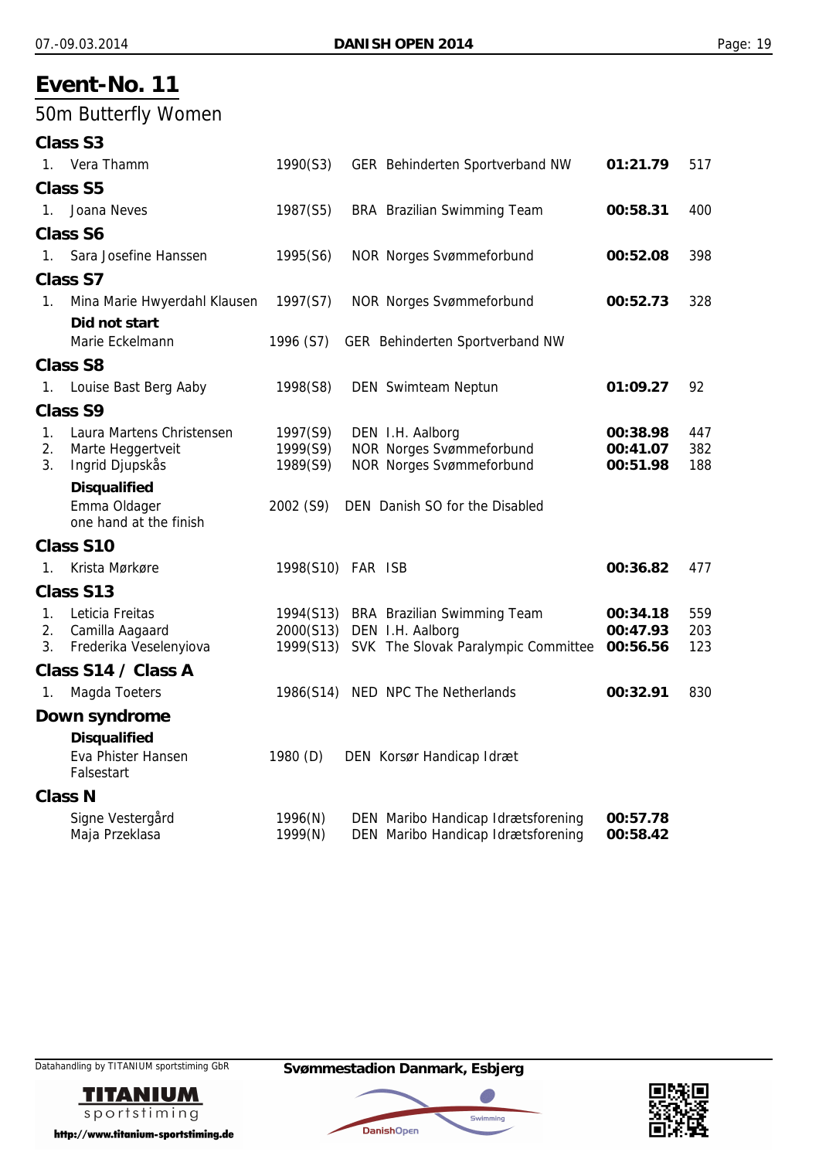## 50m Butterfly Women

| Class S <sub>3</sub> |  |
|----------------------|--|
| <b>Ulara Thamm</b>   |  |

| 1.          | Vera Thamm                             | 1990(S3)             | GER Behinderten Sportverband NW                                    | 01:21.79             | 517        |
|-------------|----------------------------------------|----------------------|--------------------------------------------------------------------|----------------------|------------|
|             | <b>Class S5</b>                        |                      |                                                                    |                      |            |
| $1_{\cdot}$ | Joana Neves                            | 1987(S5)             | <b>BRA</b> Brazilian Swimming Team                                 | 00:58.31             | 400        |
|             | <b>Class S6</b>                        |                      |                                                                    |                      |            |
| $1_{\cdot}$ | Sara Josefine Hanssen                  | 1995(S6)             | <b>NOR Norges Svømmeforbund</b>                                    | 00:52.08             | 398        |
|             | <b>Class S7</b>                        |                      |                                                                    |                      |            |
| 1.          | Mina Marie Hwyerdahl Klausen           | 1997(S7)             | <b>NOR Norges Svømmeforbund</b>                                    | 00:52.73             | 328        |
|             | Did not start                          |                      |                                                                    |                      |            |
|             | Marie Eckelmann                        | 1996 (S7)            | GER Behinderten Sportverband NW                                    |                      |            |
|             | <b>Class S8</b>                        |                      |                                                                    |                      |            |
| 1.          | Louise Bast Berg Aaby                  | 1998(S8)             | <b>DEN</b> Swimteam Neptun                                         | 01:09.27             | 92         |
|             | <b>Class S9</b>                        |                      |                                                                    |                      |            |
| 1.          | Laura Martens Christensen              | 1997(S9)             | DEN I.H. Aalborg                                                   | 00:38.98             | 447        |
| 2.<br>3.    | Marte Heggertveit<br>Ingrid Djupskås   | 1999(S9)<br>1989(S9) | <b>NOR Norges Svømmeforbund</b><br><b>NOR Norges Svømmeforbund</b> | 00:41.07<br>00:51.98 | 382<br>188 |
|             | <b>Disqualified</b>                    |                      |                                                                    |                      |            |
|             | Emma Oldager<br>one hand at the finish | 2002 (S9)            | DEN Danish SO for the Disabled                                     |                      |            |
|             | Class S10                              |                      |                                                                    |                      |            |
| $1_{-}$     | Krista Mørkøre                         | 1998(S10) FAR ISB    |                                                                    | 00:36.82             | 477        |
|             | Class S13                              |                      |                                                                    |                      |            |
| $1_{\cdot}$ | Leticia Freitas                        |                      | 1994(S13) BRA Brazilian Swimming Team                              | 00:34.18             | 559        |
| 2.          | Camilla Aagaard                        |                      | 2000(S13) DEN I.H. Aalborg                                         | 00:47.93             | 203        |
| 3.          | Frederika Veselenyiova                 |                      | 1999(S13) SVK The Slovak Paralympic Committee                      | 00:56.56             | 123        |
|             | Class S14 / Class A                    |                      |                                                                    |                      |            |
| 1.          | Magda Toeters                          | 1986(S14)            | NED NPC The Netherlands                                            | 00:32.91             | 830        |
|             | Down syndrome                          |                      |                                                                    |                      |            |
|             | <b>Disqualified</b>                    |                      |                                                                    |                      |            |
|             | Eva Phister Hansen<br>Falsestart       | 1980 (D)             | DEN Korsør Handicap Idræt                                          |                      |            |
|             | <b>Class N</b>                         |                      |                                                                    |                      |            |
|             | Signe Vestergård                       | 1996(N)              | DEN Maribo Handicap Idrætsforening                                 | 00:57.78             |            |
|             | Maja Przeklasa                         | 1999(N)              | DEN Maribo Handicap Idrætsforening                                 | 00:58.42             |            |





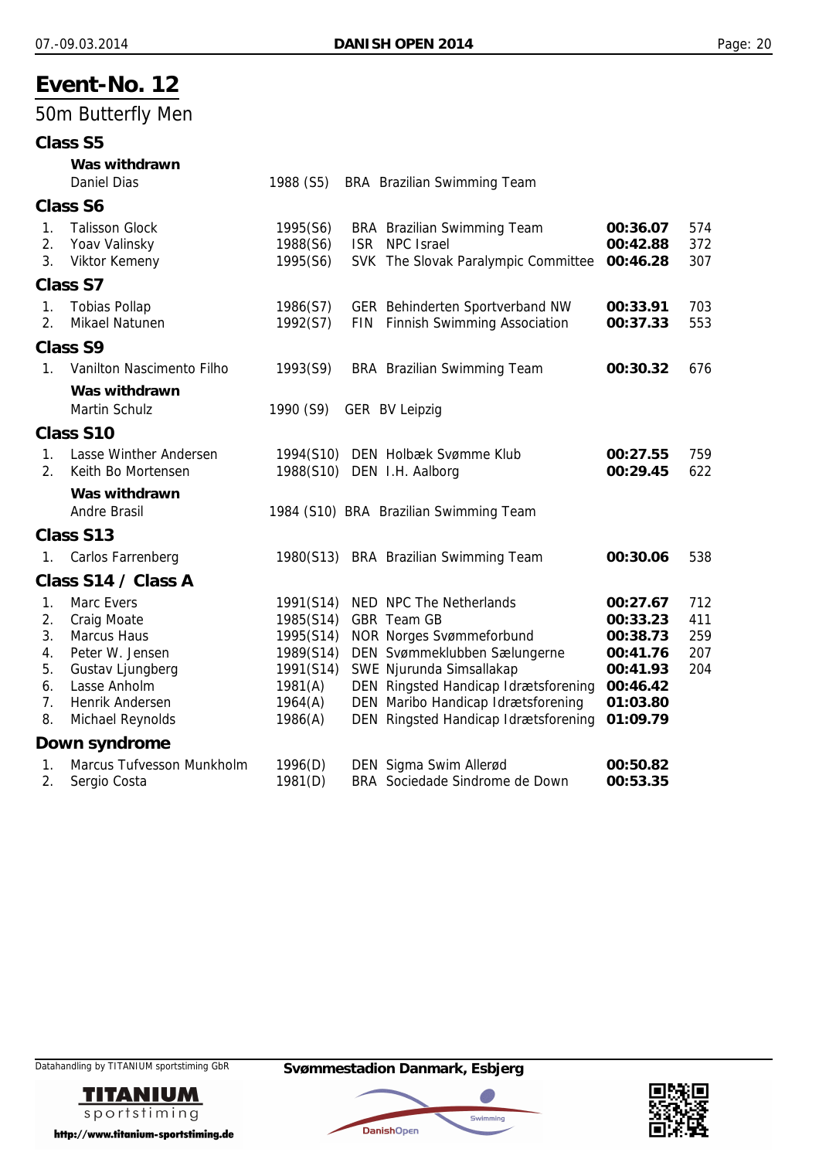## 50m Butterfly Men

|                | <b>Class S5</b>           |           |            |                                                                            |                      |     |
|----------------|---------------------------|-----------|------------|----------------------------------------------------------------------------|----------------------|-----|
|                | Was withdrawn             |           |            |                                                                            |                      |     |
|                | <b>Daniel Dias</b>        | 1988 (S5) |            | BRA Brazilian Swimming Team                                                |                      |     |
|                | <b>Class S6</b>           |           |            |                                                                            |                      |     |
| $\mathbf{1}$ . | <b>Talisson Glock</b>     | 1995(S6)  |            | <b>BRA</b> Brazilian Swimming Team                                         | 00:36.07             | 574 |
| 2.             | Yoav Valinsky             | 1988(S6)  | <b>ISR</b> | <b>NPC Israel</b>                                                          | 00:42.88             | 372 |
| 3.             | Viktor Kemeny             | 1995(S6)  |            | SVK The Slovak Paralympic Committee                                        | 00:46.28             | 307 |
|                | <b>Class S7</b>           |           |            |                                                                            |                      |     |
| 1.             | <b>Tobias Pollap</b>      | 1986(S7)  |            | GER Behinderten Sportverband NW                                            | 00:33.91             | 703 |
| 2.             | Mikael Natunen            | 1992(S7)  |            | FIN Finnish Swimming Association                                           | 00:37.33             | 553 |
|                | <b>Class S9</b>           |           |            |                                                                            |                      |     |
| $1_{\cdot}$    | Vanilton Nascimento Filho | 1993(S9)  |            | <b>BRA</b> Brazilian Swimming Team                                         | 00:30.32             | 676 |
|                | Was withdrawn             |           |            |                                                                            |                      |     |
|                | Martin Schulz             | 1990 (S9) |            | GER BV Leipzig                                                             |                      |     |
|                | <b>Class S10</b>          |           |            |                                                                            |                      |     |
| 1.             | Lasse Winther Andersen    |           |            | 1994(S10) DEN Holbæk Svømme Klub                                           | 00:27.55             | 759 |
| 2.             | Keith Bo Mortensen        |           |            | 1988(S10) DEN I.H. Aalborg                                                 | 00:29.45             | 622 |
|                | Was withdrawn             |           |            |                                                                            |                      |     |
|                | <b>Andre Brasil</b>       |           |            | 1984 (S10) BRA Brazilian Swimming Team                                     |                      |     |
|                | <b>Class S13</b>          |           |            |                                                                            |                      |     |
| 1.             | Carlos Farrenberg         |           |            | 1980(S13) BRA Brazilian Swimming Team                                      | 00:30.06             | 538 |
|                | Class S14 / Class A       |           |            |                                                                            |                      |     |
| 1.             | Marc Evers                | 1991(S14) |            | NED NPC The Netherlands                                                    | 00:27.67             | 712 |
| 2.             | <b>Craig Moate</b>        | 1985(S14) |            | GBR Team GB                                                                | 00:33.23             | 411 |
| 3.             | <b>Marcus Haus</b>        | 1995(S14) |            | <b>NOR Norges Svømmeforbund</b>                                            | 00:38.73             | 259 |
| 4.             | Peter W. Jensen           | 1989(S14) |            | DEN Svømmeklubben Sælungerne                                               | 00:41.76             | 207 |
| 5.             | Gustav Ljungberg          | 1991(S14) |            | SWE Njurunda Simsallakap                                                   | 00:41.93             | 204 |
| 6.             | Lasse Anholm              | 1981(A)   |            | DEN Ringsted Handicap Idrætsforening                                       | 00:46.42             |     |
| 7.<br>8.       | Henrik Andersen           | 1964(A)   |            | DEN Maribo Handicap Idrætsforening<br>DEN Ringsted Handicap Idrætsforening | 01:03.80<br>01:09.79 |     |
|                | Michael Reynolds          | 1986(A)   |            |                                                                            |                      |     |
|                | Down syndrome             |           |            |                                                                            |                      |     |
| 1.             | Marcus Tufvesson Munkholm | 1996(D)   |            | DEN Sigma Swim Allerød                                                     | 00:50.82             |     |
| 2.             | Sergio Costa              | 1981(D)   |            | BRA Sociedade Sindrome de Down                                             | 00:53.35             |     |





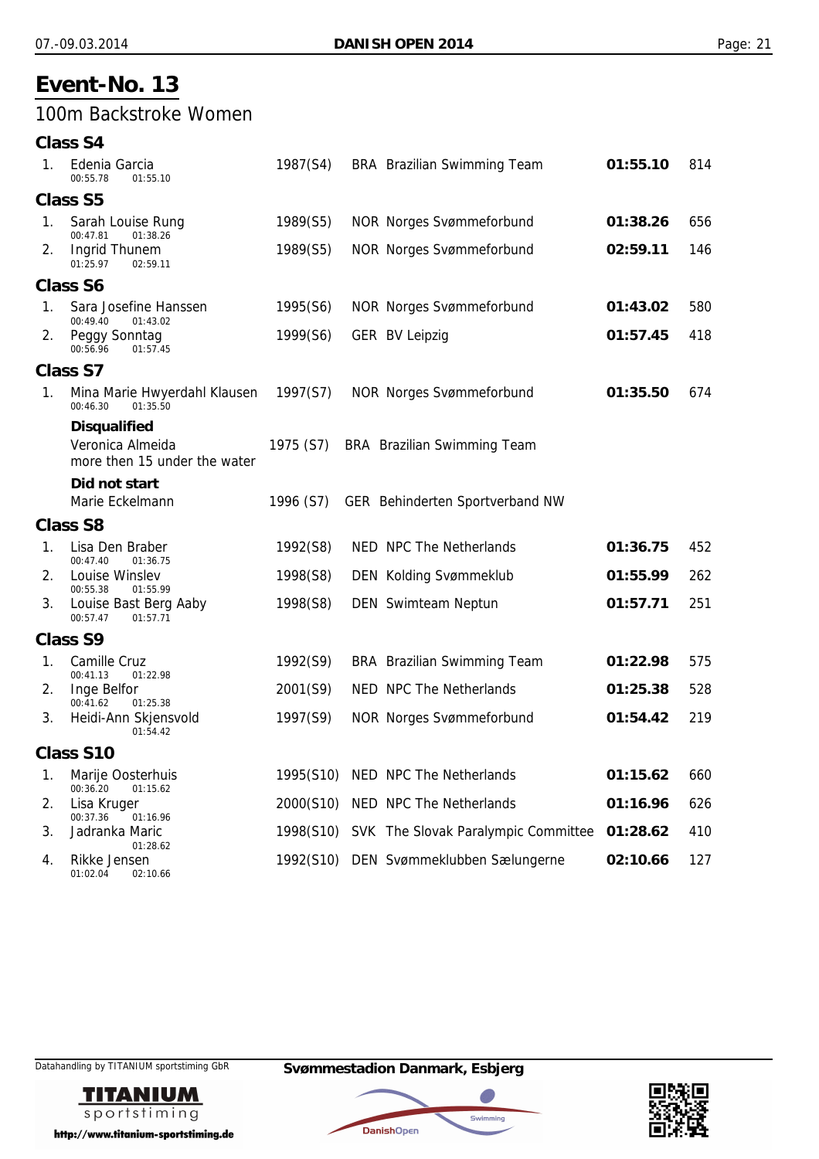### 100m Backstroke Women

| <b>Class S4</b> |  |
|-----------------|--|
|                 |  |

| 1. | Edenia Garcia<br>00:55.78<br>01:55.10                                   | 1987(S4)  | BRA Brazilian Swimming Team            | 01:55.10 | 814 |
|----|-------------------------------------------------------------------------|-----------|----------------------------------------|----------|-----|
|    | <b>Class S5</b>                                                         |           |                                        |          |     |
| 1. | Sarah Louise Rung<br>01:38.26<br>00:47.81                               | 1989(S5)  | <b>NOR Norges Svømmeforbund</b>        | 01:38.26 | 656 |
| 2. | Ingrid Thunem<br>01:25.97<br>02:59.11                                   | 1989(S5)  | <b>NOR Norges Svømmeforbund</b>        | 02:59.11 | 146 |
|    | <b>Class S6</b>                                                         |           |                                        |          |     |
| 1. | Sara Josefine Hanssen<br>00:49.40<br>01:43.02                           | 1995(S6)  | <b>NOR Norges Svømmeforbund</b>        | 01:43.02 | 580 |
| 2. | Peggy Sonntag<br>00:56.96<br>01:57.45                                   | 1999(S6)  | <b>GER BV Leipzig</b>                  | 01:57.45 | 418 |
|    | <b>Class S7</b>                                                         |           |                                        |          |     |
| 1. | Mina Marie Hwyerdahl Klausen<br>00:46.30<br>01:35.50                    | 1997(S7)  | <b>NOR Norges Svømmeforbund</b>        | 01:35.50 | 674 |
|    | <b>Disqualified</b><br>Veronica Almeida<br>more then 15 under the water | 1975 (S7) | BRA Brazilian Swimming Team            |          |     |
|    | Did not start                                                           |           |                                        |          |     |
|    | Marie Eckelmann                                                         | 1996 (S7) | GER Behinderten Sportverband NW        |          |     |
|    | <b>Class S8</b>                                                         |           |                                        |          |     |
| 1. | Lisa Den Braber<br>00:47.40<br>01:36.75                                 | 1992(S8)  | NED NPC The Netherlands                | 01:36.75 | 452 |
| 2. | Louise Winslev<br>00:55.38<br>01:55.99                                  | 1998(S8)  | <b>DEN Kolding Svømmeklub</b>          | 01:55.99 | 262 |
| 3. | Louise Bast Berg Aaby<br>00:57.47<br>01:57.71                           | 1998(S8)  | DEN Swimteam Neptun                    | 01:57.71 | 251 |
|    | <b>Class S9</b>                                                         |           |                                        |          |     |
| 1. | Camille Cruz<br>00:41.13<br>01:22.98                                    | 1992(S9)  | BRA Brazilian Swimming Team            | 01:22.98 | 575 |
| 2. | Inge Belfor<br>00:41.62<br>01:25.38                                     | 2001(S9)  | NED NPC The Netherlands                | 01:25.38 | 528 |
| 3. | Heidi-Ann Skjensvold<br>01:54.42                                        | 1997(S9)  | <b>NOR Norges Svømmeforbund</b>        | 01:54.42 | 219 |
|    | <b>Class S10</b>                                                        |           |                                        |          |     |
| 1. | Marije Oosterhuis<br>00:36.20<br>01:15.62                               |           | 1995(S10) NED NPC The Netherlands      | 01:15.62 | 660 |
| 2. | Lisa Kruger<br>00:37.36<br>01:16.96                                     |           | 2000(S10) NED NPC The Netherlands      | 01:16.96 | 626 |
| 3. | Jadranka Maric<br>01:28.62                                              | 1998(S10) | SVK The Slovak Paralympic Committee    | 01:28.62 | 410 |
| 4. | Rikke Jensen<br>01:02.04<br>02:10.66                                    |           | 1992(S10) DEN Svømmeklubben Sælungerne | 02:10.66 | 127 |





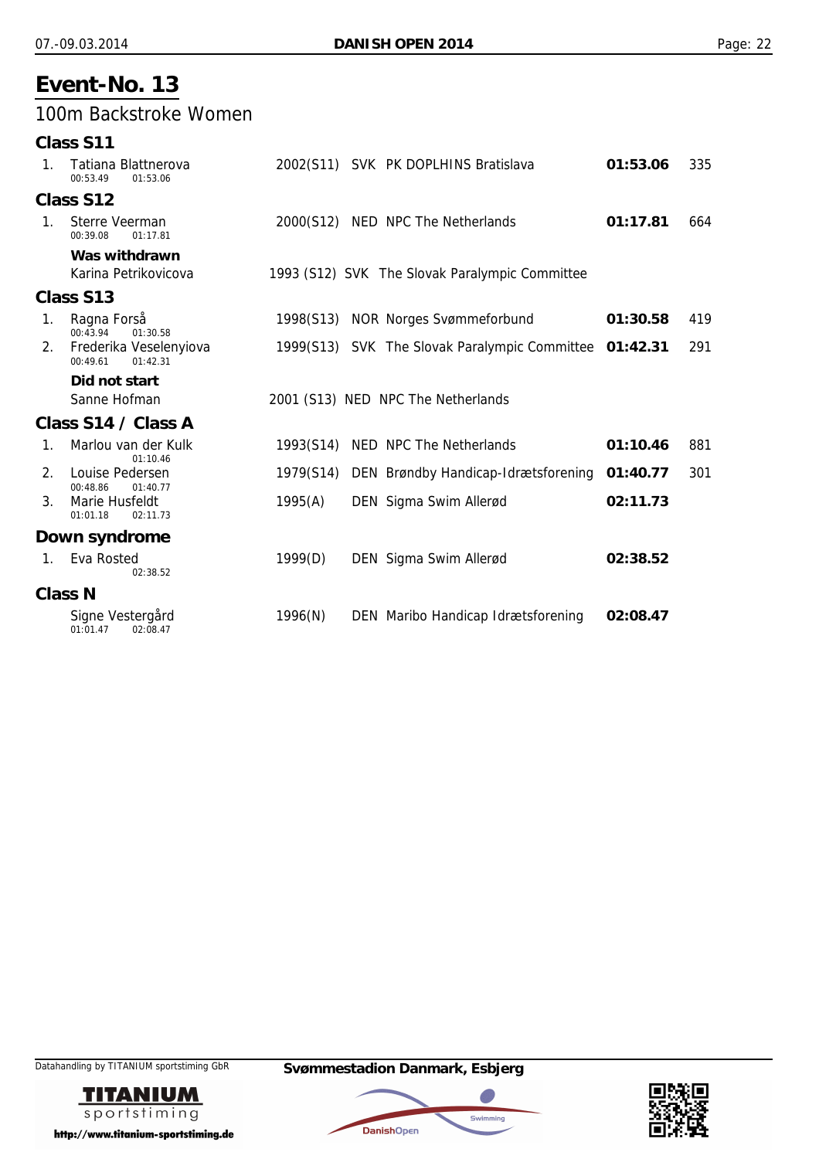### 100m Backstroke Women

|                | Class S11                                      |           |                                                        |          |     |
|----------------|------------------------------------------------|-----------|--------------------------------------------------------|----------|-----|
| $\mathbf{1}$ . | Tatiana Blattnerova<br>00:53.49<br>01:53.06    |           | 2002(S11) SVK PK DOPLHINS Bratislava                   | 01:53.06 | 335 |
|                | Class S12                                      |           |                                                        |          |     |
| $1_{\cdot}$    | Sterre Veerman<br>00:39.08<br>01:17.81         |           | 2000(S12) NED NPC The Netherlands                      | 01:17.81 | 664 |
|                | Was withdrawn                                  |           |                                                        |          |     |
|                | Karina Petrikovicova                           |           | 1993 (S12) SVK The Slovak Paralympic Committee         |          |     |
|                | Class S13                                      |           |                                                        |          |     |
| 1.             | Ragna Forså<br>00:43.94<br>01:30.58            |           | 1998(S13) NOR Norges Svømmeforbund                     | 01:30.58 | 419 |
| 2.             | Frederika Veselenyiova<br>00:49.61<br>01:42.31 |           | 1999(S13) SVK The Slovak Paralympic Committee 01:42.31 |          | 291 |
|                | Did not start                                  |           |                                                        |          |     |
|                | Sanne Hofman                                   |           | 2001 (S13) NED NPC The Netherlands                     |          |     |
|                | Class S14 / Class A                            |           |                                                        |          |     |
| $1_{\cdot}$    | Marlou van der Kulk<br>01:10.46                | 1993(S14) | NED NPC The Netherlands                                | 01:10.46 | 881 |
| 2.             | Louise Pedersen<br>00:48.86<br>01:40.77        | 1979(S14) | DEN Brøndby Handicap-Idrætsforening                    | 01:40.77 | 301 |
| 3.             | Marie Husfeldt<br>01:01.18<br>02:11.73         | 1995(A)   | DEN Sigma Swim Allerød                                 | 02:11.73 |     |
|                | Down syndrome                                  |           |                                                        |          |     |
| $\mathbf{1}$ . | Eva Rosted<br>02:38.52                         | 1999(D)   | DEN Sigma Swim Allerød                                 | 02:38.52 |     |
| <b>Class N</b> |                                                |           |                                                        |          |     |
|                | Signe Vestergård<br>01:01.47<br>02:08.47       | 1996(N)   | DEN Maribo Handicap Idrætsforening                     | 02:08.47 |     |





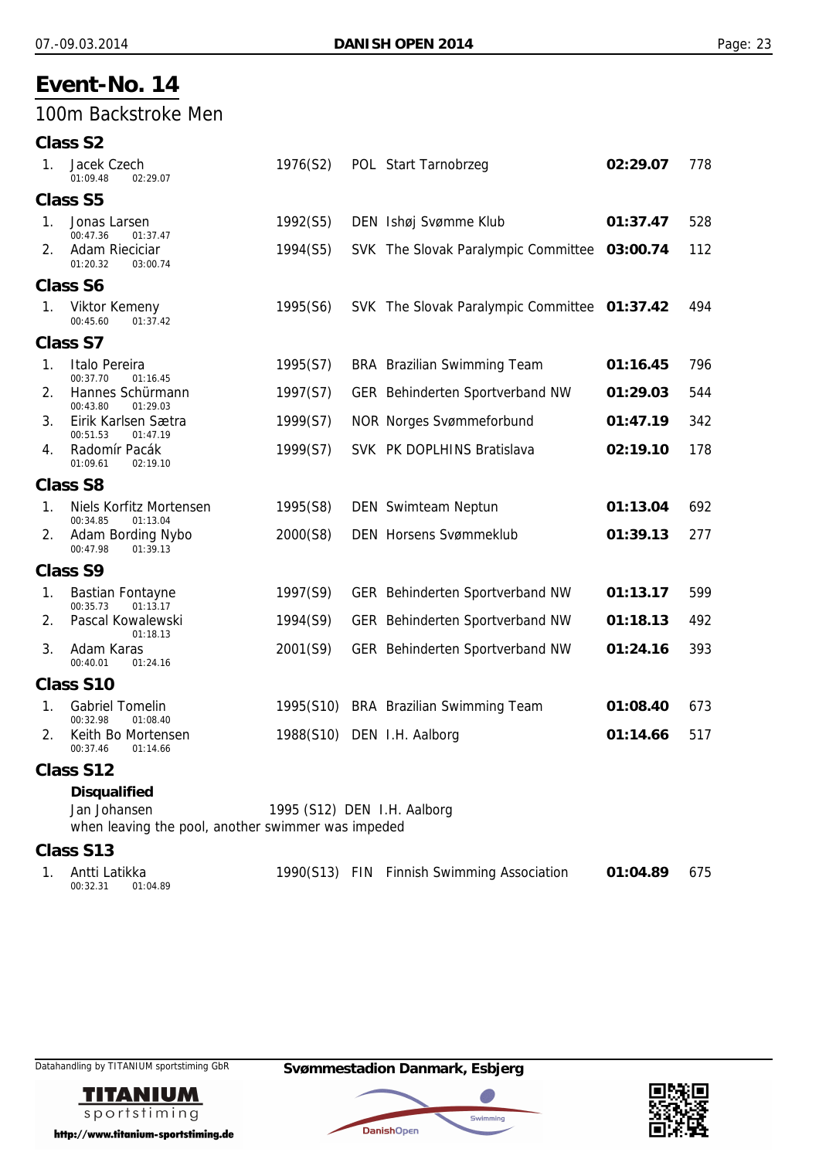### 100m Backstroke Men

**Class S2**

| 1.          | Jacek Czech<br>01:09.48<br>02:29.07                                                       | 1976(S2)                    | POL Start Tarnobrzeg                         | 02:29.07 | 778 |
|-------------|-------------------------------------------------------------------------------------------|-----------------------------|----------------------------------------------|----------|-----|
|             | <b>Class S5</b>                                                                           |                             |                                              |          |     |
| $1_{\cdot}$ | Jonas Larsen<br>00:47.36<br>01:37.47                                                      | 1992(S5)                    | DEN Ishøj Svømme Klub                        | 01:37.47 | 528 |
| 2.          | Adam Rieciciar<br>01:20.32<br>03:00.74                                                    | 1994(S5)                    | SVK The Slovak Paralympic Committee 03:00.74 |          | 112 |
|             | <b>Class S6</b>                                                                           |                             |                                              |          |     |
| 1.          | <b>Viktor Kemeny</b><br>01:37.42<br>00:45.60                                              | 1995(S6)                    | SVK The Slovak Paralympic Committee 01:37.42 |          | 494 |
|             | <b>Class S7</b>                                                                           |                             |                                              |          |     |
| 1.          | Italo Pereira<br>00:37.70<br>01:16.45                                                     | 1995(S7)                    | <b>BRA</b> Brazilian Swimming Team           | 01:16.45 | 796 |
| 2.          | Hannes Schürmann<br>00:43.80<br>01:29.03                                                  | 1997(S7)                    | GER Behinderten Sportverband NW              | 01:29.03 | 544 |
| 3.          | Eirik Karlsen Sætra<br>00:51.53<br>01:47.19                                               | 1999(S7)                    | <b>NOR Norges Svømmeforbund</b>              | 01:47.19 | 342 |
| 4.          | Radomír Pacák<br>01:09.61<br>02:19.10                                                     | 1999(S7)                    | SVK PK DOPLHINS Bratislava                   | 02:19.10 | 178 |
|             | <b>Class S8</b>                                                                           |                             |                                              |          |     |
| 1.          | Niels Korfitz Mortensen<br>00:34.85<br>01:13.04                                           | 1995(S8)                    | <b>DEN</b> Swimteam Neptun                   | 01:13.04 | 692 |
| 2.          | Adam Bording Nybo<br>00:47.98<br>01:39.13                                                 | 2000(S8)                    | <b>DEN Horsens Svømmeklub</b>                | 01:39.13 | 277 |
|             | <b>Class S9</b>                                                                           |                             |                                              |          |     |
| 1.          | <b>Bastian Fontayne</b><br>01:13.17<br>00:35.73                                           | 1997(S9)                    | GER Behinderten Sportverband NW              | 01:13.17 | 599 |
| 2.          | Pascal Kowalewski<br>01:18.13                                                             | 1994(S9)                    | GER Behinderten Sportverband NW              | 01:18.13 | 492 |
| 3.          | Adam Karas<br>00:40.01<br>01:24.16                                                        | 2001(S9)                    | GER Behinderten Sportverband NW              | 01:24.16 | 393 |
|             | <b>Class S10</b>                                                                          |                             |                                              |          |     |
| 1.          | <b>Gabriel Tomelin</b><br>00:32.98<br>01:08.40                                            |                             | 1995(S10) BRA Brazilian Swimming Team        | 01:08.40 | 673 |
| 2.          | Keith Bo Mortensen<br>00:37.46<br>01:14.66                                                |                             | 1988(S10) DEN I.H. Aalborg                   | 01:14.66 | 517 |
|             | Class S12                                                                                 |                             |                                              |          |     |
|             | <b>Disqualified</b><br>Jan Johansen<br>when leaving the pool, another swimmer was impeded | 1995 (S12) DEN I.H. Aalborg |                                              |          |     |
|             | Class S13                                                                                 |                             |                                              |          |     |

1. Antti Latikka 1990(S13) FIN Finnish Swimming Association **01:04.89** 675<br>00:32.31 01:04.89  $01:04.89$ 



http://www.titanium-sportstiming.de

Datahandling by TITANIUM sportstiming GbR **Svømmestadion Danmark, Esbjerg**



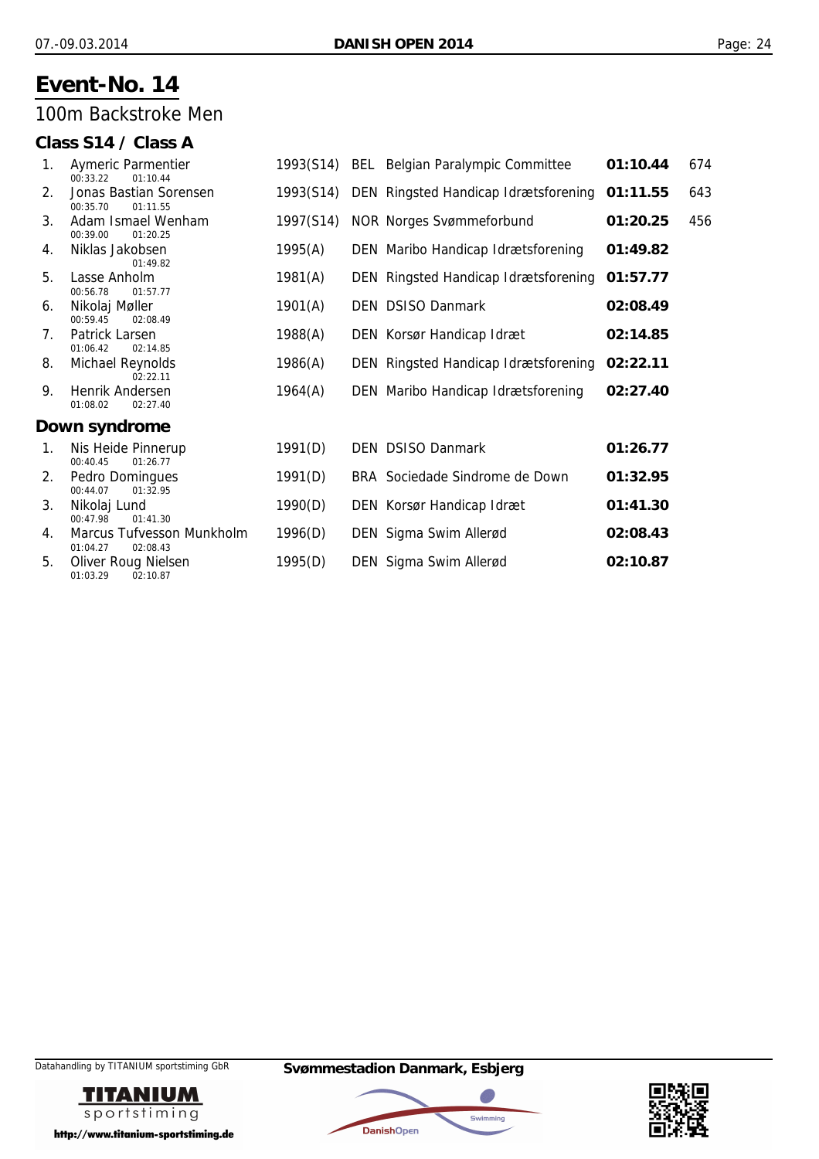### 100m Backstroke Men

### **Class S14 / Class A**

| 1. | Aymeric Parmentier<br>00:33.22<br>01:10.44        | 1993(S14) | <b>BEL</b> Belgian Paralympic Committee | 01:10.44 | 674 |
|----|---------------------------------------------------|-----------|-----------------------------------------|----------|-----|
| 2. | Jonas Bastian Sorensen<br>00:35.70<br>01:11.55    | 1993(S14) | DEN Ringsted Handicap Idrætsforening    | 01:11.55 | 643 |
| 3. | Adam Ismael Wenham<br>00:39.00<br>01:20.25        | 1997(S14) | <b>NOR Norges Svømmeforbund</b>         | 01:20.25 | 456 |
| 4. | Niklas Jakobsen<br>01:49.82                       | 1995(A)   | DEN Maribo Handicap Idrætsforening      | 01:49.82 |     |
| 5. | Lasse Anholm<br>00:56.78<br>01:57.77              | 1981(A)   | DEN Ringsted Handicap Idrætsforening    | 01:57.77 |     |
| 6. | Nikolaj Møller<br>00:59.45<br>02:08.49            | 1901(A)   | DEN DSISO Danmark                       | 02:08.49 |     |
| 7. | Patrick Larsen<br>01:06.42<br>02:14.85            | 1988(A)   | DEN Korsør Handicap Idræt               | 02:14.85 |     |
| 8. | Michael Reynolds<br>02:22.11                      | 1986(A)   | DEN Ringsted Handicap Idrætsforening    | 02:22.11 |     |
| 9. | Henrik Andersen<br>01:08.02<br>02:27.40           | 1964(A)   | DEN Maribo Handicap Idrætsforening      | 02:27.40 |     |
|    | Down syndrome                                     |           |                                         |          |     |
| 1. | Nis Heide Pinnerup<br>00:40.45<br>01:26.77        | 1991(D)   | DEN DSISO Danmark                       | 01:26.77 |     |
| 2. | Pedro Domingues<br>00:44.07<br>01:32.95           | 1991(D)   | BRA Sociedade Sindrome de Down          | 01:32.95 |     |
| 3. | Nikolaj Lund<br>00:47.98<br>01:41.30              | 1990(D)   | DEN Korsør Handicap Idræt               | 01:41.30 |     |
| 4. | Marcus Tufvesson Munkholm<br>01:04.27<br>02:08.43 | 1996(D)   | DEN Sigma Swim Allerød                  | 02:08.43 |     |
| 5. | Oliver Roug Nielsen<br>01:03.29<br>02:10.87       | 1995(D)   | DEN Sigma Swim Allerød                  | 02:10.87 |     |





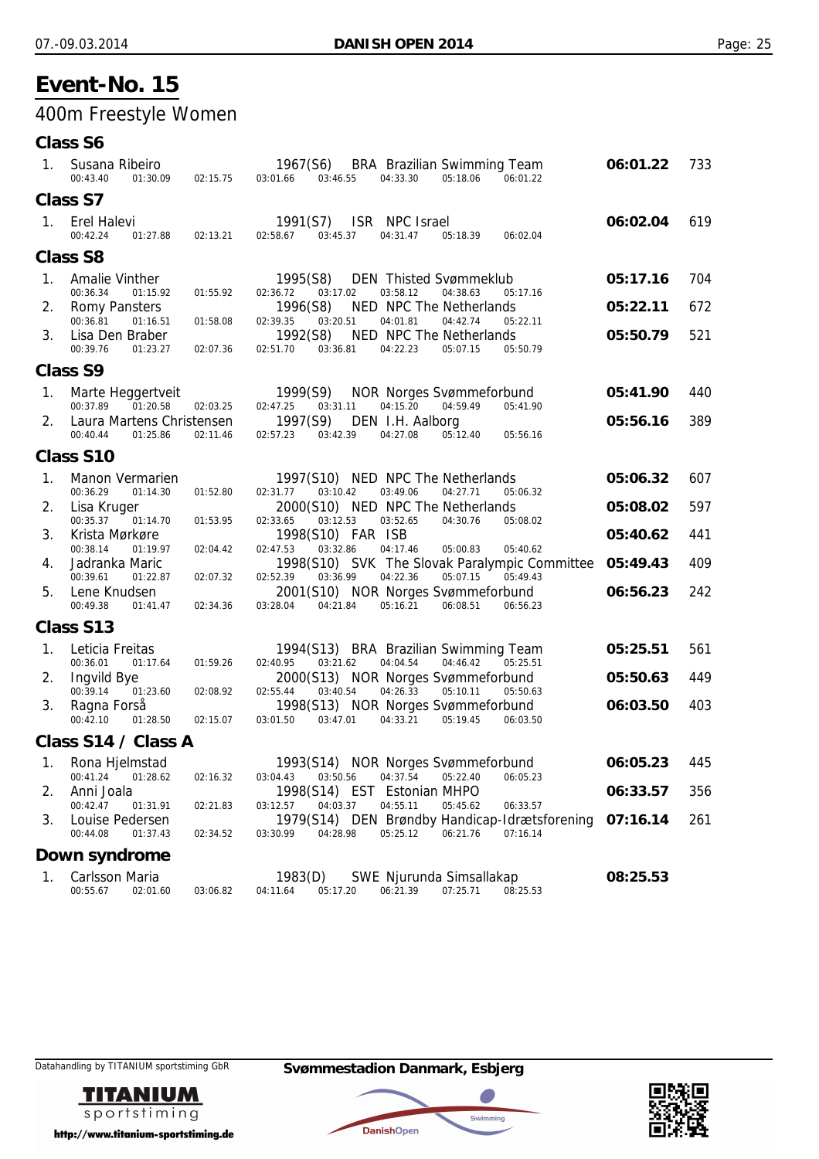## 400m Freestyle Women

### **Class S6**

| 1. | Susana Ribeiro<br>00:43.40<br>01:30.09                          | 02:15.75             | 1967(S6)<br>BRA Brazilian Swimming Team<br>03:01.66<br>03:46.55<br>04:33.30<br>05:18.06<br>06:01.22                                                         | 06:01.22 | 733 |
|----|-----------------------------------------------------------------|----------------------|-------------------------------------------------------------------------------------------------------------------------------------------------------------|----------|-----|
|    | Class S7                                                        |                      |                                                                                                                                                             |          |     |
| 1. | Erel Halevi<br>00:42.24<br>01:27.88                             | 02:13.21             | ISR NPC Israel<br>1991(S7)<br>02:58.67<br>03:45.37<br>04:31.47<br>05:18.39<br>06:02.04                                                                      | 06:02.04 | 619 |
|    | <b>Class S8</b>                                                 |                      |                                                                                                                                                             |          |     |
| 1. | <b>Amalie Vinther</b><br>00:36.34<br>01:15.92                   | 01:55.92             | 1995(S8)<br><b>DEN</b> Thisted Svømmeklub<br>03:17.02<br>03:58.12<br>04:38.63<br>05:17.16<br>02:36.72                                                       | 05:17.16 | 704 |
| 2. | Romy Pansters                                                   |                      | NED NPC The Netherlands<br>1996(S8)                                                                                                                         | 05:22.11 | 672 |
| 3. | 00:36.81<br>01:16.51<br>Lisa Den Braber<br>00:39.76<br>01:23.27 | 01:58.08<br>02:07.36 | 04:01.81<br>02:39.35<br>03:20.51<br>04:42.74<br>05:22.11<br>1992(S8)<br>NED NPC The Netherlands<br>02:51.70<br>03:36.81<br>04:22.23<br>05:50.79<br>05:07.15 | 05:50.79 | 521 |
|    | <b>Class S9</b>                                                 |                      |                                                                                                                                                             |          |     |
| 1. | Marte Heggertveit<br>00:37.89<br>01:20.58                       | 02:03.25             | 1999(S9)<br><b>NOR Norges Svømmeforbund</b><br>03:31.11<br>04:15.20<br>04:59.49<br>05:41.90<br>02:47.25                                                     | 05:41.90 | 440 |
| 2. | Laura Martens Christensen<br>00:40.44<br>01:25.86               | 02:11.46             | 1997(S9)<br>DEN I.H. Aalborg<br>03:42.39<br>04:27.08<br>05:12.40<br>02:57.23<br>05:56.16                                                                    | 05:56.16 | 389 |
|    | <b>Class S10</b>                                                |                      |                                                                                                                                                             |          |     |
| 1. | Manon Vermarien<br>00:36.29<br>01:14.30                         | 01:52.80             | 1997(S10) NED NPC The Netherlands<br>03:49.06<br>03:10.42<br>04:27.71<br>05:06.32<br>02:31.77                                                               | 05:06.32 | 607 |
| 2. | Lisa Kruger<br>00:35.37<br>01:14.70                             | 01:53.95             | 2000(S10) NED NPC The Netherlands<br>03:52.65<br>02:33.65<br>03:12.53<br>04:30.76<br>05:08.02                                                               | 05:08.02 | 597 |
| 3. | Krista Mørkøre<br>00:38.14<br>01:19.97                          | 02:04.42             | 1998(S10) FAR ISB<br>03:32.86<br>04:17.46<br>02:47.53<br>05:00.83<br>05:40.62                                                                               | 05:40.62 | 441 |
| 4. | Jadranka Maric<br>00:39.61<br>01:22.87                          | 02:07.32             | 1998(S10) SVK The Slovak Paralympic Committee<br>04:22.36<br>05:49.43<br>02:52.39<br>03:36.99<br>05:07.15                                                   | 05:49.43 | 409 |
| 5. | Lene Knudsen<br>00:49.38<br>01:41.47                            | 02:34.36             | 2001(S10) NOR Norges Svømmeforbund<br>03:28.04<br>04:21.84<br>05:16.21<br>06:08.51<br>06:56.23                                                              | 06:56.23 | 242 |
|    | Class S13                                                       |                      |                                                                                                                                                             |          |     |
| 1. | Leticia Freitas                                                 |                      | 1994(S13) BRA Brazilian Swimming Team<br>04:46.42                                                                                                           | 05:25.51 | 561 |
| 2. | 01:17.64<br>00:36.01<br>Ingvild Bye                             | 01:59.26             | 02:40.95<br>03:21.62<br>04:04.54<br>05:25.51<br>2000(S13) NOR Norges Svømmeforbund                                                                          | 05:50.63 | 449 |
| 3. | 00:39.14<br>01:23.60<br>Ragna Forså<br>00:42.10<br>01:28.50     | 02:08.92<br>02:15.07 | 03:40.54<br>04:26.33<br>02:55.44<br>05:10.11<br>05:50.63<br>1998(S13) NOR Norges Svømmeforbund<br>03:47.01<br>04:33.21<br>03:01.50<br>05:19.45<br>06:03.50  | 06:03.50 | 403 |
|    | Class S14 / Class A                                             |                      |                                                                                                                                                             |          |     |
| 1. | Rona Hjelmstad                                                  |                      | 1993(S14) NOR Norges Svømmeforbund                                                                                                                          | 06:05.23 | 445 |
| 2. | 00:41.24<br>01:28.62<br>Anni Joala                              | 02:16.32             | 03:04.43<br>03:50.56<br>04:37.54<br>05:22.40<br>06:05.23<br>1998(S14) EST Estonian MHPO                                                                     | 06:33.57 | 356 |
| 3. | 00:42.47<br>01:31.91<br>Louise Pedersen                         | 02:21.83             | 05:45.62<br>06:33.57<br>03:12.57<br>04:03.37<br>04:55.11<br>1979(S14) DEN Brøndby Handicap-Idrætsforening                                                   | 07:16.14 | 261 |
|    | 00:44.08<br>01:37.43                                            | 02:34.52             | 05:25.12<br>06:21.76<br>07:16.14<br>03:30.99<br>04:28.98                                                                                                    |          |     |
|    | Down syndrome                                                   |                      |                                                                                                                                                             |          |     |
| 1. | Carlsson Maria<br>02:01.60<br>00:55.67                          | 03:06.82             | SWE Njurunda Simsallakap<br>1983(D)<br>07:25.71<br>08:25.53<br>04:11.64<br>05:17.20<br>06:21.39                                                             | 08:25.53 |     |



Datahandling by TITANIUM sportstiming GbR **Svømmestadion Danmark, Esbjerg**



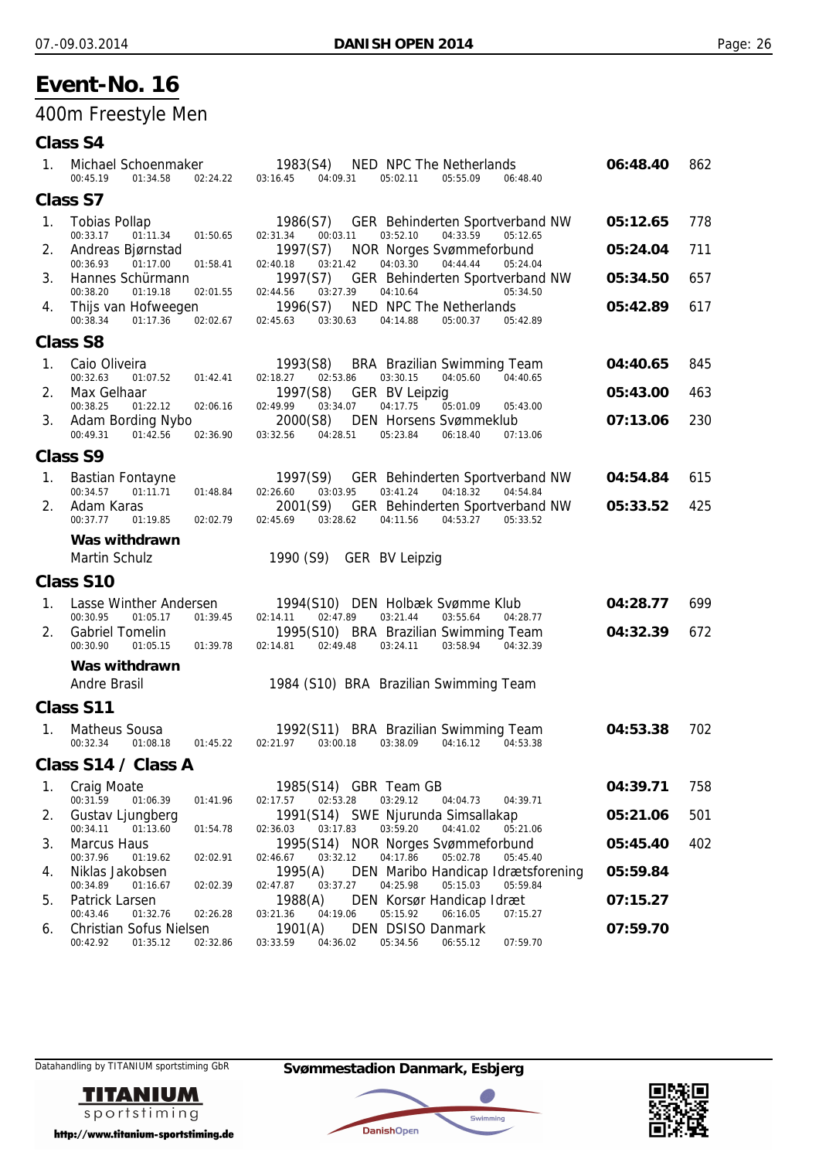## 400m Freestyle Men

### **Class S4**

| 1. | Michael Schoenmaker<br>00:45.19<br>01:34.58<br>02:24.22                                   | 1983(S4)<br>NED NPC The Netherlands<br>03:16.45<br>04:09.31<br>05:02.11<br>05:55.09<br>06:48.40                                                                   | 06:48.40 | 862 |
|----|-------------------------------------------------------------------------------------------|-------------------------------------------------------------------------------------------------------------------------------------------------------------------|----------|-----|
|    | <b>Class S7</b>                                                                           |                                                                                                                                                                   |          |     |
| 1. | Tobias Pollap<br>00:33.17<br>01:11.34<br>01:50.65                                         | GER Behinderten Sportverband NW<br>1986(S7)<br>03:52.10<br>04:33.59<br>05:12.65<br>02:31.34<br>00:03.11                                                           | 05:12.65 | 778 |
| 2. | Andreas Bjørnstad<br>00:36.93<br>01:17.00<br>01:58.41                                     | 1997(S7)<br><b>NOR Norges Svømmeforbund</b><br>04:03.30<br>02:40.18<br>03:21.42<br>04:44.44<br>05:24.04                                                           | 05:24.04 | 711 |
| 3. | Hannes Schürmann<br>00:38.20<br>01:19.18<br>02:01.55                                      | 1997(S7)<br>GER Behinderten Sportverband NW<br>03:27.39<br>04:10.64<br>02:44.56<br>05:34.50                                                                       | 05:34.50 | 657 |
| 4. | Thijs van Hofweegen<br>00:38.34<br>01:17.36<br>02:02.67                                   | NED NPC The Netherlands<br>1996(S7)<br>02:45.63<br>03:30.63<br>04:14.88<br>05:42.89<br>05:00.37                                                                   | 05:42.89 | 617 |
|    | <b>Class S8</b>                                                                           |                                                                                                                                                                   |          |     |
| 1. | Caio Oliveira<br>00:32.63<br>01:07.52<br>01:42.41                                         | BRA Brazilian Swimming Team<br>1993(S8)<br>03:30.15<br>04:05.60<br>04:40.65<br>02:18.27<br>02:53.86                                                               | 04:40.65 | 845 |
| 2. | Max Gelhaar                                                                               | 1997(S8)<br><b>GER BV Leipzig</b>                                                                                                                                 | 05:43.00 | 463 |
| 3. | 00:38.25<br>01:22.12<br>02:06.16<br>Adam Bording Nybo<br>00:49.31<br>01:42.56<br>02:36.90 | 03:34.07<br>02:49.99<br>04:17.75<br>05:01.09<br>05:43.00<br>2000(S8)<br><b>DEN Horsens Svømmeklub</b><br>04:28.51<br>03:32.56<br>05:23.84<br>06:18.40<br>07:13.06 | 07:13.06 | 230 |
|    | <b>Class S9</b>                                                                           |                                                                                                                                                                   |          |     |
| 1. | <b>Bastian Fontayne</b>                                                                   | GER Behinderten Sportverband NW<br>1997(S9)                                                                                                                       | 04:54.84 | 615 |
|    | 00:34.57<br>01:11.71<br>01:48.84                                                          | 03:03.95<br>03:41.24<br>04:18.32<br>04:54.84<br>02:26.60                                                                                                          |          |     |
| 2. | Adam Karas<br>00:37.77<br>01:19.85<br>02:02.79                                            | 2001(S9)<br><b>GER</b> Behinderten Sportverband NW<br>02:45.69<br>03:28.62<br>04:53.27<br>04:11.56<br>05:33.52                                                    | 05:33.52 | 425 |
|    | Was withdrawn                                                                             |                                                                                                                                                                   |          |     |
|    | <b>Martin Schulz</b>                                                                      | 1990 (S9)<br><b>GER BV Leipzig</b>                                                                                                                                |          |     |
|    | <b>Class S10</b>                                                                          |                                                                                                                                                                   |          |     |
| 1. | Lasse Winther Andersen<br>00:30.95<br>01:05.17<br>01:39.45                                | 1994(S10) DEN Holbæk Svømme Klub<br>03:21.44<br>02:14.11<br>02:47.89<br>03:55.64<br>04:28.77                                                                      | 04:28.77 | 699 |
| 2. | <b>Gabriel Tomelin</b><br>00:30.90<br>01:05.15<br>01:39.78                                | 1995(S10) BRA Brazilian Swimming Team<br>02:14.81<br>02:49.48<br>03:24.11<br>03:58.94<br>04:32.39                                                                 | 04:32.39 | 672 |
|    | Was withdrawn                                                                             |                                                                                                                                                                   |          |     |
|    | <b>Andre Brasil</b>                                                                       | 1984 (S10) BRA Brazilian Swimming Team                                                                                                                            |          |     |
|    | Class S11                                                                                 |                                                                                                                                                                   |          |     |
| 1. | Matheus Sousa<br>00:32.34<br>01:08.18<br>01:45.22                                         | 1992(S11) BRA Brazilian Swimming Team<br>02:21.97<br>03:00.18<br>03:38.09<br>04:16.12<br>04:53.38                                                                 | 04:53.38 | 702 |
|    | Class S14 / Class A                                                                       |                                                                                                                                                                   |          |     |
| 1. | <b>Craig Moate</b>                                                                        | 1985(S14) GBR Team GB                                                                                                                                             | 04:39.71 | 758 |
| 2. | 00:31.59<br>01:06.39<br>01:41.96<br>Gustav Ljungberg                                      | 02:53.28<br>03:29.12<br>02:17.57<br>04:04.73<br>04:39.71<br>1991(S14) SWE Njurunda Simsallakap                                                                    | 05:21.06 | 501 |
| 3. | 00:34.11<br>01:13.60<br>01:54.78<br><b>Marcus Haus</b>                                    | 03:17.83<br>03:59.20<br>04:41.02<br>05:21.06<br>02:36.03                                                                                                          |          | 402 |
|    | 00:37.96<br>01:19.62<br>02:02.91                                                          | 1995(S14) NOR Norges Svømmeforbund<br>05:02.78<br>03:32.12<br>04:17.86<br>05:45.40<br>02:46.67                                                                    | 05:45.40 |     |
| 4. | Niklas Jakobsen<br>00:34.89<br>01:16.67<br>02:02.39                                       | DEN Maribo Handicap Idrætsforening<br>1995(A)<br>03:37.27<br>04:25.98<br>05:15.03<br>05:59.84<br>02:47.87                                                         | 05:59.84 |     |
| 5. | Patrick Larsen                                                                            | 1988(A)<br>DEN Korsør Handicap Idræt                                                                                                                              | 07:15.27 |     |
| 6. | 00:43.46<br>01:32.76<br>02:26.28<br><b>Christian Sofus Nielsen</b>                        | 06:16.05<br>03:21.36<br>04:19.06<br>05:15.92<br>07:15.27<br>1901(A)<br><b>DEN DSISO Danmark</b>                                                                   | 07:59.70 |     |
|    | 00:42.92<br>01:35.12<br>02:32.86                                                          | 07:59.70<br>03:33.59<br>04:36.02<br>05:34.56<br>06:55.12                                                                                                          |          |     |



http://www.titanium-sportstiming.de

Datahandling by TITANIUM sportstiming GbR **Svømmestadion Danmark, Esbjerg**



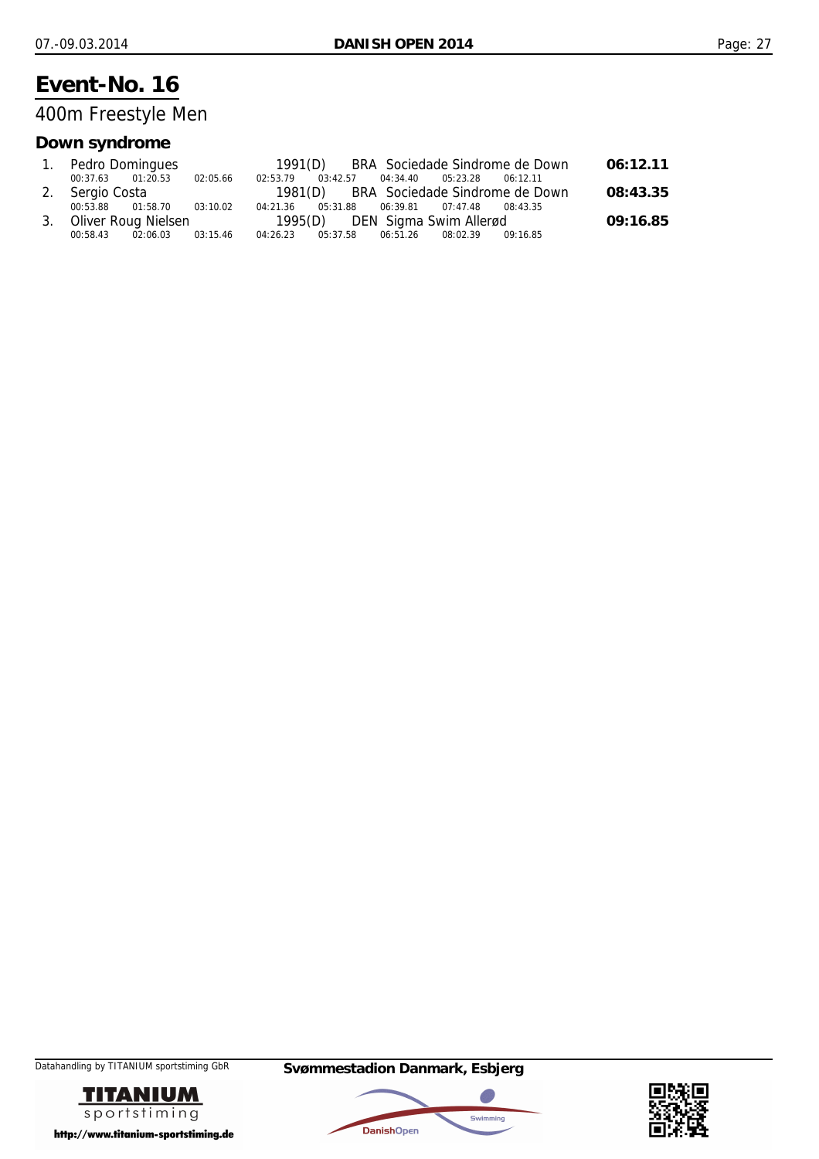400m Freestyle Men

### **Down syndrome**

| 1. Pedro Domingues         |          |          |                                              |  | 1991(D) BRA Sociedade Sindrome de Down | 06:12.11 |
|----------------------------|----------|----------|----------------------------------------------|--|----------------------------------------|----------|
| 00:37.63 01:20.53          | 02:05.66 | 02:53.79 | 03:42.57  04:34.40  05:23.28  06:12.11       |  |                                        |          |
| 2. Sergio Costa            |          |          |                                              |  | 1981(D) BRA Sociedade Sindrome de Down | 08:43.35 |
| 00:53.88 01:58.70          | 03:10.02 |          | 04:21.36 05:31.88 06:39.81 07:47.48 08:43.35 |  |                                        |          |
| 3. Oliver Roug Nielsen     |          |          | 1995(D) DEN Sigma Swim Allerød               |  |                                        | 09:16.85 |
| 00:58.43 02:06.03 03:15.46 |          |          | 04:26.23 05:37.58 06:51.26 08:02.39 09:16.85 |  |                                        |          |





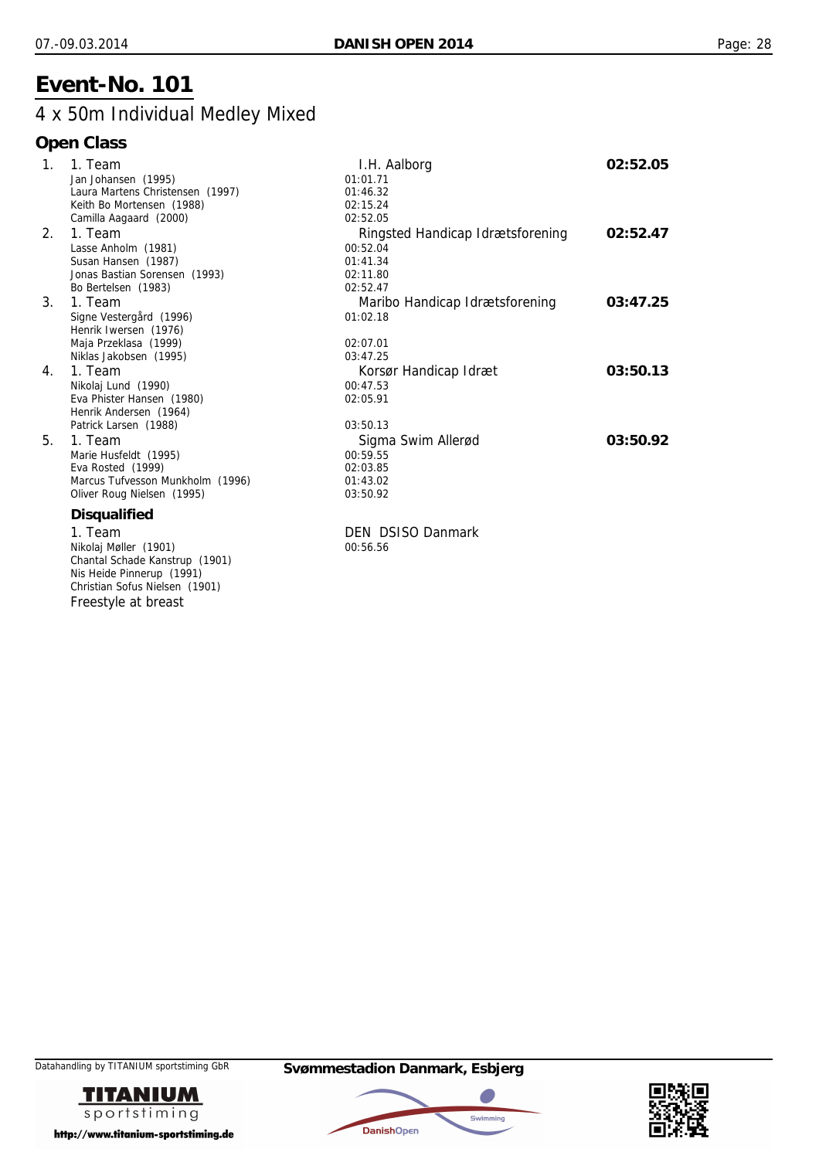## 4 x 50m Individual Medley Mixed

| $\mathbf{1}$ . | 1. Team                                                                                   | I.H. Aalborg                     | 02:52.05 |
|----------------|-------------------------------------------------------------------------------------------|----------------------------------|----------|
|                | Jan Johansen (1995)                                                                       | 01:01.71                         |          |
|                | Laura Martens Christensen (1997)                                                          | 01:46.32                         |          |
|                | Keith Bo Mortensen (1988)                                                                 | 02:15.24                         |          |
|                | Camilla Aagaard (2000)                                                                    | 02:52.05                         |          |
| 2.             | 1. Team                                                                                   | Ringsted Handicap Idrætsforening | 02:52.47 |
|                | Lasse Anholm (1981)                                                                       | 00:52.04                         |          |
|                | Susan Hansen (1987)                                                                       | 01:41.34                         |          |
|                | Jonas Bastian Sorensen (1993)                                                             | 02:11.80                         |          |
|                | Bo Bertelsen (1983)                                                                       | 02:52.47                         |          |
| $3_{-}$        | 1. Team                                                                                   | Maribo Handicap Idrætsforening   | 03:47.25 |
|                | Signe Vestergård (1996)                                                                   | 01:02.18                         |          |
|                | Henrik Iwersen (1976)                                                                     |                                  |          |
|                | Maja Przeklasa (1999)                                                                     | 02:07.01                         |          |
|                | Niklas Jakobsen (1995)                                                                    | 03:47.25                         |          |
| 4.             | 1. Team                                                                                   | Korsør Handicap Idræt            | 03:50.13 |
|                | Nikolaj Lund (1990)                                                                       | 00:47.53                         |          |
|                | Eva Phister Hansen (1980)                                                                 | 02:05.91                         |          |
|                | Henrik Andersen (1964)                                                                    |                                  |          |
|                | Patrick Larsen (1988)                                                                     | 03:50.13                         |          |
| 5.             | 1. Team                                                                                   |                                  | 03:50.92 |
|                | Marie Husfeldt (1995)                                                                     | 00:59.55                         |          |
|                | Eva Rosted (1999)                                                                         | 02:03.85                         |          |
|                | Marcus Tufvesson Munkholm (1996)                                                          | 01:43.02                         |          |
|                | Oliver Roug Nielsen (1995)                                                                | 03:50.92                         |          |
|                | <b>Disqualified</b>                                                                       |                                  |          |
|                |                                                                                           | <b>DEN DSISO Danmark</b>         |          |
|                |                                                                                           |                                  |          |
|                |                                                                                           |                                  |          |
|                | Nis Heide Pinnerup (1991)                                                                 |                                  |          |
|                | Christian Sofus Nielsen (1901)                                                            |                                  |          |
|                |                                                                                           |                                  |          |
|                | 1. Team<br>Nikolaj Møller (1901)<br>Chantal Schade Kanstrup (1901)<br>Freestyle at breast | Sigma Swim Allerød<br>00:56.56   |          |





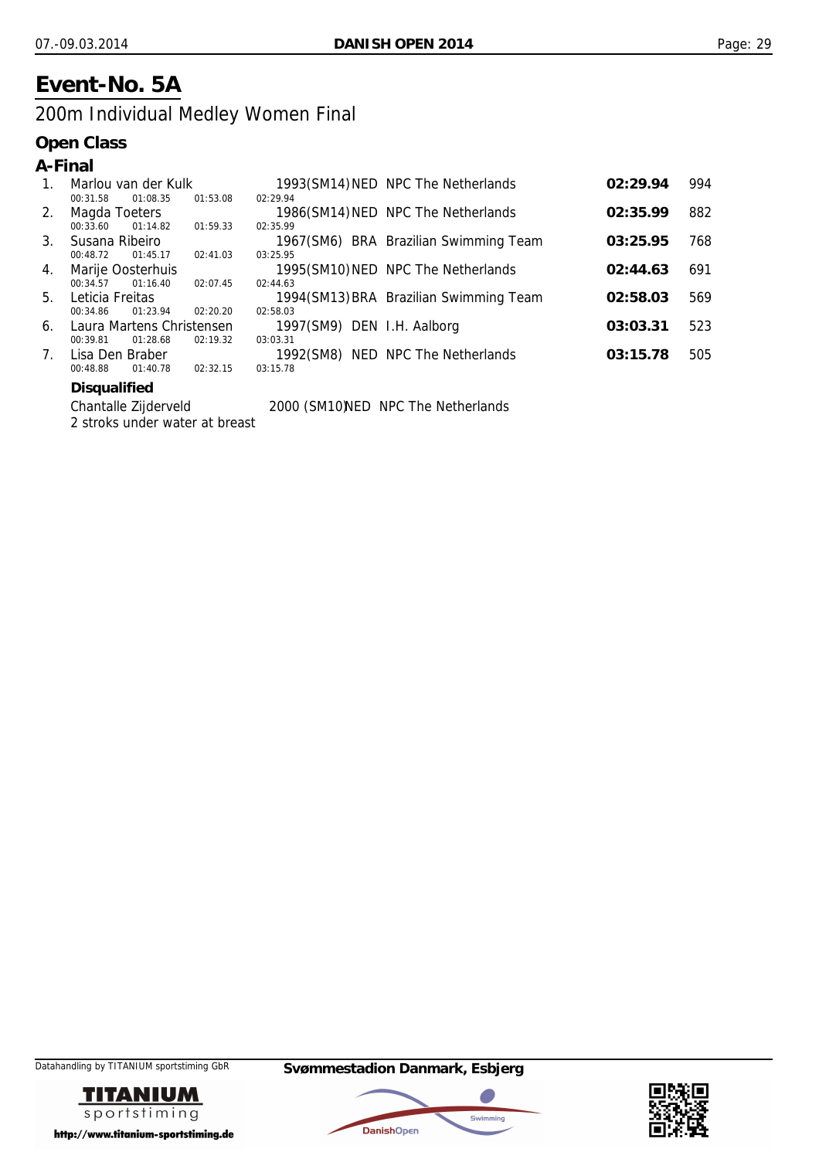## **Event-No. 5A**

## 200m Individual Medley Women Final

#### **Open Class**

| A-Final |                     |                           |          |                            |                                        |          |     |
|---------|---------------------|---------------------------|----------|----------------------------|----------------------------------------|----------|-----|
| 1.      |                     | Marlou van der Kulk       |          |                            | 1993(SM14) NED NPC The Netherlands     | 02:29.94 | 994 |
|         | 00:31.58            | 01:08.35                  | 01:53.08 | 02:29.94                   |                                        |          |     |
| 2.      |                     | Magda Toeters             |          |                            | 1986(SM14) NED NPC The Netherlands     | 02:35.99 | 882 |
|         | 00:33.60            | 01:14.82                  | 01:59.33 | 02:35.99                   |                                        |          |     |
| 3.      | Susana Ribeiro      |                           |          |                            | 1967(SM6) BRA Brazilian Swimming Team  | 03:25.95 | 768 |
|         | 00:48.72            | 01:45.17                  | 02:41.03 | 03:25.95                   |                                        |          |     |
| 4.      |                     | Marije Oosterhuis         |          |                            | 1995(SM10) NED NPC The Netherlands     | 02:44.63 | 691 |
|         | 00:34.57            | 01:16.40                  | 02:07.45 | 02:44.63                   |                                        |          |     |
| 5.      | Leticia Freitas     |                           |          |                            | 1994(SM13) BRA Brazilian Swimming Team | 02:58.03 | 569 |
|         | 00:34.86            | 01:23.94                  | 02:20.20 | 02:58.03                   |                                        |          |     |
| 6.      |                     | Laura Martens Christensen |          | 1997(SM9) DEN I.H. Aalborg |                                        | 03:03.31 | 523 |
|         | 00:39.81            | 01:28.68                  | 02:19.32 | 03:03.31                   |                                        |          |     |
| 7.      |                     | Lisa Den Braber           |          |                            | 1992(SM8) NED NPC The Netherlands      | 03:15.78 | 505 |
|         | 00:48.88            | 01:40.78                  | 02:32.15 | 03:15.78                   |                                        |          |     |
|         | <b>Disqualified</b> |                           |          |                            |                                        |          |     |

**Chantalle Zijderveld** 2 stroks under water at breast

2000 (SM10)NED NPC The Netherlands





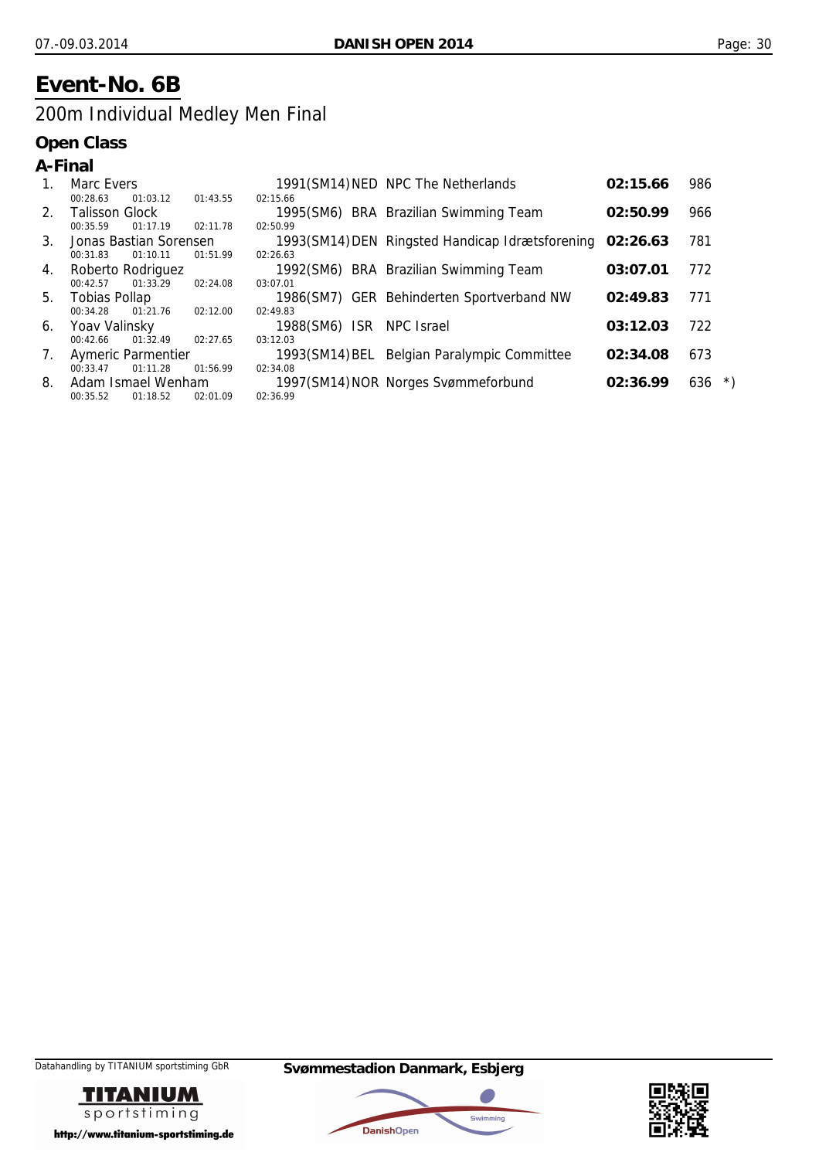## **Event-No. 6B**

## 200m Individual Medley Men Final

|                | A-Final               |                           |          |                          |                                                          |          |                                                            |
|----------------|-----------------------|---------------------------|----------|--------------------------|----------------------------------------------------------|----------|------------------------------------------------------------|
| 1.             | Marc Evers            |                           |          |                          | 1991(SM14) NED NPC The Netherlands                       | 02:15.66 | 986                                                        |
|                | 00:28.63              | 01:03.12                  | 01:43.55 | 02:15.66                 |                                                          |          |                                                            |
| 2.             | <b>Talisson Glock</b> |                           |          |                          | 1995(SM6) BRA Brazilian Swimming Team                    | 02:50.99 | 966                                                        |
|                | 00:35.59              | 01:17.19                  | 02:11.78 | 02:50.99                 |                                                          |          |                                                            |
| 3 <sub>1</sub> |                       | Jonas Bastian Sorensen    |          |                          | 1993(SM14) DEN Ringsted Handicap Idrætsforening 02:26.63 |          | 781                                                        |
|                | 00:31.83              | 01:10.11                  | 01:51.99 | 02:26.63                 |                                                          |          |                                                            |
| 4.             |                       | Roberto Rodriguez         |          |                          | 1992(SM6) BRA Brazilian Swimming Team                    | 03:07.01 | 772                                                        |
|                | 00:42.57              | 01:33.29                  | 02:24.08 | 03:07.01                 |                                                          |          |                                                            |
| 5.             | Tobias Pollap         |                           |          |                          | 1986(SM7) GER Behinderten Sportverband NW                | 02:49.83 | 771                                                        |
|                | 00:34.28              | 01:21.76                  | 02:12.00 | 02:49.83                 |                                                          |          |                                                            |
| 6.             | Yoav Valinsky         |                           |          | 1988(SM6) ISR NPC Israel |                                                          | 03:12.03 | 722                                                        |
|                | 00:42.66              | 01:32.49                  | 02:27.65 | 03:12.03                 |                                                          |          |                                                            |
| 7.             |                       | <b>Aymeric Parmentier</b> |          |                          | 1993(SM14) BEL Belgian Paralympic Committee              | 02:34.08 | 673                                                        |
|                | 00:33.47              | 01:11.28                  | 01:56.99 | 02:34.08                 |                                                          |          |                                                            |
| 8.             |                       | Adam Ismael Wenham        |          |                          | 1997(SM14) NOR Norges Svømmeforbund                      | 02:36.99 | $\left( \begin{array}{c} \star \end{array} \right)$<br>636 |
|                | 00:35.52              | 01:18.52                  | 02:01.09 | 02:36.99                 |                                                          |          |                                                            |





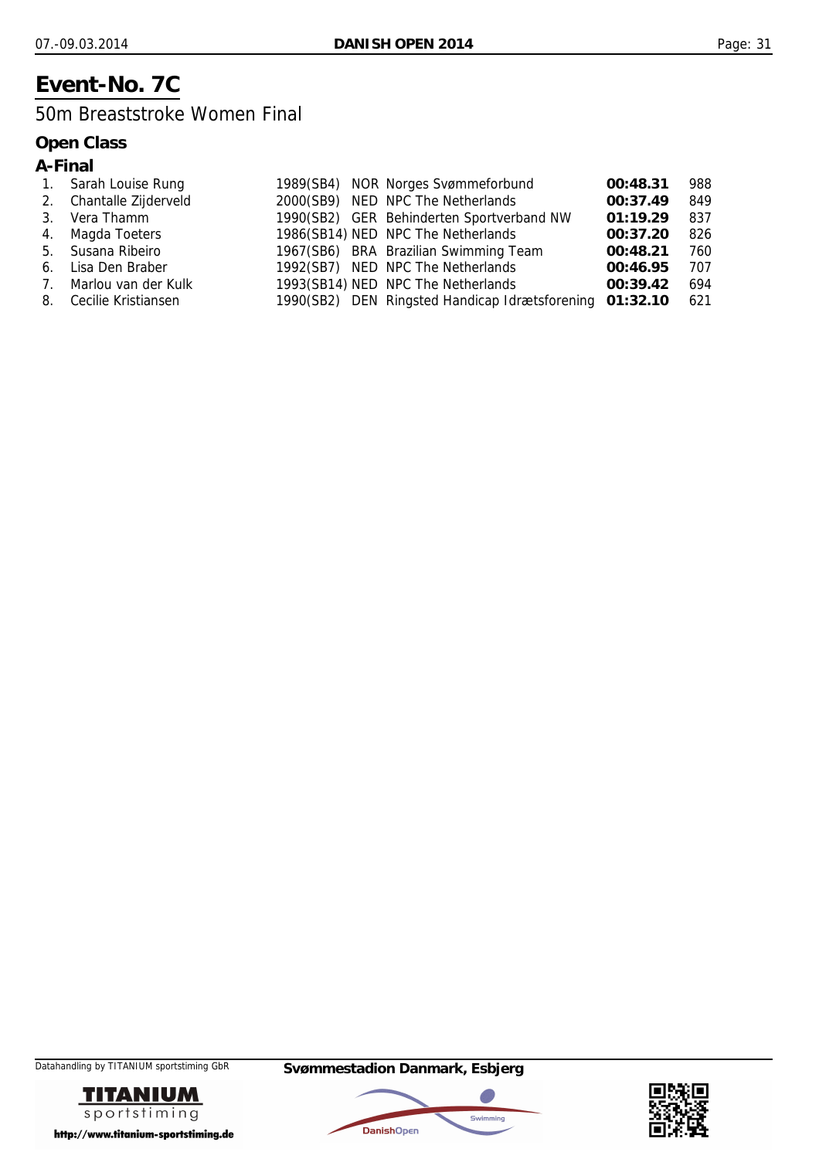## **Event-No. 7C**

### 50m Breaststroke Women Final

|  | ial<br>ın |
|--|-----------|
|--|-----------|

| 1. Sarah Louise Rung    |  | 1989(SB4) NOR Norges Svømmeforbund                      | 00:48.31 | 988 |
|-------------------------|--|---------------------------------------------------------|----------|-----|
| 2. Chantalle Zijderveld |  | 2000(SB9) NED NPC The Netherlands                       | 00:37.49 | 849 |
| 3. Vera Thamm           |  | 1990(SB2) GER Behinderten Sportverband NW               | 01:19.29 | 837 |
| 4. Magda Toeters        |  | 1986(SB14) NED NPC The Netherlands                      | 00:37.20 | 826 |
| 5. Susana Ribeiro       |  | 1967(SB6) BRA Brazilian Swimming Team                   | 00:48.21 | 760 |
| 6. Lisa Den Braber      |  | 1992(SB7) NED NPC The Netherlands                       | 00:46.95 | 707 |
| 7. Marlou van der Kulk  |  | 1993(SB14) NED NPC The Netherlands                      | 00:39.42 | 694 |
| 8. Cecilie Kristiansen  |  | 1990(SB2) DEN Ringsted Handicap Idrætsforening 01:32.10 |          | 621 |





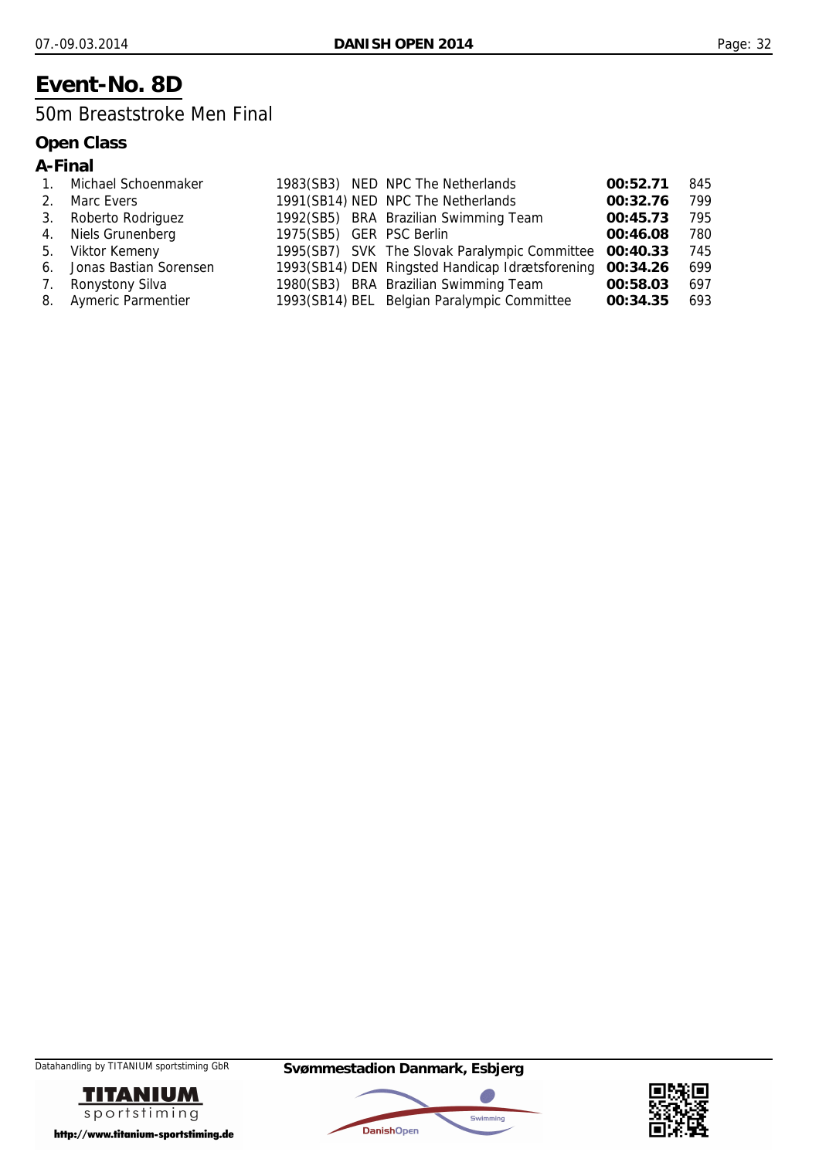## **Event-No. 8D**

### 50m Breaststroke Men Final

| ın<br>М |
|---------|
|---------|

|         | Michael Schoenmaker       |                          | 1983(SB3) NED NPC The Netherlands                        | 00:52.71 | 845 |
|---------|---------------------------|--------------------------|----------------------------------------------------------|----------|-----|
| $2_{1}$ | Marc Evers                |                          | 1991(SB14) NED NPC The Netherlands                       | 00:32.76 | 799 |
| 3.      | Roberto Rodriguez         |                          | 1992(SB5) BRA Brazilian Swimming Team                    | 00:45.73 | 795 |
|         | 4. Niels Grunenberg       | 1975(SB5) GER PSC Berlin |                                                          | 00:46.08 | 780 |
| 5.      | Viktor Kemeny             |                          | 1995(SB7) SVK The Slovak Paralympic Committee 00:40.33   |          | 745 |
|         | 6. Jonas Bastian Sorensen |                          | 1993(SB14) DEN Ringsted Handicap Idrætsforening 00:34.26 |          | 699 |
| 7.      | Ronystony Silva           |                          | 1980(SB3) BRA Brazilian Swimming Team                    | 00:58.03 | 697 |
|         | 8. Aymeric Parmentier     |                          | 1993(SB14) BEL Belgian Paralympic Committee              | 00:34.35 | 693 |





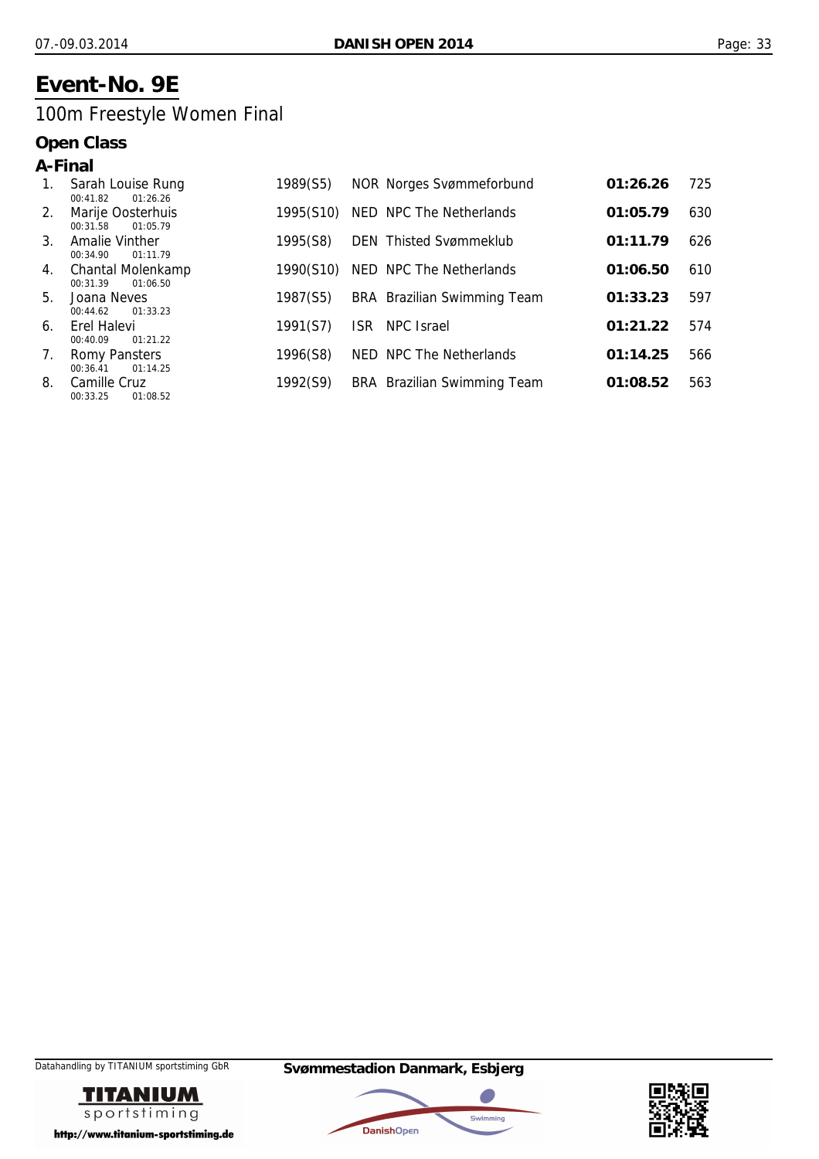## **Event-No. 9E**

## 100m Freestyle Women Final

| A-Final |                                              |           |                                 |          |     |
|---------|----------------------------------------------|-----------|---------------------------------|----------|-----|
| 1.      | Sarah Louise Rung<br>01:26.26<br>00:41.82    | 1989(S5)  | <b>NOR Norges Svømmeforbund</b> | 01:26.26 | 725 |
| 2.      | Marije Oosterhuis<br>00:31.58<br>01:05.79    | 1995(S10) | NED NPC The Netherlands         | 01:05.79 | 630 |
| 3.      | Amalie Vinther<br>00:34.90<br>01:11.79       | 1995(S8)  | <b>DEN</b> Thisted Svømmeklub   | 01:11.79 | 626 |
| 4.      | Chantal Molenkamp<br>01:06.50<br>00:31.39    | 1990(S10) | NED NPC The Netherlands         | 01:06.50 | 610 |
| 5.      | Joana Neves<br>01:33.23<br>00:44.62          | 1987(S5)  | BRA Brazilian Swimming Team     | 01:33.23 | 597 |
| 6.      | Erel Halevi<br>00:40.09<br>01:21.22          | 1991(S7)  | NPC Israel<br>ISR.              | 01:21.22 | 574 |
| 7.      | <b>Romy Pansters</b><br>00:36.41<br>01:14.25 | 1996(S8)  | NED NPC The Netherlands         | 01:14.25 | 566 |
| 8.      | Camille Cruz<br>01:08.52<br>00:33.25         | 1992(S9)  | BRA Brazilian Swimming Team     | 01:08.52 | 563 |





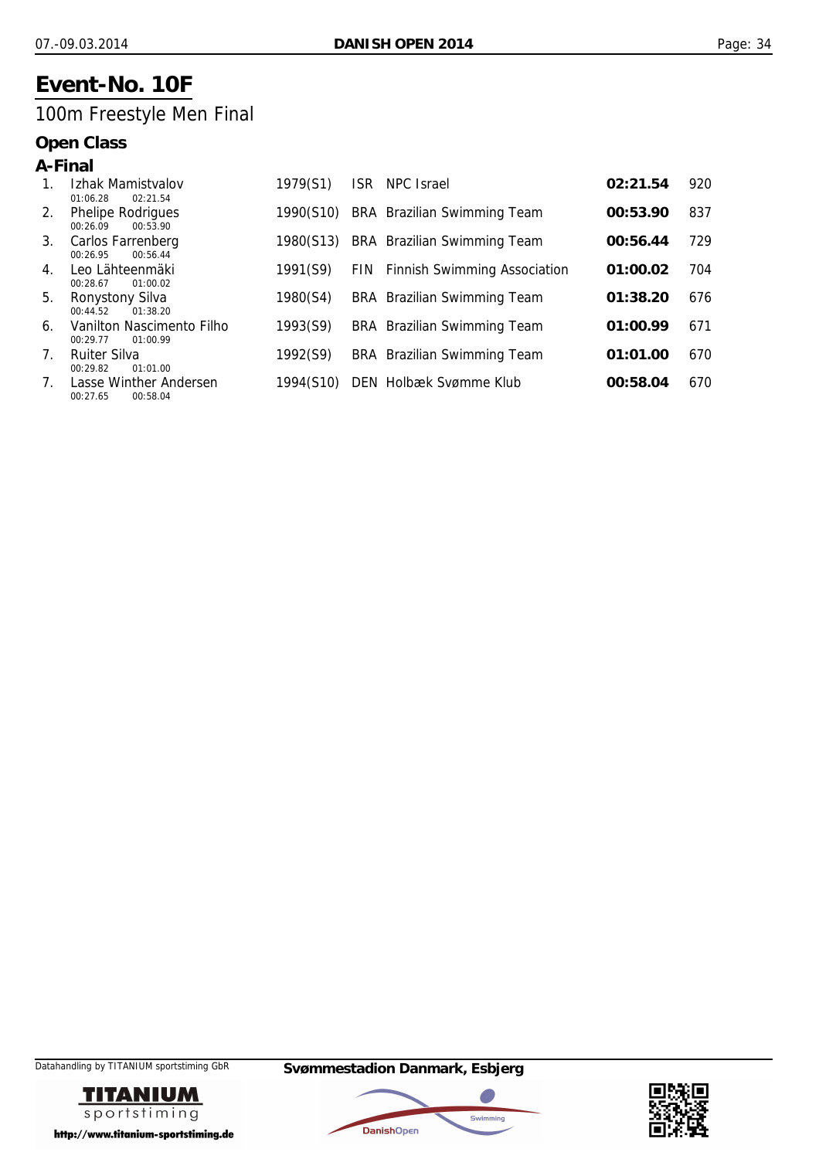## **Event-No. 10F**

## 100m Freestyle Men Final

| A-Final                         |                                                   |           |            |                                         |          |     |
|---------------------------------|---------------------------------------------------|-----------|------------|-----------------------------------------|----------|-----|
|                                 | Izhak Mamistvalov<br>01:06.28<br>02:21.54         | 1979(S1)  | <b>ISR</b> | NPC Israel                              | 02:21.54 | 920 |
| 2.                              | <b>Phelipe Rodrigues</b><br>00:53.90<br>00:26.09  | 1990(S10) |            | BRA Brazilian Swimming Team             | 00:53.90 | 837 |
| 3.                              | Carlos Farrenberg<br>00:56.44<br>00:26.95         | 1980(S13) |            | BRA Brazilian Swimming Team             | 00:56.44 | 729 |
| 4.                              | Leo Lähteenmäki<br>00:28.67<br>01:00.02           | 1991(S9)  |            | <b>FIN</b> Finnish Swimming Association | 01:00.02 | 704 |
| 5.                              | <b>Ronystony Silva</b><br>01:38.20<br>00:44.52    | 1980(S4)  |            | BRA Brazilian Swimming Team             | 01:38.20 | 676 |
| 6.                              | Vanilton Nascimento Filho<br>00:29.77<br>01:00.99 | 1993(S9)  |            | BRA Brazilian Swimming Team             | 01:00.99 | 671 |
| $7_{\scriptscriptstyle{\circ}}$ | <b>Ruiter Silva</b><br>00:29.82<br>01:01.00       | 1992(S9)  |            | BRA Brazilian Swimming Team             | 01:01.00 | 670 |
| 7.                              | Lasse Winther Andersen<br>00:58.04<br>00:27.65    | 1994(S10) |            | DEN Holbæk Svømme Klub                  | 00:58.04 | 670 |





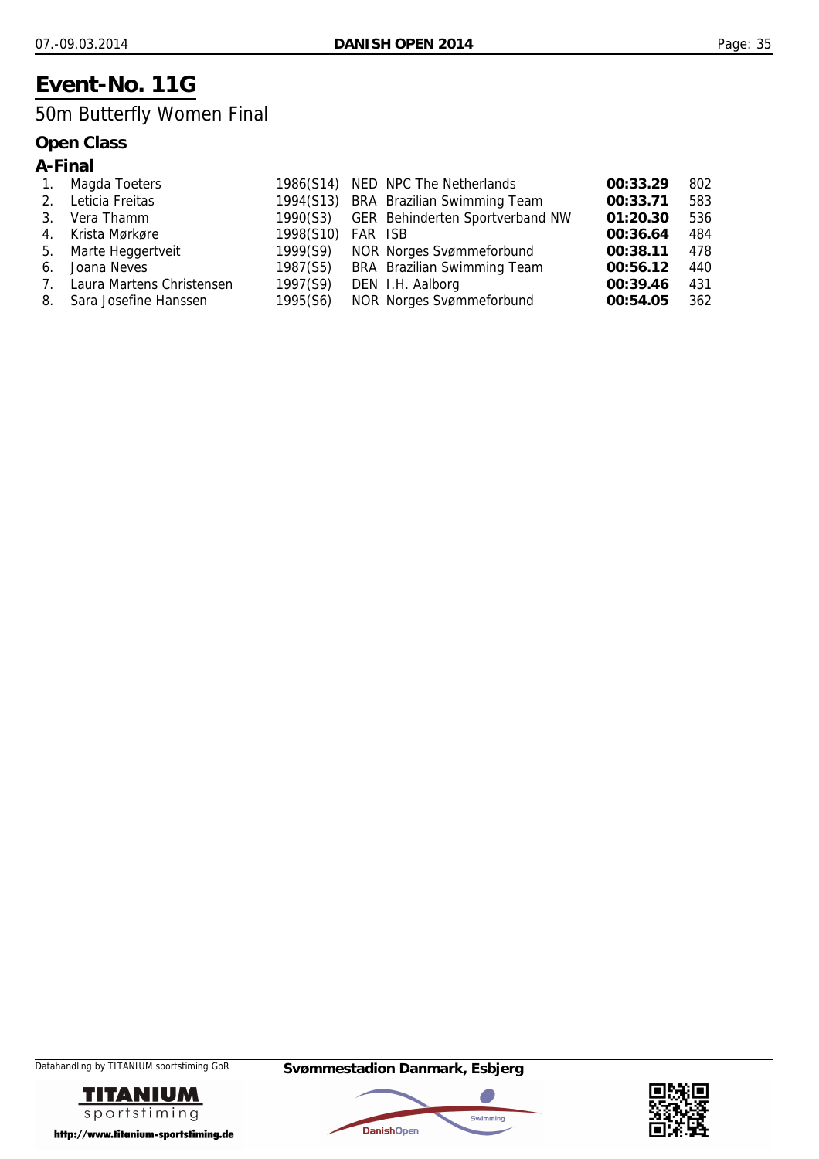## **Event-No. 11G**

## 50m Butterfly Women Final

### **Open Class**

### **A-Final**

| $\mathbf{1}$ . | Magda Toeters                |           |         | 1986(S14) NED NPC The Netherlands        | 00:33.29 | 802 |
|----------------|------------------------------|-----------|---------|------------------------------------------|----------|-----|
| 2.             | Leticia Freitas              |           |         | 1994(S13) BRA Brazilian Swimming Team    | 00:33.71 | 583 |
| $\mathbf{3}$ . | Vera Thamm                   |           |         | 1990(S3) GER Behinderten Sportverband NW | 01:20.30 | 536 |
| $4_{\odot}$    | Krista Mørkøre               | 1998(S10) | FAR ISB |                                          | 00:36.64 | 484 |
|                | 5. Marte Heggertveit         | 1999(S9)  |         | NOR Norges Svømmeforbund                 | 00:38.11 | 478 |
| 6.             | Joana Neves                  | 1987(S5)  |         | BRA Brazilian Swimming Team              | 00:56.12 | 440 |
|                | 7. Laura Martens Christensen | 1997(S9)  |         | DEN I.H. Aalborg                         | 00:39.46 | 431 |
|                | 8. Sara Josefine Hanssen     | 1995(S6)  |         | <b>NOR Norges Svømmeforbund</b>          | 00:54.05 | 362 |





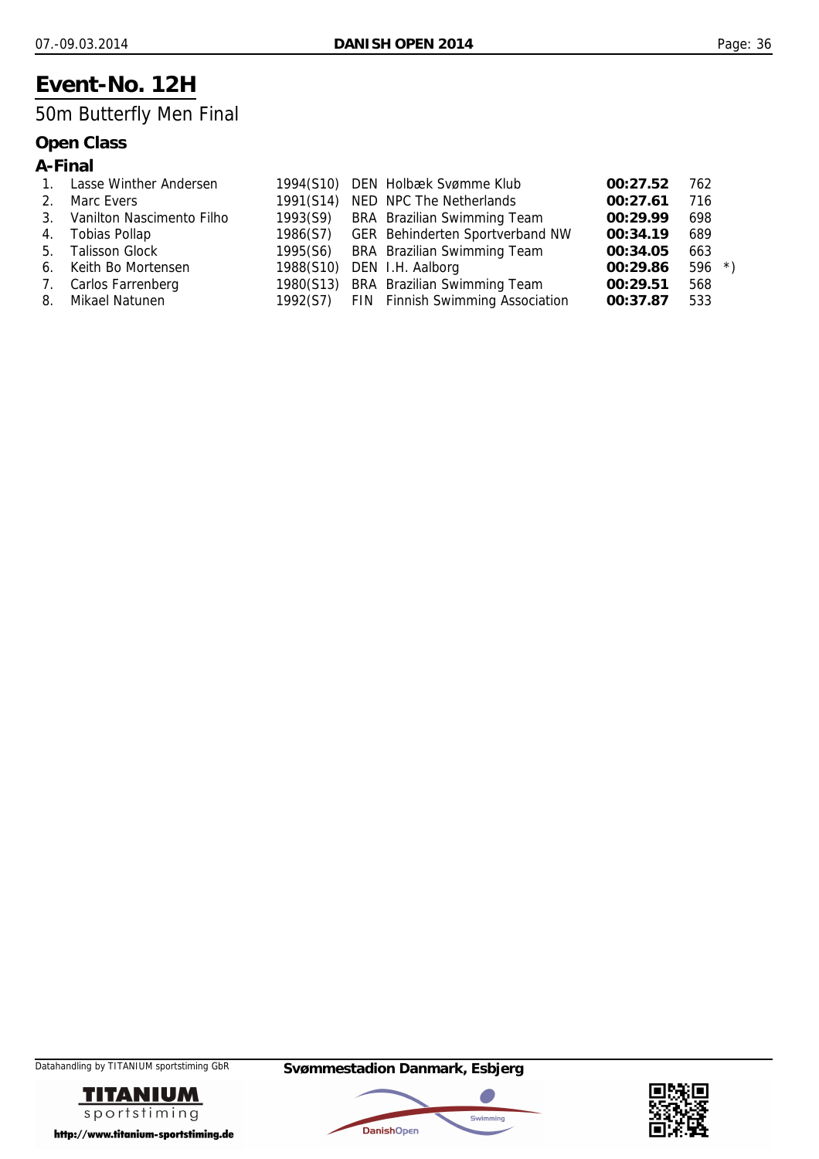## **Event-No. 12H**

## 50m Butterfly Men Final

|  | ın<br>ı<br>М |  |
|--|--------------|--|
|--|--------------|--|

|         | Lasse Winther Andersen       |           | 1994(S10) DEN Holbæk Svømme Klub          | 00:27.52 | 762     |
|---------|------------------------------|-----------|-------------------------------------------|----------|---------|
| $2_{1}$ | Marc Evers                   | 1991(S14) | NED NPC The Netherlands                   | 00:27.61 | 716     |
|         | 3. Vanilton Nascimento Filho |           | 1993(S9) BRA Brazilian Swimming Team      | 00:29.99 | 698     |
|         | 4. Tobias Pollap             |           | 1986(S7) GER Behinderten Sportverband NW  | 00:34.19 | 689     |
| 5.      | <b>Talisson Glock</b>        | 1995(S6)  | BRA Brazilian Swimming Team               | 00:34.05 | 663     |
|         | 6. Keith Bo Mortensen        |           | 1988(S10) DEN I.H. Aalborg                | 00:29.86 | $596 *$ |
|         | 7. Carlos Farrenberg         |           | 1980(S13) BRA Brazilian Swimming Team     | 00:29.51 | 568     |
|         | 8. Mikael Natunen            |           | 1992(S7) FIN Finnish Swimming Association | 00:37.87 | 533     |





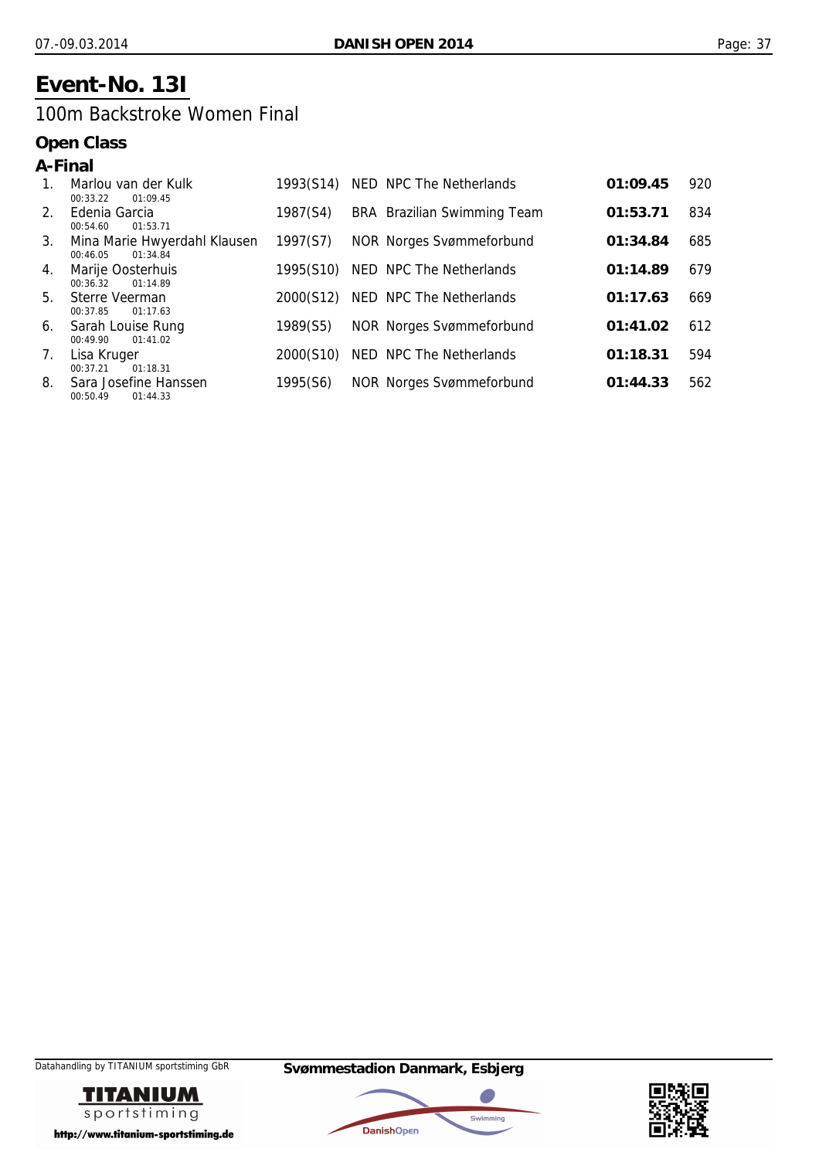## **Event-No. 13I**

### 100m Backstroke Women Final

| A-Final |                                                      |           |                                 |          |     |
|---------|------------------------------------------------------|-----------|---------------------------------|----------|-----|
| $1_{-}$ | Marlou van der Kulk<br>00:33.22<br>01:09.45          | 1993(S14) | NED NPC The Netherlands         | 01:09.45 | 920 |
| $2^{1}$ | Edenia Garcia<br>00:54.60<br>01:53.71                | 1987(S4)  | BRA Brazilian Swimming Team     | 01:53.71 | 834 |
| 3.      | Mina Marie Hwyerdahl Klausen<br>01:34.84<br>00:46.05 | 1997(S7)  | NOR Norges Svømmeforbund        | 01:34.84 | 685 |
| 4.      | Marije Oosterhuis<br>00:36.32<br>01:14.89            | 1995(S10) | NED NPC The Netherlands         | 01:14.89 | 679 |
| 5.      | Sterre Veerman<br>00:37.85<br>01:17.63               | 2000(S12) | NED NPC The Netherlands         | 01:17.63 | 669 |
| 6.      | Sarah Louise Rung<br>01:41.02<br>00:49.90            | 1989(S5)  | <b>NOR Norges Svømmeforbund</b> | 01:41.02 | 612 |
| 7.      | Lisa Kruger<br>00:37.21<br>01:18.31                  | 2000(S10) | NED NPC The Netherlands         | 01:18.31 | 594 |
| 8.      | Sara Josefine Hanssen<br>01:44.33<br>00:50.49        | 1995(S6)  | <b>NOR Norges Svømmeforbund</b> | 01:44.33 | 562 |





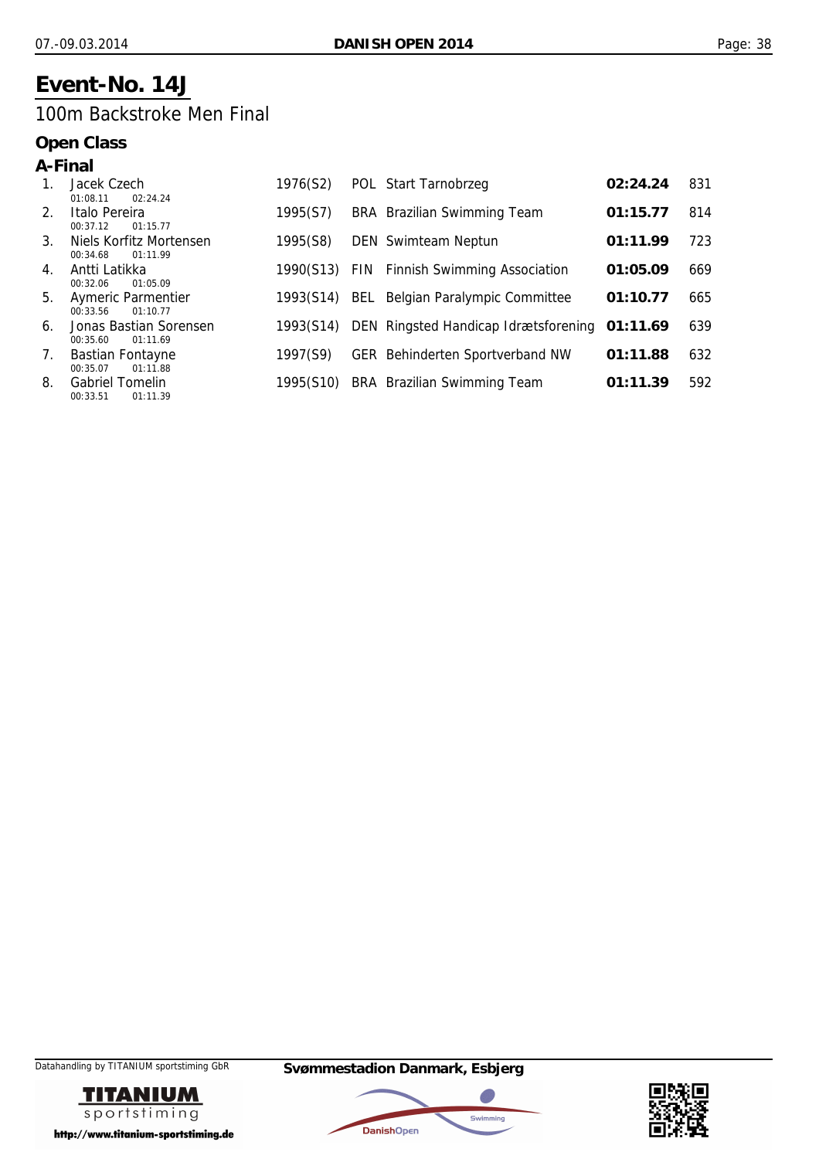## **Event-No. 14J**

### 100m Backstroke Men Final

| A-Final        |                                                   |           |                                               |          |     |
|----------------|---------------------------------------------------|-----------|-----------------------------------------------|----------|-----|
|                | Jacek Czech<br>01:08.11<br>02:24.24               | 1976(S2)  | POL Start Tarnobrzeg                          | 02:24.24 | 831 |
| $2_{-}$        | Italo Pereira<br>01:15.77<br>00:37.12             | 1995(S7)  | BRA Brazilian Swimming Team                   | 01:15.77 | 814 |
| 3 <sub>1</sub> | Niels Korfitz Mortensen<br>01:11.99<br>00:34.68   | 1995(S8)  | <b>DEN</b> Swimteam Neptun                    | 01:11.99 | 723 |
| 4.             | Antti Latikka<br>01:05.09<br>00:32.06             | 1990(S13) | FIN Finnish Swimming Association              | 01:05.09 | 669 |
| 5.             | <b>Aymeric Parmentier</b><br>00:33.56<br>01:10.77 | 1993(S14) | <b>BEL</b> Belgian Paralympic Committee       | 01:10.77 | 665 |
| 6.             | Jonas Bastian Sorensen<br>00:35.60<br>01:11.69    | 1993(S14) | DEN Ringsted Handicap Idrætsforening 01:11.69 |          | 639 |
| 7.             | <b>Bastian Fontayne</b><br>01:11.88<br>00:35.07   | 1997(S9)  | <b>GER Behinderten Sportverband NW</b>        | 01:11.88 | 632 |
| 8.             | <b>Gabriel Tomelin</b><br>01:11.39<br>00:33.51    | 1995(S10) | BRA Brazilian Swimming Team                   | 01:11.39 | 592 |





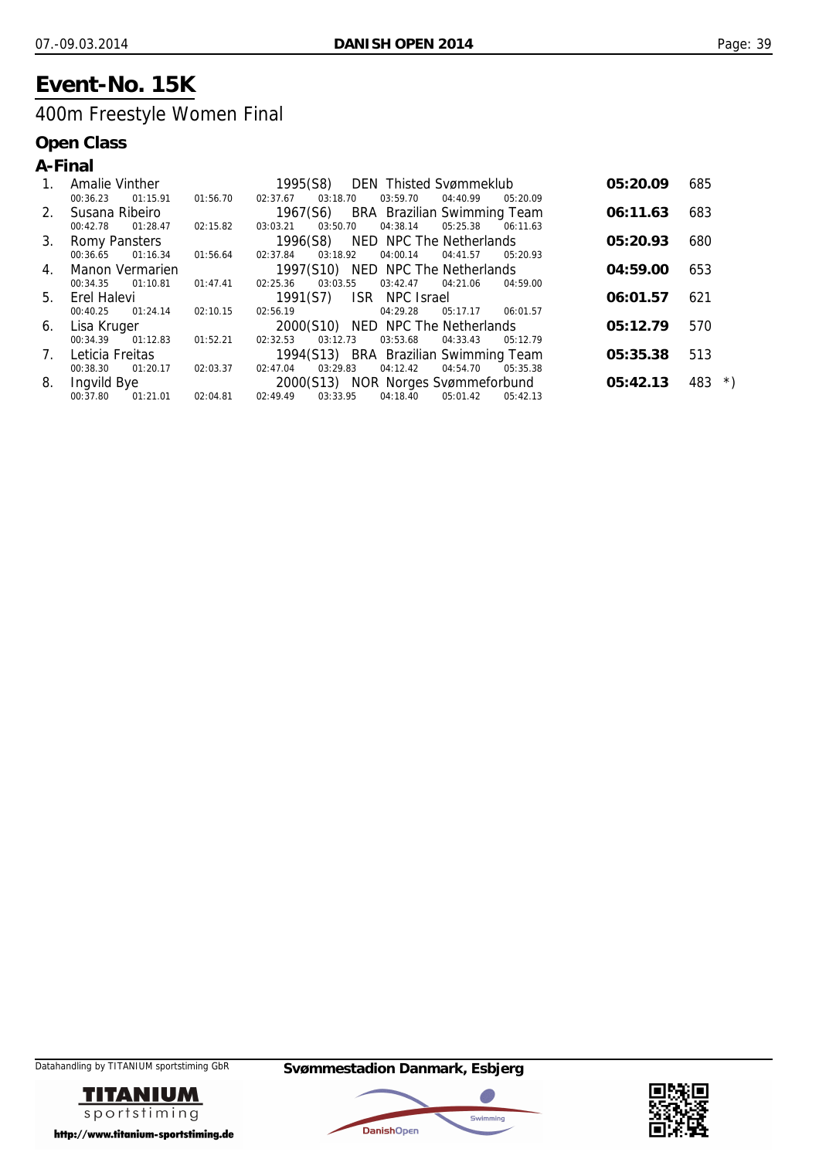## **Event-No. 15K**

## 400m Freestyle Women Final

|    | A-Final         |                    |                   |                                |                                                           |                     |                   |                                    |          |          |
|----|-----------------|--------------------|-------------------|--------------------------------|-----------------------------------------------------------|---------------------|-------------------|------------------------------------|----------|----------|
| 1. |                 | Amalie Vinther     |                   |                                | 1995(S8) DEN Thisted Svømmeklub                           |                     |                   |                                    | 05:20.09 | 685      |
|    | 00:36.23        | 01:15.91           |                   | 01:56.70   02:37.67   03:18.70 |                                                           | 03:59.70            | 04:40.99          | 05:20.09                           |          |          |
|    |                 | 2. Susana Ribeiro  |                   |                                | 1967(S6) BRA Brazilian Swimming Team                      |                     |                   |                                    | 06:11.63 | 683      |
|    | 00:42.78        | 01:28.47           | 02:15.82 03:03.21 |                                | 03:50.70                                                  | 04:38.14            | 05:25.38          | 06:11.63                           |          |          |
|    |                 |                    |                   |                                | 3. Romy Pansters <b>1996</b> (S8) NED NPC The Netherlands |                     |                   |                                    | 05:20.93 | 680      |
|    | 00:36.65        | 01:16.34           | 01:56.64 02:37.84 |                                | 03:18.92                                                  | 04:00.14            | 04:41.57          | 05:20.93                           |          |          |
|    |                 | 4. Manon Vermarien |                   |                                | 1997(S10) NED NPC The Netherlands                         |                     |                   |                                    | 04:59.00 | 653      |
|    | 00:34.35        | 01:10.81           |                   | 01:47.41 02:25.36              | 03:03.55                                                  | 03:42.47            | 04:21.06          | 04:59.00                           |          |          |
|    | 5. Erel Halevi  |                    |                   |                                | 1991(S7) ISR NPC Israel                                   |                     |                   |                                    | 06:01.57 | 621      |
|    | 00:40.25        | 01:24.14           | 02:10.15          | 02:56.19                       |                                                           | 04:29.28            | 05:17.17 06:01.57 |                                    |          |          |
|    |                 | 6. Lisa Kruger     |                   |                                | 2000(S10) NED NPC The Netherlands                         |                     |                   |                                    | 05:12.79 | 570      |
|    | 00:34.39        | 01:12.83           | 01:52.21          | 02:32.53                       | 03:12.73                                                  | 03:53.68            | 04:33.43          | 05:12.79                           |          |          |
| 7. | Leticia Freitas |                    |                   |                                | 1994(S13) BRA Brazilian Swimming Team                     |                     |                   |                                    | 05:35.38 | 513      |
|    | 00:38.30        | 01:20.17           |                   | 02:03.37 02:47.04              | 03:29.83                                                  | 04:12.42            | 04:54.70          | 05:35.38                           |          |          |
| 8. | Ingvild Bye     |                    |                   |                                |                                                           |                     |                   | 2000(S13) NOR Norges Svømmeforbund | 05:42.13 | $483$ *) |
|    | 00:37.80        | 01:21.01           | 02:04.81          | 02:49.49                       | 03:33.95                                                  | 04:18.40   05:01.42 |                   | 05:42.13                           |          |          |





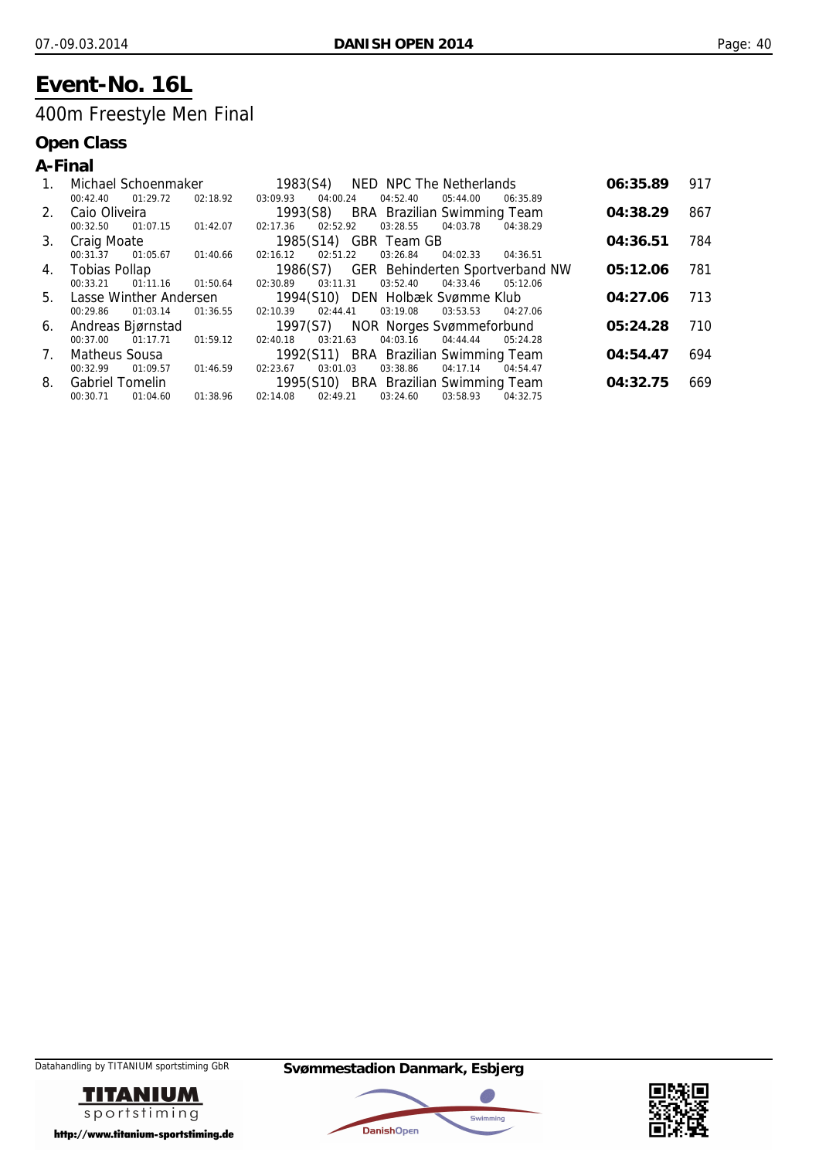## **Event-No. 16L**

## 400m Freestyle Men Final

|             | A-Final                   |                   |                                       |          |                                          |          |          |     |
|-------------|---------------------------|-------------------|---------------------------------------|----------|------------------------------------------|----------|----------|-----|
| 1.          | Michael Schoenmaker       |                   | 1983(S4)                              |          | NED NPC The Netherlands                  |          | 06:35.89 | 917 |
|             | 01:29.72<br>00:42.40      | 02:18.92          | 04:00.24<br>03:09.93                  | 04:52.40 | 05:44.00                                 | 06:35.89 |          |     |
| $2^{+}$     | Caio Oliveira             |                   | 1993(S8) BRA Brazilian Swimming Team  |          |                                          |          | 04:38.29 | 867 |
|             | 01:07.15<br>00:32.50      | 01:42.07          | 02:52.92<br>02:17.36                  | 03:28.55 | 04:03.78                                 | 04:38.29 |          |     |
|             | 3. Craig Moate            |                   | 1985(S14) GBR Team GB                 |          |                                          |          | 04:36.51 | 784 |
|             | 00:31.37                  | 01:05.67 01:40.66 | 02:16.12<br>02:51.22                  | 03:26.84 | 04:02.33                                 | 04:36.51 |          |     |
|             | 4. Tobias Pollap          |                   |                                       |          | 1986(S7) GER Behinderten Sportverband NW |          | 05:12.06 | 781 |
|             | 01:11.16<br>00:33.21      | 01:50.64          | 03:11.31<br>02:30.89                  | 03:52.40 | 04:33.46                                 | 05:12.06 |          |     |
|             | 5. Lasse Winther Andersen |                   | 1994(S10) DEN Holbæk Svømme Klub      |          |                                          |          | 04:27.06 | 713 |
|             | 00:29.86<br>01:03.14      | 01:36.55          | 02:44.41<br>02:10.39                  | 03:19.08 | 03:53.53                                 | 04:27.06 |          |     |
|             | 6. Andreas Bjørnstad      |                   | 1997(S7) NOR Norges Svømmeforbund     |          |                                          |          | 05:24.28 | 710 |
|             | 01:17.71<br>00:37.00      | 01:59.12          | 03:21.63<br>02:40.18                  | 04:03.16 | 04:44.44                                 | 05:24.28 |          |     |
| $7_{\cdot}$ | Matheus Sousa             |                   | 1992(S11) BRA Brazilian Swimming Team |          |                                          |          | 04:54.47 | 694 |
|             | 00:32.99<br>01:09.57      | 01:46.59          | 03:01.03<br>02:23.67                  | 03:38.86 | 04:17.14                                 | 04:54.47 |          |     |
| 8.          | <b>Gabriel Tomelin</b>    |                   | 1995(S10) BRA Brazilian Swimming Team |          |                                          |          | 04:32.75 | 669 |
|             | 01:04.60<br>00:30.71      | 01:38.96          | 02:14.08<br>02:49.21                  | 03:24.60 | 03:58.93                                 | 04:32.75 |          |     |





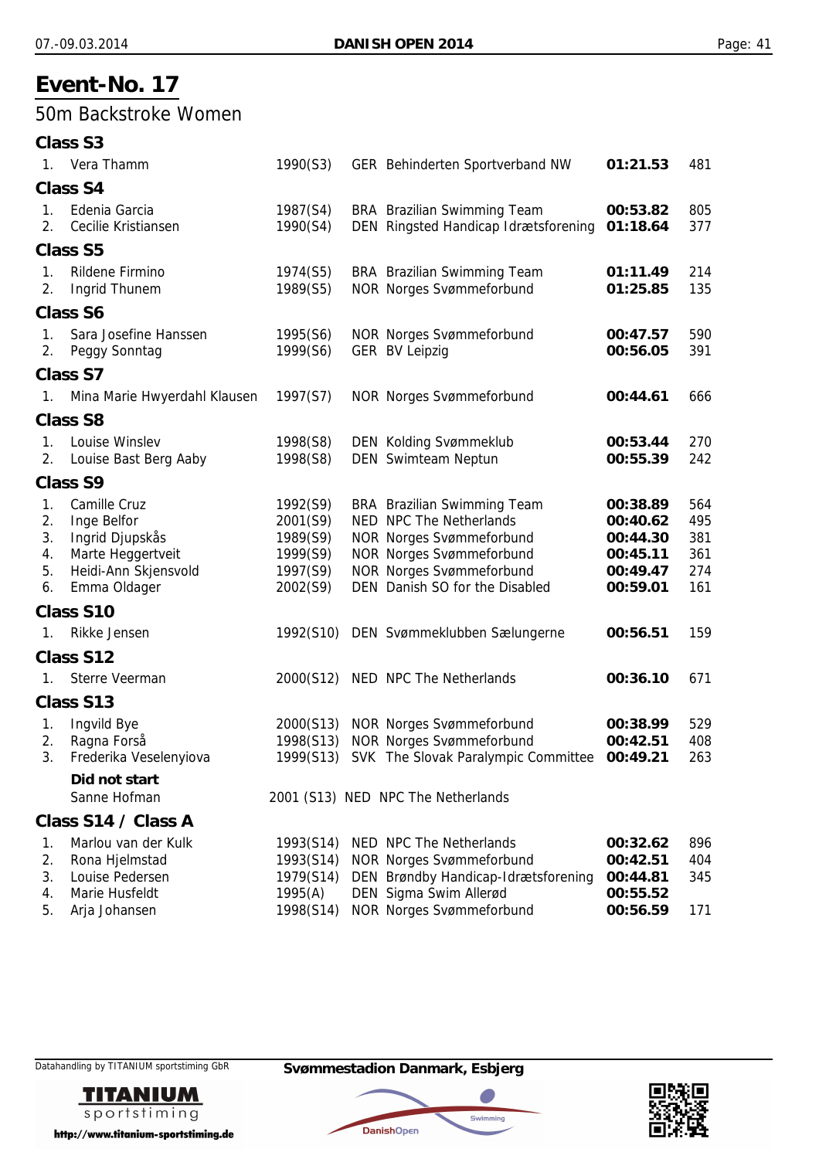### 50m Backstroke Women

|                                  | <b>Class S3</b>                                                                                             |                                                                      |                                                                                                                                                                                                   |                                                                      |                                        |
|----------------------------------|-------------------------------------------------------------------------------------------------------------|----------------------------------------------------------------------|---------------------------------------------------------------------------------------------------------------------------------------------------------------------------------------------------|----------------------------------------------------------------------|----------------------------------------|
|                                  | 1. Vera Thamm                                                                                               | 1990(S3)                                                             | GER Behinderten Sportverband NW                                                                                                                                                                   | 01:21.53                                                             | 481                                    |
|                                  | <b>Class S4</b>                                                                                             |                                                                      |                                                                                                                                                                                                   |                                                                      |                                        |
| 1.<br>2 <sub>1</sub>             | Edenia Garcia<br>Cecilie Kristiansen                                                                        | 1987(S4)<br>1990(S4)                                                 | BRA Brazilian Swimming Team<br>DEN Ringsted Handicap Idrætsforening                                                                                                                               | 00:53.82<br>01:18.64                                                 | 805<br>377                             |
|                                  | <b>Class S5</b>                                                                                             |                                                                      |                                                                                                                                                                                                   |                                                                      |                                        |
| 1.<br>2.                         | Rildene Firmino<br><b>Ingrid Thunem</b>                                                                     | 1974(S5)<br>1989(S5)                                                 | <b>BRA</b> Brazilian Swimming Team<br><b>NOR Norges Svømmeforbund</b>                                                                                                                             | 01:11.49<br>01:25.85                                                 | 214<br>135                             |
|                                  | <b>Class S6</b>                                                                                             |                                                                      |                                                                                                                                                                                                   |                                                                      |                                        |
| 1.<br>2.                         | Sara Josefine Hanssen<br>Peggy Sonntag                                                                      | 1995(S6)<br>1999(S6)                                                 | <b>NOR Norges Svømmeforbund</b><br><b>GER BV Leipzig</b>                                                                                                                                          | 00:47.57<br>00:56.05                                                 | 590<br>391                             |
|                                  | <b>Class S7</b>                                                                                             |                                                                      |                                                                                                                                                                                                   |                                                                      |                                        |
| 1.                               | Mina Marie Hwyerdahl Klausen                                                                                | 1997(S7)                                                             | <b>NOR Norges Svømmeforbund</b>                                                                                                                                                                   | 00:44.61                                                             | 666                                    |
|                                  | <b>Class S8</b>                                                                                             |                                                                      |                                                                                                                                                                                                   |                                                                      |                                        |
| 1.<br>2.                         | Louise Winslev<br>Louise Bast Berg Aaby                                                                     | 1998(S8)<br>1998(S8)                                                 | <b>DEN Kolding Svømmeklub</b><br>DEN Swimteam Neptun                                                                                                                                              | 00:53.44<br>00:55.39                                                 | 270<br>242                             |
|                                  | <b>Class S9</b>                                                                                             |                                                                      |                                                                                                                                                                                                   |                                                                      |                                        |
| 1.<br>2.<br>3.<br>4.<br>5.<br>6. | Camille Cruz<br>Inge Belfor<br>Ingrid Djupskås<br>Marte Heggertveit<br>Heidi-Ann Skjensvold<br>Emma Oldager | 1992(S9)<br>2001(S9)<br>1989(S9)<br>1999(S9)<br>1997(S9)<br>2002(S9) | BRA Brazilian Swimming Team<br>NED NPC The Netherlands<br><b>NOR Norges Svømmeforbund</b><br><b>NOR Norges Svømmeforbund</b><br><b>NOR Norges Svømmeforbund</b><br>DEN Danish SO for the Disabled | 00:38.89<br>00:40.62<br>00:44.30<br>00:45.11<br>00:49.47<br>00:59.01 | 564<br>495<br>381<br>361<br>274<br>161 |
|                                  | Class S10                                                                                                   |                                                                      |                                                                                                                                                                                                   |                                                                      |                                        |
| 1.                               | Rikke Jensen                                                                                                |                                                                      | 1992(S10) DEN Svømmeklubben Sælungerne                                                                                                                                                            | 00:56.51                                                             | 159                                    |
|                                  | Class S12                                                                                                   |                                                                      |                                                                                                                                                                                                   |                                                                      |                                        |
| 1.                               | <b>Sterre Veerman</b>                                                                                       | 2000(S12)                                                            | NED NPC The Netherlands                                                                                                                                                                           | 00:36.10                                                             | 671                                    |
|                                  | Class S13                                                                                                   |                                                                      |                                                                                                                                                                                                   |                                                                      |                                        |
| 1.<br>2.<br>3.                   | Ingvild Bye<br>Ragna Forså<br>Frederika Veselenyiova                                                        | 2000(S13)<br>1998(S13)                                               | <b>NOR Norges Svømmeforbund</b><br><b>NOR Norges Svømmeforbund</b><br>1999(S13) SVK The Slovak Paralympic Committee 00:49.21                                                                      | 00:38.99<br>00:42.51                                                 | 529<br>408<br>263                      |
|                                  | Did not start<br>Sanne Hofman                                                                               |                                                                      | 2001 (S13) NED NPC The Netherlands                                                                                                                                                                |                                                                      |                                        |
|                                  | Class S14 / Class A                                                                                         |                                                                      |                                                                                                                                                                                                   |                                                                      |                                        |
| 1.                               | Marlou van der Kulk                                                                                         | 1993(S14)                                                            | NED NPC The Netherlands                                                                                                                                                                           | 00:32.62                                                             | 896                                    |
| 2.                               | Rona Hjelmstad                                                                                              | 1993(S14)                                                            | <b>NOR Norges Svømmeforbund</b>                                                                                                                                                                   | 00:42.51                                                             | 404                                    |
| 3.                               | Louise Pedersen                                                                                             | 1979(S14)                                                            | DEN Brøndby Handicap-Idrætsforening                                                                                                                                                               | 00:44.81                                                             | 345                                    |
| 4.<br>5.                         | Marie Husfeldt<br>Arja Johansen                                                                             | 1995(A)<br>1998(S14)                                                 | DEN Sigma Swim Allerød<br><b>NOR Norges Svømmeforbund</b>                                                                                                                                         | 00:55.52<br>00:56.59                                                 | 171                                    |



Datahandling by TITANIUM sportstiming GbR **Svømmestadion Danmark, Esbjerg**



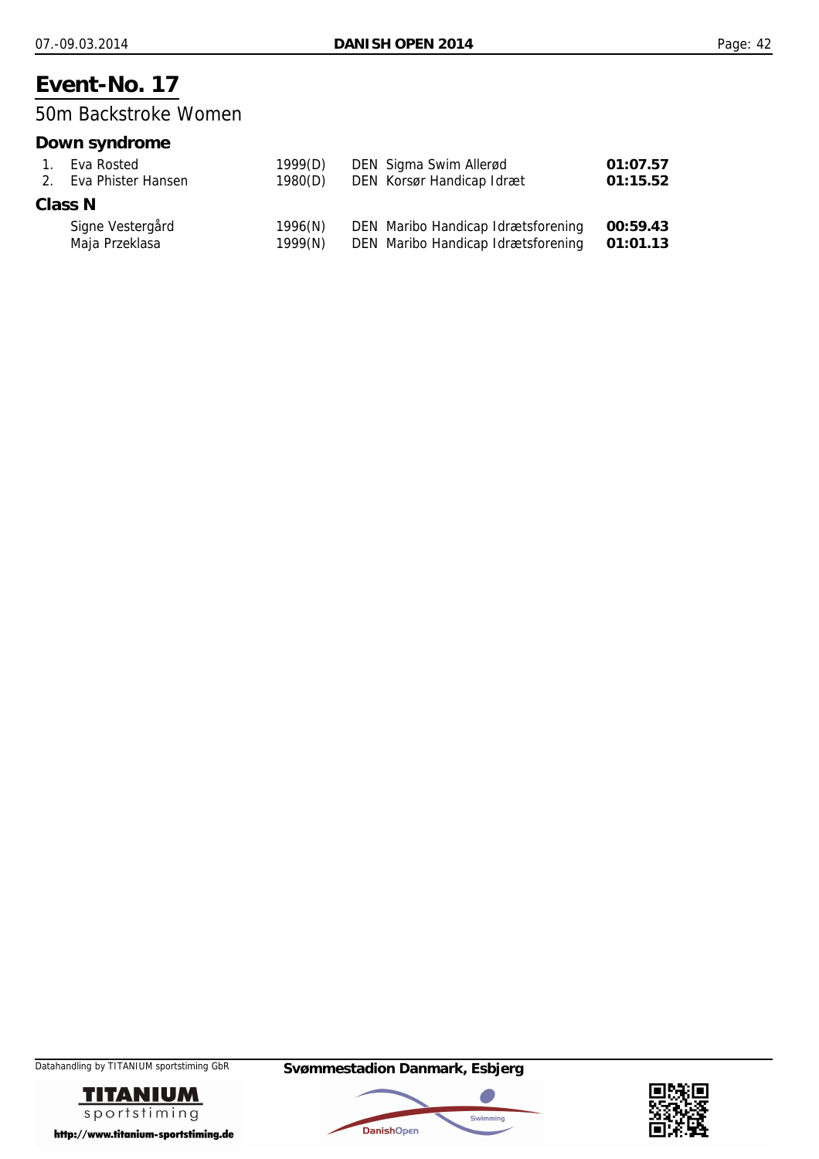50m Backstroke Women

### **Down syndrome**

| $1_{-}$ | Eva Rosted            | 1999(D) | DEN Sigma Swim Allerød             | 01:07.57 |
|---------|-----------------------|---------|------------------------------------|----------|
|         | 2. Eva Phister Hansen | 1980(D) | DEN Korsør Handicap Idræt          | 01:15.52 |
|         | Class N               |         |                                    |          |
|         | Signe Vestergård      | 1996(N) | DEN Maribo Handicap Idrætsforening | 00:59.43 |
|         | Maja Przeklasa        | 1999(N) | DEN Maribo Handicap Idrætsforening | 01:01.13 |





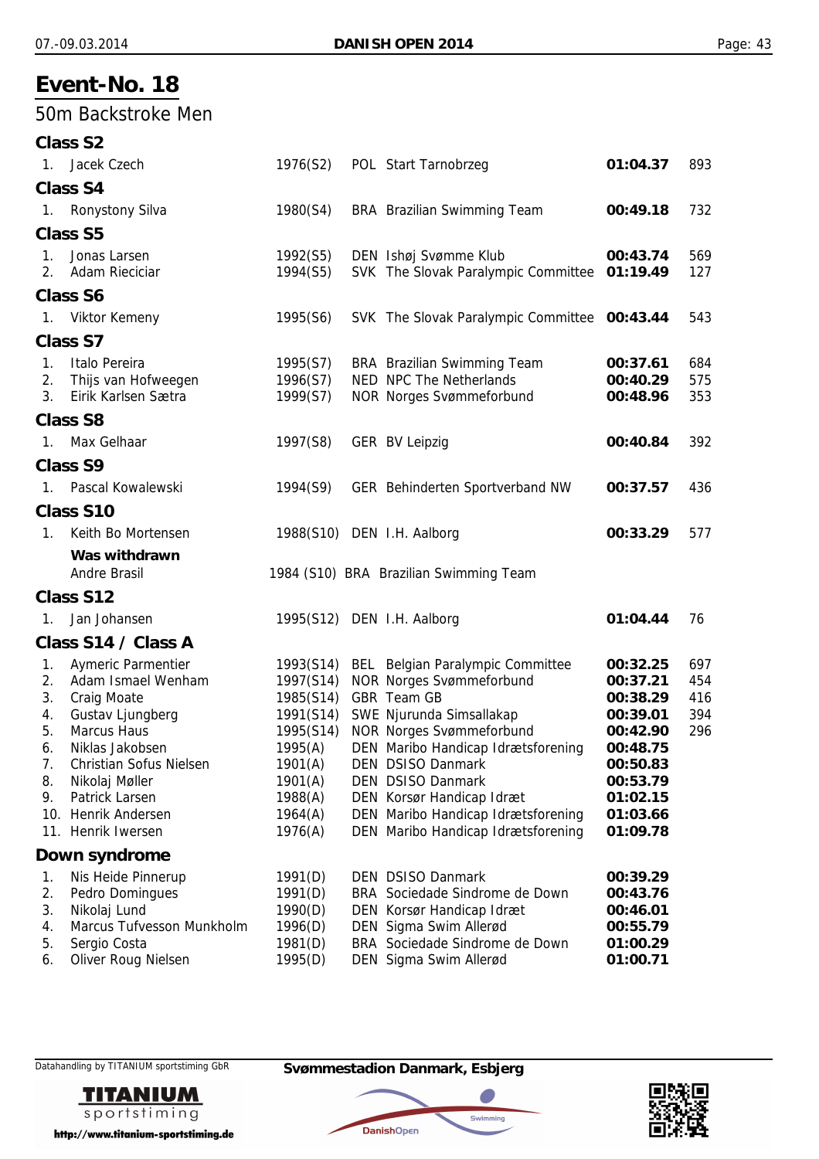### 50m Backstroke Men

|                | <b>Class S2</b>                |                       |                                              |          |     |
|----------------|--------------------------------|-----------------------|----------------------------------------------|----------|-----|
| 1.             | Jacek Czech                    | 1976(S2)              | POL Start Tarnobrzeg                         | 01:04.37 | 893 |
|                | <b>Class S4</b>                |                       |                                              |          |     |
|                | 1. Ronystony Silva             | 1980(S4)              | BRA Brazilian Swimming Team                  | 00:49.18 | 732 |
|                | <b>Class S5</b>                |                       |                                              |          |     |
| 1.             | Jonas Larsen                   | 1992(S5)              | DEN Ishøj Svømme Klub                        | 00:43.74 | 569 |
| 2 <sub>1</sub> | <b>Adam Rieciciar</b>          | 1994(S5)              | SVK The Slovak Paralympic Committee 01:19.49 |          | 127 |
|                | <b>Class S6</b>                |                       |                                              |          |     |
|                | 1. Viktor Kemeny               | 1995(S6)              | SVK The Slovak Paralympic Committee 00:43.44 |          | 543 |
|                | Class S7                       |                       |                                              |          |     |
| $\mathbf{1}$ . | Italo Pereira                  | 1995(S7)              | <b>BRA</b> Brazilian Swimming Team           | 00:37.61 | 684 |
| 2.             | Thijs van Hofweegen            | 1996(S7)              | NED NPC The Netherlands                      | 00:40.29 | 575 |
| 3 <sub>1</sub> | Eirik Karlsen Sætra            | 1999(S7)              | <b>NOR Norges Svømmeforbund</b>              | 00:48.96 | 353 |
|                | <b>Class S8</b>                |                       |                                              |          |     |
| 1.             | Max Gelhaar                    | 1997(S8)              | <b>GER BV Leipzig</b>                        | 00:40.84 | 392 |
|                | <b>Class S9</b>                |                       |                                              |          |     |
|                | 1. Pascal Kowalewski           | 1994(S9)              | GER Behinderten Sportverband NW              | 00:37.57 | 436 |
|                | Class S10                      |                       |                                              |          |     |
| 1 <sub>1</sub> | Keith Bo Mortensen             |                       | 1988(S10) DEN I.H. Aalborg                   | 00:33.29 | 577 |
|                | Was withdrawn                  |                       |                                              |          |     |
|                | Andre Brasil                   |                       | 1984 (S10) BRA Brazilian Swimming Team       |          |     |
|                | Class S12                      |                       |                                              |          |     |
| $\mathbf{1}$ . | Jan Johansen                   |                       | 1995(S12) DEN I.H. Aalborg                   | 01:04.44 | 76  |
|                | Class S14 / Class A            |                       |                                              |          |     |
| 1.             | <b>Aymeric Parmentier</b>      |                       | 1993(S14) BEL Belgian Paralympic Committee   | 00:32.25 | 697 |
| 2.             | Adam Ismael Wenham             |                       | 1997(S14) NOR Norges Svømmeforbund           | 00:37.21 | 454 |
| 3.             | <b>Craig Moate</b>             | 1985(S14) GBR Team GB |                                              | 00:38.29 | 416 |
| 4.             | Gustav Ljungberg               |                       | 1991(S14) SWE Njurunda Simsallakap           | 00:39.01 | 394 |
| 5.             | <b>Marcus Haus</b>             |                       | 1995(S14) NOR Norges Svømmeforbund           | 00:42.90 | 296 |
| 6.             | Niklas Jakobsen                |                       | 1995(A) DEN Maribo Handicap Idrætsforening   | 00:48.75 |     |
| 7.             | <b>Christian Sofus Nielsen</b> | 1901(A)               | DEN DSISO Danmark                            | 00:50.83 |     |
| 8.             | Nikolaj Møller                 | 1901(A)               | <b>DEN DSISO Danmark</b>                     | 00:53.79 |     |
| 9.             | Patrick Larsen                 | 1988(A)               | DEN Korsør Handicap Idræt                    | 01:02.15 |     |
|                | 10. Henrik Andersen            | 1964(A)               | DEN Maribo Handicap Idrætsforening           | 01:03.66 |     |
|                | 11. Henrik Iwersen             | 1976(A)               | DEN Maribo Handicap Idrætsforening           | 01:09.78 |     |
|                | Down syndrome                  |                       |                                              |          |     |
| 1.             | Nis Heide Pinnerup             | 1991(D)               | <b>DEN DSISO Danmark</b>                     | 00:39.29 |     |
| 2.             | Pedro Domingues                | 1991(D)               | BRA Sociedade Sindrome de Down               | 00:43.76 |     |
| 3.             | Nikolaj Lund                   | 1990(D)               | DEN Korsør Handicap Idræt                    | 00:46.01 |     |
| 4.             | Marcus Tufvesson Munkholm      | 1996(D)               | DEN Sigma Swim Allerød                       | 00:55.79 |     |
| 5.             | Sergio Costa                   | 1981(D)               | BRA Sociedade Sindrome de Down               | 01:00.29 |     |
| 6.             | Oliver Roug Nielsen            | 1995(D)               | DEN Sigma Swim Allerød                       | 01:00.71 |     |



http://www.titanium-sportstiming.de

Datahandling by TITANIUM sportstiming GbR **Svømmestadion Danmark, Esbjerg**



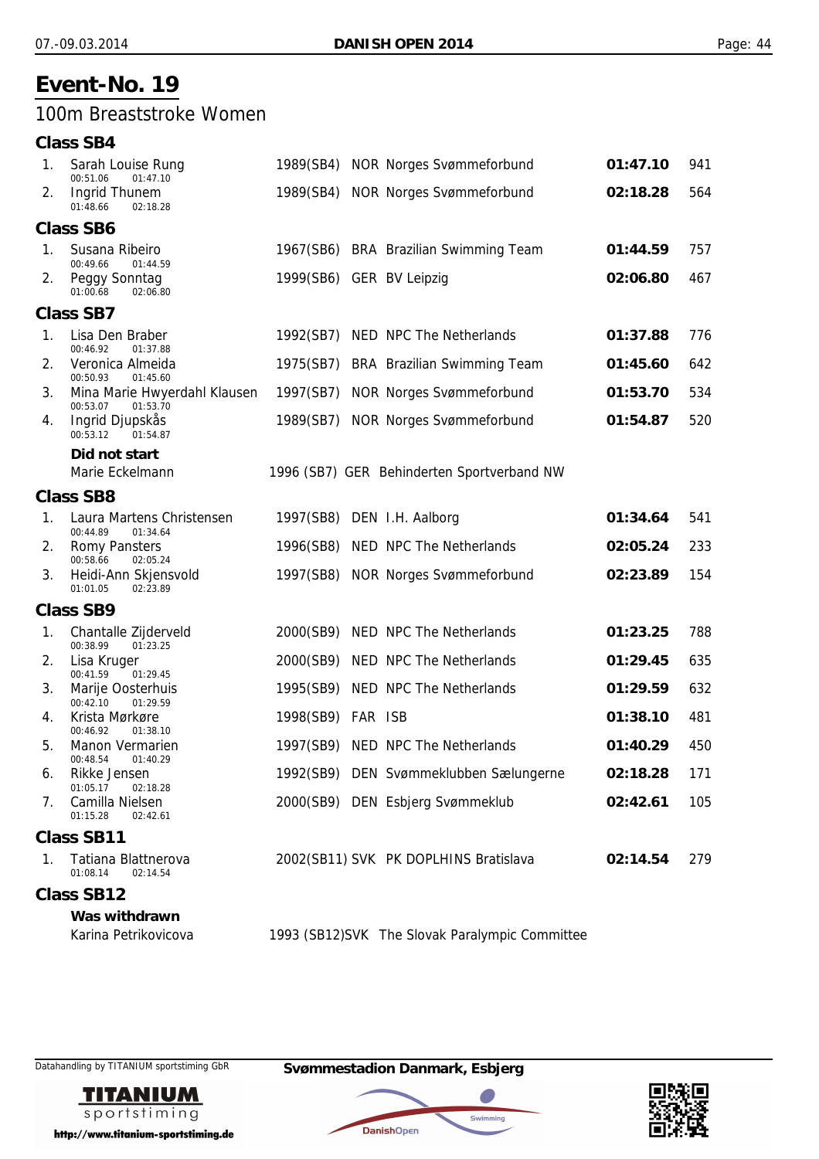### 100m Breaststroke Women

#### **Class SB4** 1. Sarah Louise Rung 1989(SB4) NOR Norges Svømmeforbund **01:47.10** 941 01:47.10 2. Ingrid Thunem 1989(SB4) NOR Norges Svømmeforbund **02:18.28** 564 01:48.66 02:18.28 **Class SB6** 1. Susana Ribeiro 1967(SB6) BRA Brazilian Swimming Team **01:44.59** 757 01:44.59 2. Peggy Sonntag 1999(SB6) GER BV Leipzig **02:06.80** 467 01:00.68 02:06.80 **Class SB7** 1. Lisa Den Braber 1992(SB7) NED NPC The Netherlands **01:37.88** 776 00:46.92 01:37.88 2. Veronica Almeida 1975(SB7) BRA Brazilian Swimming Team **01:45.60** 642 00:50.93 01:45.60 3. Mina Marie Hwyerdahl Klausen 1997(SB7) NOR Norges Svømmeforbund **01:53.70** 534 00:53.07 01:53.70 4. Ingrid Djupskås 1989(SB7) NOR Norges Svømmeforbund **01:54.87** 520 00:53.12 01:54.87 *Did not start* Marie Eckelmann 1996 (SB7) GER Behinderten Sportverband NW **Class SB8** 1. Laura Martens Christensen 1997(SB8) DEN I.H. Aalborg **01:34.64** 541<br>00:44.89 01:34.64 01:34.64 2. Romy Pansters 1996(SB8) NED NPC The Netherlands **02:05.24** 233 00:58.66 02:05.24 3. Heidi-Ann Skjensvold 1997(SB8) NOR Norges Svømmeforbund **02:23.89** 154  $01 \cdot 01.05$   $02 \cdot 23.89$ **Class SB9** 1. Chantalle Zijderveld **2000(SB9)** NED NPC The Netherlands **01:23.25** 788<br>
00:38.99 01:23.25  $01:23.25$ 2. Lisa Kruger 2000(SB9) NED NPC The Netherlands **01:29.45** 635 00:41.59 01:29.45 3. Marije Oosterhuis 1995(SB9) NED NPC The Netherlands **01:29.59** 632  $00:42.10$ 4. Krista Mørkøre 1998(SB9) FAR ISB **01:38.10** 481 00:46.92 01:38.10 5. Manon Vermarien 1997(SB9) NED NPC The Netherlands **01:40.29** 450 00:48.54 01:40.29 6. Rikke Jensen 1992(SB9) DEN Svømmeklubben Sælungerne **02:18.28** 171 01:05.17 02:18.28 7. Camilla Nielsen 2000(SB9) DEN Esbjerg Svømmeklub **02:42.61** 105  $01:15.28$   $02:42.61$ **Class SB11** 1. Tatiana Blattnerova 2002(SB11) SVK PK DOPLHINS Bratislava **02:14.54** 279 01:08.14 02:14.54 **Class SB12** *Was withdrawn* Karina Petrikovicova 1993 (SB12)SVK The Slovak Paralympic Committee



http://www.titanium-sportstiming.de

Datahandling by TITANIUM sportstiming GbR **Svømmestadion Danmark, Esbjerg**



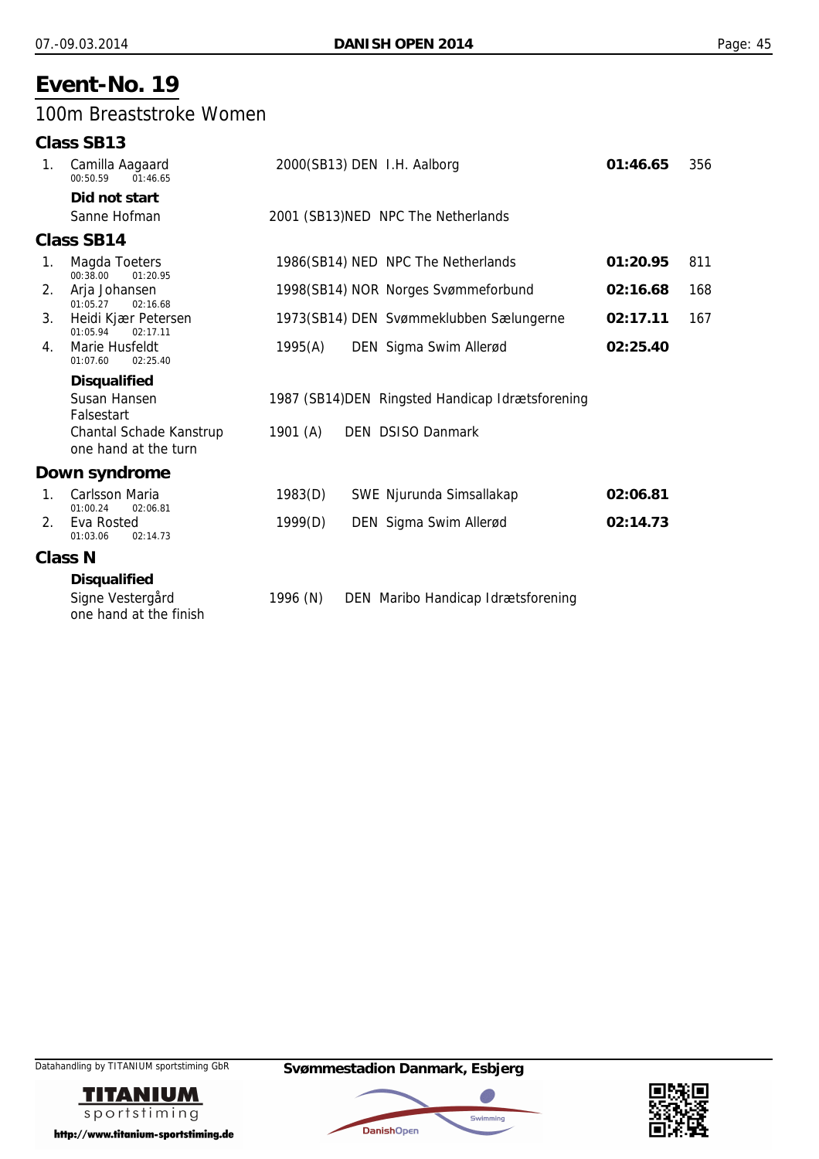### 100m Breaststroke Women

|                | Class SB13                                                 |            |                                                  |          |     |
|----------------|------------------------------------------------------------|------------|--------------------------------------------------|----------|-----|
| 1.             | Camilla Aagaard<br>00:50.59<br>01:46.65                    |            | 2000(SB13) DEN I.H. Aalborg                      | 01:46.65 | 356 |
|                | Did not start                                              |            |                                                  |          |     |
|                | Sanne Hofman                                               |            | 2001 (SB13) NED NPC The Netherlands              |          |     |
|                | <b>Class SB14</b>                                          |            |                                                  |          |     |
| 1.             | Magda Toeters<br>00:38.00<br>01:20.95                      |            | 1986(SB14) NED NPC The Netherlands               | 01:20.95 | 811 |
| 2.             | Arja Johansen<br>02:16.68<br>01:05.27                      |            | 1998(SB14) NOR Norges Svømmeforbund              | 02:16.68 | 168 |
| 3.             | Heidi Kjær Petersen<br>01:05.94<br>02:17.11                |            | 1973(SB14) DEN Svømmeklubben Sælungerne          | 02:17.11 | 167 |
| 4.             | Marie Husfeldt<br>01:07.60<br>02:25.40                     | 1995(A)    | DEN Sigma Swim Allerød                           | 02:25.40 |     |
|                | <b>Disqualified</b>                                        |            |                                                  |          |     |
|                | Susan Hansen<br>Falsestart                                 |            | 1987 (SB14) DEN Ringsted Handicap Idrætsforening |          |     |
|                | Chantal Schade Kanstrup<br>one hand at the turn            | 1901 $(A)$ | <b>DEN DSISO Danmark</b>                         |          |     |
|                | Down syndrome                                              |            |                                                  |          |     |
| $\mathbf{1}$ . | <b>Carlsson Maria</b>                                      | 1983(D)    | SWE Njurunda Simsallakap                         | 02:06.81 |     |
| 2.             | 01:00.24<br>02:06.81<br>Eva Rosted<br>01:03.06<br>02:14.73 | 1999(D)    | DEN Sigma Swim Allerød                           | 02:14.73 |     |
|                | <b>Class N</b>                                             |            |                                                  |          |     |
|                | <b>Disqualified</b>                                        |            |                                                  |          |     |
|                | Signe Vestergård<br>one hand at the finish                 | 1996 (N)   | DEN Maribo Handicap Idrætsforening               |          |     |





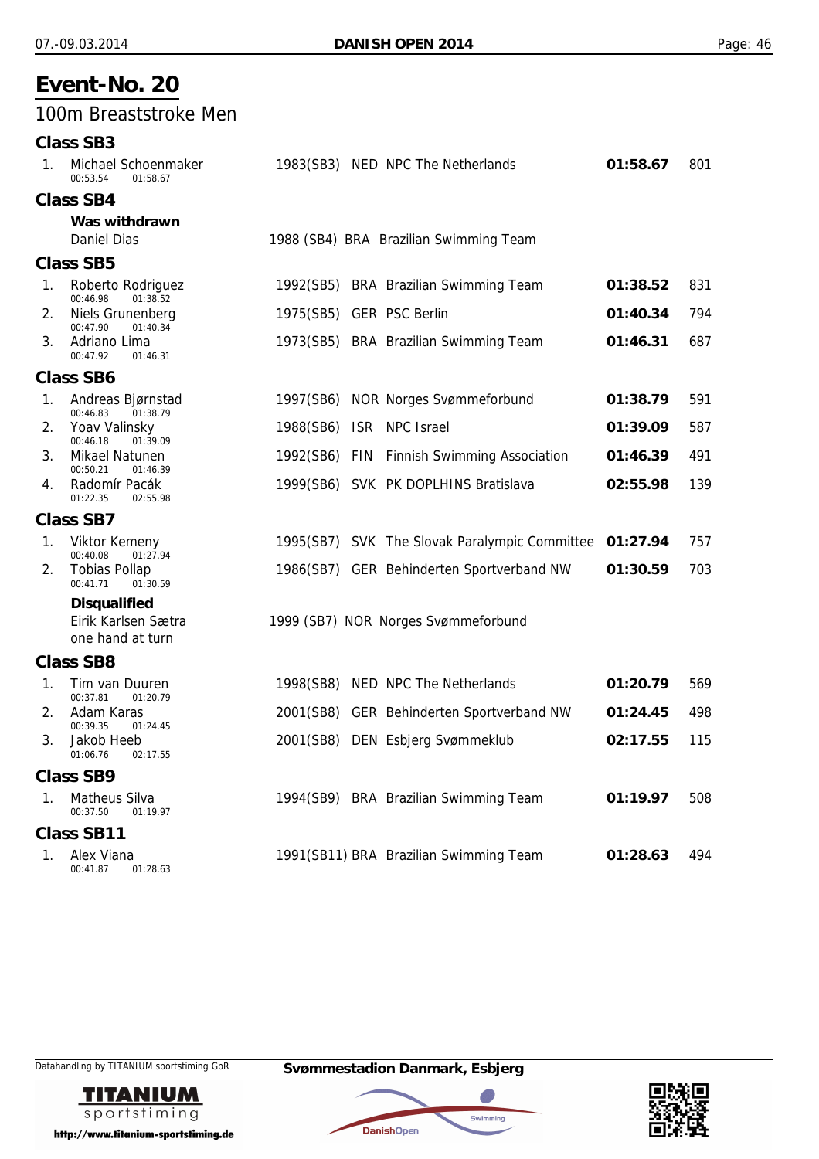### 100m Breaststroke Men

#### **Class SB3**

| 1. | Michael Schoenmaker<br>00:53.54<br>01:58.67       | 1983(SB3) NED NPC The Netherlands                      | 01:58.67 | 801 |
|----|---------------------------------------------------|--------------------------------------------------------|----------|-----|
|    | <b>Class SB4</b>                                  |                                                        |          |     |
|    | Was withdrawn<br><b>Daniel Dias</b>               | 1988 (SB4) BRA Brazilian Swimming Team                 |          |     |
|    | <b>Class SB5</b>                                  |                                                        |          |     |
| 1. | Roberto Rodriguez<br>00:46.98<br>01:38.52         | 1992(SB5) BRA Brazilian Swimming Team                  | 01:38.52 | 831 |
| 2. | Niels Grunenberg<br>00:47.90<br>01:40.34          | 1975(SB5) GER PSC Berlin                               | 01:40.34 | 794 |
| 3. | Adriano Lima<br>00:47.92<br>01:46.31              | 1973(SB5) BRA Brazilian Swimming Team                  | 01:46.31 | 687 |
|    | <b>Class SB6</b>                                  |                                                        |          |     |
| 1. | Andreas Bjørnstad<br>00:46.83<br>01:38.79         | 1997(SB6) NOR Norges Svømmeforbund                     | 01:38.79 | 591 |
| 2. | Yoav Valinsky<br>00:46.18<br>01:39.09             | ISR NPC Israel<br>1988(SB6)                            | 01:39.09 | 587 |
| 3. | Mikael Natunen<br>00:50.21                        | 1992(SB6) FIN<br><b>Finnish Swimming Association</b>   | 01:46.39 | 491 |
| 4. | 01:46.39<br>Radomír Pacák<br>01:22.35<br>02:55.98 | 1999(SB6) SVK PK DOPLHINS Bratislava                   | 02:55.98 | 139 |
|    | <b>Class SB7</b>                                  |                                                        |          |     |
| 1. | Viktor Kemeny<br>00:40.08<br>01:27.94             | 1995(SB7) SVK The Slovak Paralympic Committee 01:27.94 |          | 757 |
| 2. | <b>Tobias Pollap</b><br>00:41.71<br>01:30.59      | 1986(SB7) GER Behinderten Sportverband NW              | 01:30.59 | 703 |
|    | Disqualified                                      |                                                        |          |     |
|    | Eirik Karlsen Sætra<br>one hand at turn           | 1999 (SB7) NOR Norges Svømmeforbund                    |          |     |
|    | <b>Class SB8</b>                                  |                                                        |          |     |
| 1. | Tim van Duuren<br>00:37.81<br>01:20.79            | 1998(SB8) NED NPC The Netherlands                      | 01:20.79 | 569 |
| 2. | Adam Karas<br>00:39.35<br>01:24.45                | 2001(SB8) GER Behinderten Sportverband NW              | 01:24.45 | 498 |
| 3. | Jakob Heeb<br>01:06.76<br>02:17.55                | 2001(SB8) DEN Esbjerg Svømmeklub                       | 02:17.55 | 115 |
|    | <b>Class SB9</b>                                  |                                                        |          |     |
| 1. | Matheus Silva<br>00:37.50<br>01:19.97             | 1994(SB9) BRA Brazilian Swimming Team                  | 01:19.97 | 508 |
|    | <b>Class SB11</b>                                 |                                                        |          |     |
| 1. | Alex Viana<br>00:41.87<br>01:28.63                | 1991(SB11) BRA Brazilian Swimming Team                 | 01:28.63 | 494 |



http://www.titanium-sportstiming.de

Datahandling by TITANIUM sportstiming GbR **Svømmestadion Danmark, Esbjerg**



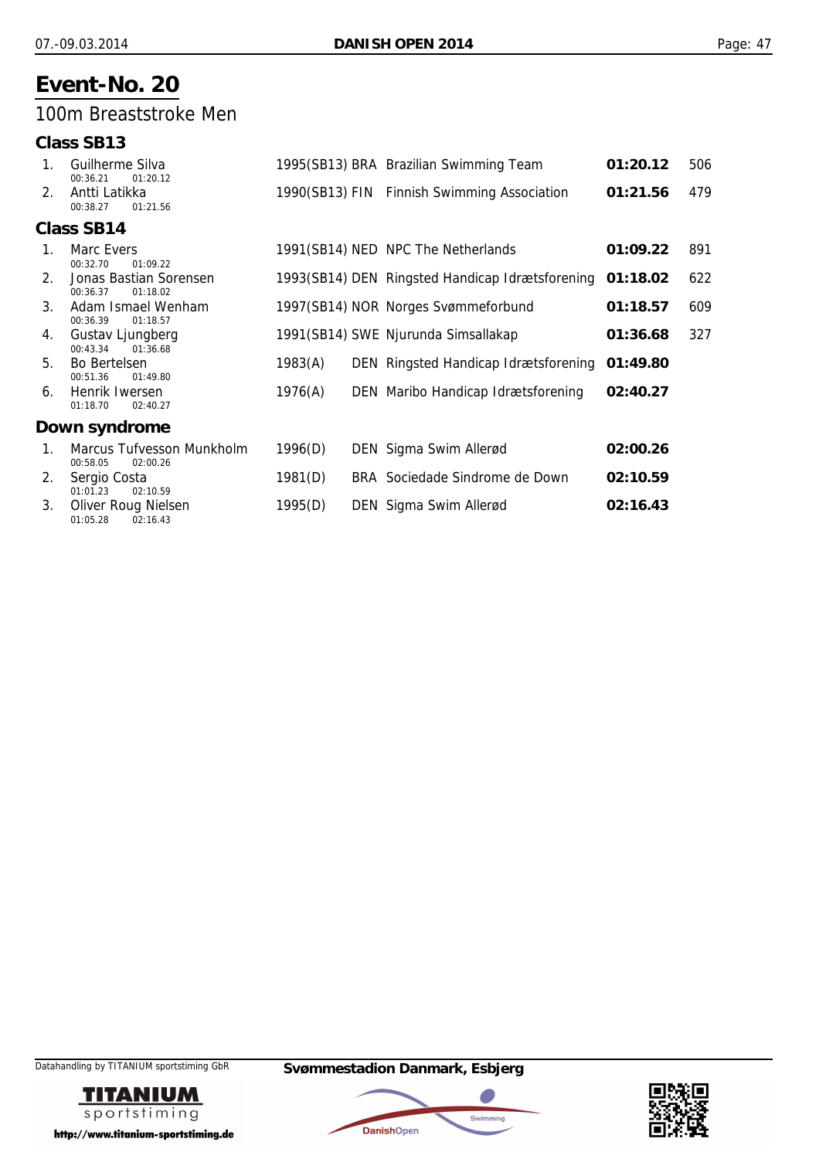### 100m Breaststroke Men

|    | <b>Class SB13</b>                                 |         |                                                 |          |     |
|----|---------------------------------------------------|---------|-------------------------------------------------|----------|-----|
| 1. | Guilherme Silva<br>00:36.21<br>01:20.12           |         | 1995(SB13) BRA Brazilian Swimming Team          | 01:20.12 | 506 |
| 2. | Antti Latikka<br>00:38.27<br>01:21.56             |         | 1990(SB13) FIN Finnish Swimming Association     | 01:21.56 | 479 |
|    | <b>Class SB14</b>                                 |         |                                                 |          |     |
| 1. | Marc Evers<br>00:32.70<br>01:09.22                |         | 1991(SB14) NED NPC The Netherlands              | 01:09.22 | 891 |
| 2. | Jonas Bastian Sorensen<br>01:18.02<br>00:36.37    |         | 1993(SB14) DEN Ringsted Handicap Idrætsforening | 01:18.02 | 622 |
| 3. | Adam Ismael Wenham<br>00:36.39<br>01:18.57        |         | 1997(SB14) NOR Norges Svømmeforbund             | 01:18.57 | 609 |
| 4. | Gustav Ljungberg<br>00:43.34<br>01:36.68          |         | 1991(SB14) SWE Njurunda Simsallakap             | 01:36.68 | 327 |
| 5. | Bo Bertelsen<br>00:51.36<br>01:49.80              | 1983(A) | DEN Ringsted Handicap Idrætsforening            | 01:49.80 |     |
| 6. | Henrik Iwersen<br>01:18.70<br>02:40.27            | 1976(A) | DEN Maribo Handicap Idrætsforening              | 02:40.27 |     |
|    | Down syndrome                                     |         |                                                 |          |     |
| 1. | Marcus Tufvesson Munkholm<br>00:58.05<br>02:00.26 | 1996(D) | DEN Sigma Swim Allerød                          | 02:00.26 |     |
| 2. | Sergio Costa<br>01:01.23<br>02:10.59              | 1981(D) | BRA Sociedade Sindrome de Down                  | 02:10.59 |     |
| 3. | Oliver Roug Nielsen<br>01:05.28<br>02:16.43       | 1995(D) | DEN Sigma Swim Allerød                          | 02:16.43 |     |





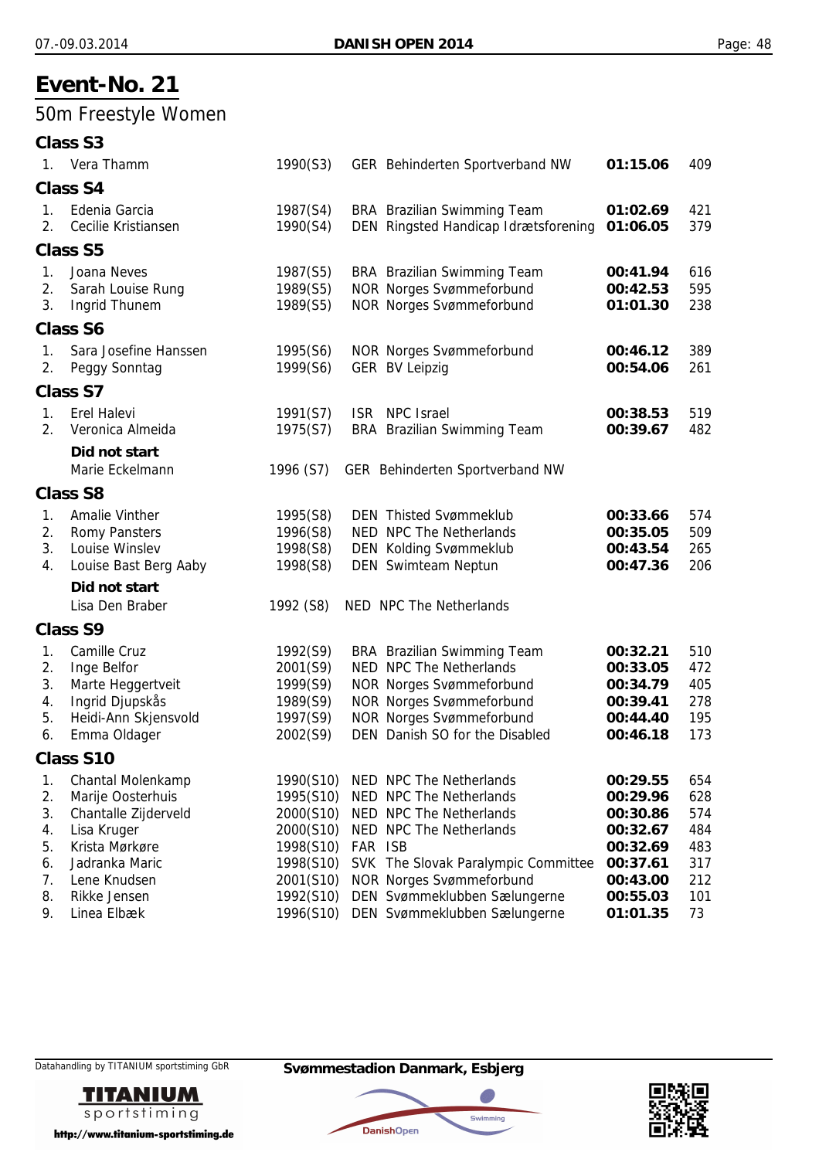## 50m Freestyle Women

|                                        | Class S3                                                                                                                          |                                                                                         |         |                                                                                                                                                                                                   |                                                                                  |                                               |
|----------------------------------------|-----------------------------------------------------------------------------------------------------------------------------------|-----------------------------------------------------------------------------------------|---------|---------------------------------------------------------------------------------------------------------------------------------------------------------------------------------------------------|----------------------------------------------------------------------------------|-----------------------------------------------|
|                                        | 1. Vera Thamm                                                                                                                     | 1990(S3)                                                                                |         | GER Behinderten Sportverband NW                                                                                                                                                                   | 01:15.06                                                                         | 409                                           |
|                                        | <b>Class S4</b>                                                                                                                   |                                                                                         |         |                                                                                                                                                                                                   |                                                                                  |                                               |
| 1.<br>$2_{1}$                          | Edenia Garcia<br>Cecilie Kristiansen                                                                                              | 1987(S4)<br>1990(S4)                                                                    |         | BRA Brazilian Swimming Team<br>DEN Ringsted Handicap Idrætsforening                                                                                                                               | 01:02.69<br>01:06.05                                                             | 421<br>379                                    |
|                                        | <b>Class S5</b>                                                                                                                   |                                                                                         |         |                                                                                                                                                                                                   |                                                                                  |                                               |
| 1.<br>2.<br>3.                         | Joana Neves<br>Sarah Louise Rung<br><b>Ingrid Thunem</b>                                                                          | 1987(S5)<br>1989(S5)<br>1989(S5)                                                        |         | BRA Brazilian Swimming Team<br><b>NOR Norges Svømmeforbund</b><br><b>NOR Norges Svømmeforbund</b>                                                                                                 | 00:41.94<br>00:42.53<br>01:01.30                                                 | 616<br>595<br>238                             |
|                                        | <b>Class S6</b>                                                                                                                   |                                                                                         |         |                                                                                                                                                                                                   |                                                                                  |                                               |
| 1.<br>2.                               | Sara Josefine Hanssen<br>Peggy Sonntag                                                                                            | 1995(S6)<br>1999(S6)                                                                    |         | <b>NOR Norges Svømmeforbund</b><br><b>GER BV Leipzig</b>                                                                                                                                          | 00:46.12<br>00:54.06                                                             | 389<br>261                                    |
|                                        | <b>Class S7</b>                                                                                                                   |                                                                                         |         |                                                                                                                                                                                                   |                                                                                  |                                               |
| 1.<br>2.                               | <b>Erel Halevi</b><br>Veronica Almeida<br>Did not start                                                                           | 1991(S7)<br>1975(S7)                                                                    |         | ISR NPC Israel<br><b>BRA</b> Brazilian Swimming Team                                                                                                                                              | 00:38.53<br>00:39.67                                                             | 519<br>482                                    |
|                                        | Marie Eckelmann                                                                                                                   | 1996 (S7)                                                                               |         | GER Behinderten Sportverband NW                                                                                                                                                                   |                                                                                  |                                               |
|                                        | <b>Class S8</b>                                                                                                                   |                                                                                         |         |                                                                                                                                                                                                   |                                                                                  |                                               |
| 1.<br>2.<br>3.<br>4.                   | Amalie Vinther<br><b>Romy Pansters</b><br>Louise Winslev<br>Louise Bast Berg Aaby                                                 | 1995(S8)<br>1996(S8)<br>1998(S8)<br>1998(S8)                                            |         | <b>DEN Thisted Svømmeklub</b><br>NED NPC The Netherlands<br><b>DEN Kolding Svømmeklub</b><br>DEN Swimteam Neptun                                                                                  | 00:33.66<br>00:35.05<br>00:43.54<br>00:47.36                                     | 574<br>509<br>265<br>206                      |
|                                        | Did not start<br>Lisa Den Braber                                                                                                  | 1992 (S8)                                                                               |         | NED NPC The Netherlands                                                                                                                                                                           |                                                                                  |                                               |
|                                        | <b>Class S9</b>                                                                                                                   |                                                                                         |         |                                                                                                                                                                                                   |                                                                                  |                                               |
| 1.<br>2.<br>3.<br>4.<br>5.<br>6.       | Camille Cruz<br>Inge Belfor<br>Marte Heggertveit<br>Ingrid Djupskås<br>Heidi-Ann Skjensvold<br>Emma Oldager                       | 1992(S9)<br>2001(S9)<br>1999(S9)<br>1989(S9)<br>1997(S9)<br>2002(S9)                    |         | BRA Brazilian Swimming Team<br>NED NPC The Netherlands<br><b>NOR Norges Svømmeforbund</b><br><b>NOR Norges Svømmeforbund</b><br><b>NOR Norges Svømmeforbund</b><br>DEN Danish SO for the Disabled | 00:32.21<br>00:33.05<br>00:34.79<br>00:39.41<br>00:44.40<br>00:46.18             | 510<br>472<br>405<br>278<br>195<br>173        |
|                                        | <b>Class S10</b>                                                                                                                  |                                                                                         |         |                                                                                                                                                                                                   |                                                                                  |                                               |
| 1.<br>2.<br>3.<br>4.<br>5.<br>6.<br>7. | Chantal Molenkamp<br>Marije Oosterhuis<br>Chantalle Zijderveld<br>Lisa Kruger<br>Krista Mørkøre<br>Jadranka Maric<br>Lene Knudsen | 1990(S10)<br>1995(S10)<br>2000(S10)<br>2000(S10)<br>1998(S10)<br>1998(S10)<br>2001(S10) | FAR ISB | NED NPC The Netherlands<br>NED NPC The Netherlands<br>NED NPC The Netherlands<br>NED NPC The Netherlands<br>SVK The Slovak Paralympic Committee<br><b>NOR Norges Svømmeforbund</b>                | 00:29.55<br>00:29.96<br>00:30.86<br>00:32.67<br>00:32.69<br>00:37.61<br>00:43.00 | 654<br>628<br>574<br>484<br>483<br>317<br>212 |
| 8.<br>9.                               | Rikke Jensen<br>Linea Elbæk                                                                                                       | 1992(S10)<br>1996(S10)                                                                  |         | DEN Svømmeklubben Sælungerne<br>DEN Svømmeklubben Sælungerne                                                                                                                                      | 00:55.03<br>01:01.35                                                             | 101<br>73                                     |

Datahandling by TITANIUM sportstiming GbR **Svømmestadion Danmark, Esbjerg**



http://www.titanium-sportstiming.de



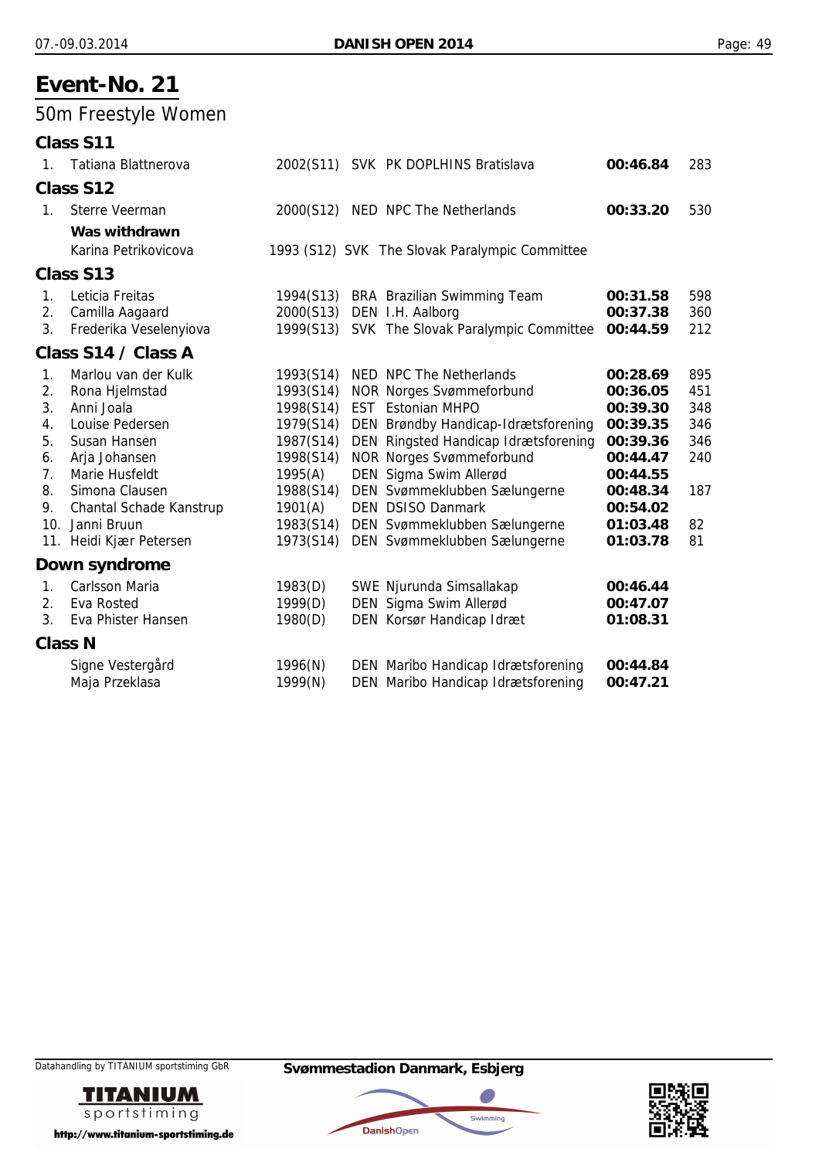50m Freestyle Women

|                | Class S11               |           |                                                |          |     |
|----------------|-------------------------|-----------|------------------------------------------------|----------|-----|
| 1.             | Tatiana Blattnerova     |           | 2002(S11) SVK PK DOPLHINS Bratislava           | 00:46.84 | 283 |
|                | Class S12               |           |                                                |          |     |
| $1_{-}$        | Sterre Veerman          |           | 2000(S12) NED NPC The Netherlands              | 00:33.20 | 530 |
|                | Was withdrawn           |           |                                                |          |     |
|                | Karina Petrikovicova    |           | 1993 (S12) SVK The Slovak Paralympic Committee |          |     |
|                | Class S13               |           |                                                |          |     |
| 1.             | Leticia Freitas         | 1994(S13) | <b>BRA</b> Brazilian Swimming Team             | 00:31.58 | 598 |
| 2.             | Camilla Aagaard         | 2000(S13) | DEN I.H. Aalborg                               | 00:37.38 | 360 |
| 3.             | Frederika Veselenyiova  |           | 1999(S13) SVK The Slovak Paralympic Committee  | 00:44.59 | 212 |
|                | Class S14 / Class A     |           |                                                |          |     |
| 1.             | Marlou van der Kulk     | 1993(S14) | NED NPC The Netherlands                        | 00:28.69 | 895 |
| 2.             | Rona Hjelmstad          | 1993(S14) | <b>NOR Norges Svømmeforbund</b>                | 00:36.05 | 451 |
| 3.             | Anni Joala              | 1998(S14) | <b>EST</b> Estonian MHPO                       | 00:39.30 | 348 |
| 4.             | Louise Pedersen         | 1979(S14) | DEN Brøndby Handicap-Idrætsforening            | 00:39.35 | 346 |
| 5.             | Susan Hansen            | 1987(S14) | DEN Ringsted Handicap Idrætsforening           | 00:39.36 | 346 |
| 6.             | Arja Johansen           | 1998(S14) | <b>NOR Norges Svømmeforbund</b>                | 00:44.47 | 240 |
| 7.             | Marie Husfeldt          | 1995(A)   | DEN Sigma Swim Allerød                         | 00:44.55 |     |
| 8.             | Simona Clausen          | 1988(S14) | DEN Svømmeklubben Sælungerne                   | 00:48.34 | 187 |
| 9.             | Chantal Schade Kanstrup | 1901(A)   | <b>DEN DSISO Danmark</b>                       | 00:54.02 |     |
|                | 10. Janni Bruun         | 1983(S14) | DEN Svømmeklubben Sælungerne                   | 01:03.48 | 82  |
|                | 11. Heidi Kjær Petersen | 1973(S14) | DEN Svømmeklubben Sælungerne                   | 01:03.78 | 81  |
|                | Down syndrome           |           |                                                |          |     |
| 1.             | <b>Carlsson Maria</b>   | 1983(D)   | SWE Njurunda Simsallakap                       | 00:46.44 |     |
| 2.             | Eva Rosted              | 1999(D)   | DEN Sigma Swim Allerød                         | 00:47.07 |     |
| 3.             | Eva Phister Hansen      | 1980(D)   | DEN Korsør Handicap Idræt                      | 01:08.31 |     |
| <b>Class N</b> |                         |           |                                                |          |     |
|                | Signe Vestergård        | 1996(N)   | DEN Maribo Handicap Idrætsforening             | 00:44.84 |     |
|                | Maja Przeklasa          | 1999(N)   | DEN Maribo Handicap Idrætsforening             | 00:47.21 |     |
|                |                         |           |                                                |          |     |





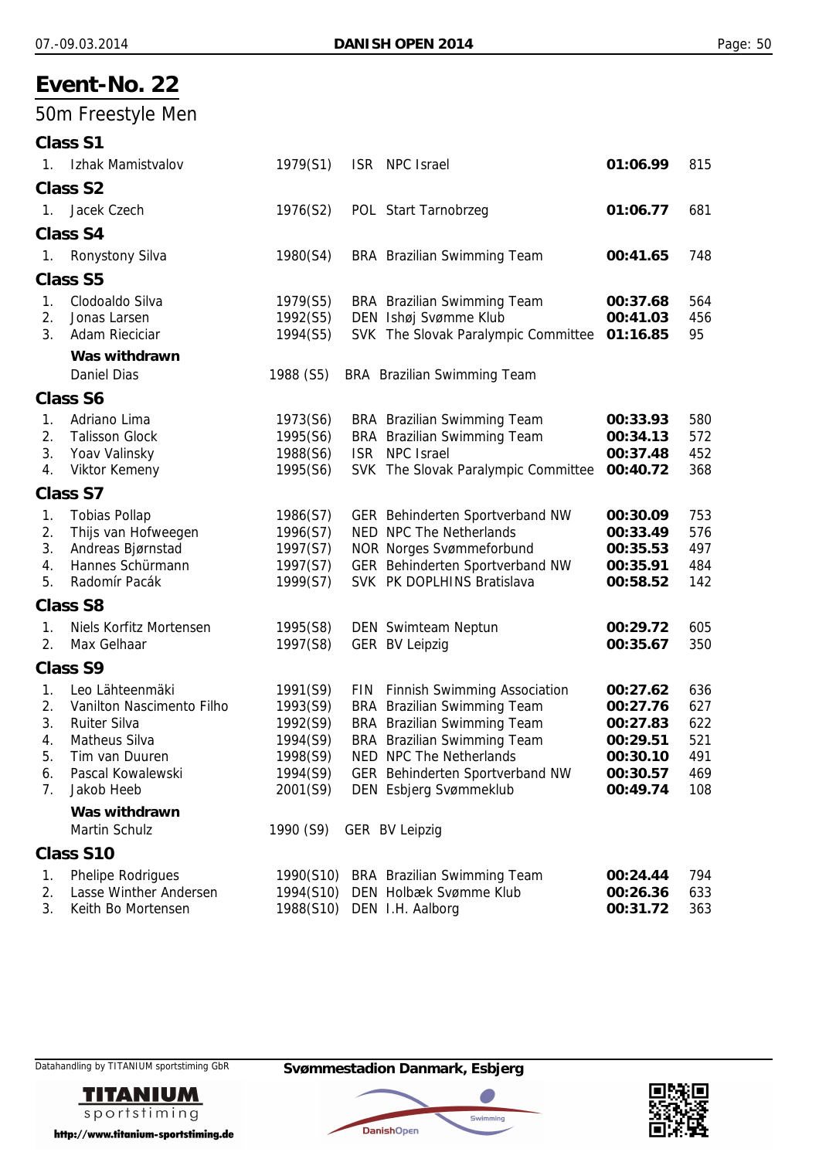## 50m Freestyle Men

|                | <b>Class S1</b>           |           |                                     |          |     |
|----------------|---------------------------|-----------|-------------------------------------|----------|-----|
| $1_{\cdot}$    | Izhak Mamistvalov         | 1979(S1)  | ISR NPC Israel                      | 01:06.99 | 815 |
|                | <b>Class S2</b>           |           |                                     |          |     |
| 1.             | Jacek Czech               | 1976(S2)  | POL Start Tarnobrzeg                | 01:06.77 | 681 |
|                | <b>Class S4</b>           |           |                                     |          |     |
| 1.             | <b>Ronystony Silva</b>    | 1980(S4)  | BRA Brazilian Swimming Team         | 00:41.65 | 748 |
|                | <b>Class S5</b>           |           |                                     |          |     |
| 1.             | Clodoaldo Silva           | 1979(S5)  | <b>BRA</b> Brazilian Swimming Team  | 00:37.68 | 564 |
| 2.             | Jonas Larsen              | 1992(S5)  | DEN Ishøj Svømme Klub               | 00:41.03 | 456 |
| 3 <sub>1</sub> | Adam Rieciciar            | 1994(S5)  | SVK The Slovak Paralympic Committee | 01:16.85 | 95  |
|                | Was withdrawn             |           |                                     |          |     |
|                | Daniel Dias               | 1988 (S5) | <b>BRA</b> Brazilian Swimming Team  |          |     |
|                | <b>Class S6</b>           |           |                                     |          |     |
| 1.             | Adriano Lima              | 1973(S6)  | <b>BRA</b> Brazilian Swimming Team  | 00:33.93 | 580 |
| 2.             | <b>Talisson Glock</b>     | 1995(S6)  | <b>BRA</b> Brazilian Swimming Team  | 00:34.13 | 572 |
| 3.             | Yoav Valinsky             | 1988(S6)  | ISR NPC Israel                      | 00:37.48 | 452 |
| 4.             | Viktor Kemeny             | 1995(S6)  | SVK The Slovak Paralympic Committee | 00:40.72 | 368 |
|                | <b>Class S7</b>           |           |                                     |          |     |
| 1.             | <b>Tobias Pollap</b>      | 1986(S7)  | GER Behinderten Sportverband NW     | 00:30.09 | 753 |
| 2.             | Thijs van Hofweegen       | 1996(S7)  | NED NPC The Netherlands             | 00:33.49 | 576 |
| 3.             | Andreas Bjørnstad         | 1997(S7)  | <b>NOR Norges Svømmeforbund</b>     | 00:35.53 | 497 |
| 4.             | Hannes Schürmann          | 1997(S7)  | GER Behinderten Sportverband NW     | 00:35.91 | 484 |
| 5.             | Radomír Pacák             | 1999(S7)  | SVK PK DOPLHINS Bratislava          | 00:58.52 | 142 |
|                | <b>Class S8</b>           |           |                                     |          |     |
| 1.             | Niels Korfitz Mortensen   | 1995(S8)  | DEN Swimteam Neptun                 | 00:29.72 | 605 |
| 2.             | Max Gelhaar               | 1997(S8)  | <b>GER BV Leipzig</b>               | 00:35.67 | 350 |
|                | <b>Class S9</b>           |           |                                     |          |     |
| 1.             | Leo Lähteenmäki           | 1991(S9)  | FIN Finnish Swimming Association    | 00:27.62 | 636 |
| 2.             | Vanilton Nascimento Filho | 1993(S9)  | <b>BRA</b> Brazilian Swimming Team  | 00:27.76 | 627 |
| 3.             | <b>Ruiter Silva</b>       | 1992(S9)  | <b>BRA</b> Brazilian Swimming Team  | 00:27.83 | 622 |
| 4.             | Matheus Silva             | 1994(S9)  | <b>BRA</b> Brazilian Swimming Team  | 00:29.51 | 521 |
| 5.             | Tim van Duuren            | 1998(S9)  | NED NPC The Netherlands             | 00:30.10 | 491 |
| 6.             | Pascal Kowalewski         | 1994(S9)  | GER Behinderten Sportverband NW     | 00:30.57 | 469 |
| 7.             | Jakob Heeb                | 2001(S9)  | DEN Esbjerg Svømmeklub              | 00:49.74 | 108 |
|                | Was withdrawn             |           |                                     |          |     |
|                | Martin Schulz             | 1990 (S9) | <b>GER BV Leipzig</b>               |          |     |
|                | Class S10                 |           |                                     |          |     |
| 1.             | <b>Phelipe Rodrigues</b>  | 1990(S10) | <b>BRA</b> Brazilian Swimming Team  | 00:24.44 | 794 |
| 2.             | Lasse Winther Andersen    | 1994(S10) | DEN Holbæk Svømme Klub              | 00:26.36 | 633 |
| 3.             | Keith Bo Mortensen        |           | 1988(S10) DEN I.H. Aalborg          | 00:31.72 | 363 |







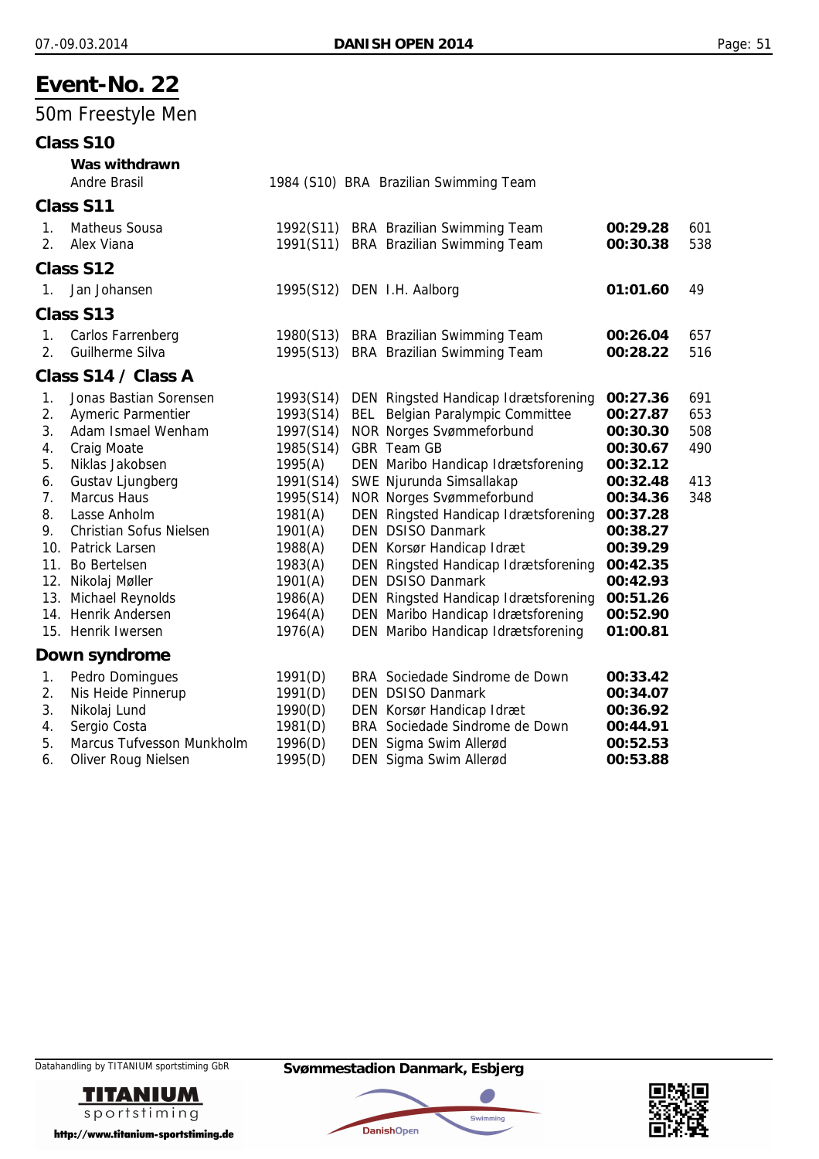## 50m Freestyle Men

### **Class S10**

|                                  | Was withdrawn<br>Andre Brasil                                                                                                   |                                                                          | 1984 (S10) BRA Brazilian Swimming Team                                                                                                                                                              |                                                                      |                                 |
|----------------------------------|---------------------------------------------------------------------------------------------------------------------------------|--------------------------------------------------------------------------|-----------------------------------------------------------------------------------------------------------------------------------------------------------------------------------------------------|----------------------------------------------------------------------|---------------------------------|
|                                  | Class S11                                                                                                                       |                                                                          |                                                                                                                                                                                                     |                                                                      |                                 |
| 1.<br>2.                         | <b>Matheus Sousa</b><br>Alex Viana                                                                                              | 1992(S11)<br>1991(S11)                                                   | BRA Brazilian Swimming Team<br><b>BRA</b> Brazilian Swimming Team                                                                                                                                   | 00:29.28<br>00:30.38                                                 | 601<br>538                      |
|                                  | Class S12                                                                                                                       |                                                                          |                                                                                                                                                                                                     |                                                                      |                                 |
| $1_{\cdot}$                      | Jan Johansen                                                                                                                    |                                                                          | 1995(S12) DEN I.H. Aalborg                                                                                                                                                                          | 01:01.60                                                             | 49                              |
|                                  | Class S13                                                                                                                       |                                                                          |                                                                                                                                                                                                     |                                                                      |                                 |
| 1.<br>2 <sub>1</sub>             | Carlos Farrenberg<br>Guilherme Silva                                                                                            | 1980(S13)<br>1995(S13)                                                   | BRA Brazilian Swimming Team<br><b>BRA</b> Brazilian Swimming Team                                                                                                                                   | 00:26.04<br>00:28.22                                                 | 657<br>516                      |
|                                  | Class S14 / Class A                                                                                                             |                                                                          |                                                                                                                                                                                                     |                                                                      |                                 |
| 1.<br>2.<br>3.<br>4.<br>5.<br>6. | Jonas Bastian Sorensen<br><b>Aymeric Parmentier</b><br>Adam Ismael Wenham<br>Craig Moate<br>Niklas Jakobsen<br>Gustav Ljungberg | 1993(S14)<br>1993(S14)<br>1997(S14)<br>1985(S14)<br>1995(A)<br>1991(S14) | DEN Ringsted Handicap Idrætsforening<br><b>BEL</b> Belgian Paralympic Committee<br><b>NOR Norges Svømmeforbund</b><br>GBR Team GB<br>DEN Maribo Handicap Idrætsforening<br>SWE Njurunda Simsallakap | 00:27.36<br>00:27.87<br>00:30.30<br>00:30.67<br>00:32.12<br>00:32.48 | 691<br>653<br>508<br>490<br>413 |
| 7 <sub>1</sub><br>8.             | <b>Marcus Haus</b><br>Lasse Anholm                                                                                              | 1995(S14)<br>1981(A)                                                     | <b>NOR Norges Svømmeforbund</b><br>DEN Ringsted Handicap Idrætsforening                                                                                                                             | 00:34.36<br>00:37.28                                                 | 348                             |
| 9.<br>11.                        | Christian Sofus Nielsen<br>10. Patrick Larsen<br><b>Bo Bertelsen</b><br>12. Nikolaj Møller                                      | 1901(A)<br>1988(A)<br>1983(A)<br>1901(A)                                 | <b>DEN DSISO Danmark</b><br>DEN Korsør Handicap Idræt<br>DEN Ringsted Handicap Idrætsforening<br>DEN DSISO Danmark                                                                                  | 00:38.27<br>00:39.29<br>00:42.35<br>00:42.93                         |                                 |
|                                  | 13. Michael Reynolds<br>14. Henrik Andersen                                                                                     | 1986(A)<br>1964(A)                                                       | DEN Ringsted Handicap Idrætsforening<br>DEN Maribo Handicap Idrætsforening                                                                                                                          | 00:51.26<br>00:52.90                                                 |                                 |

15. Henrik Iwersen 1976(A) DEN Maribo Handicap Idrætsforening **01:00.81**

#### **Down syndrome**

|    | 1. Pedro Domingues        | 1991(D) | BRA Sociedade Sindrome de Down | 00:33.42 |
|----|---------------------------|---------|--------------------------------|----------|
|    | 2. Nis Heide Pinnerup     | 1991(D) | <b>DEN DSISO Danmark</b>       | 00:34.07 |
| 3. | Nikolaj Lund              | 1990(D) | DEN Korsør Handicap Idræt      | 00:36.92 |
|    | 4. Sergio Costa           | 1981(D) | BRA Sociedade Sindrome de Down | 00:44.91 |
| 5. | Marcus Tufvesson Munkholm | 1996(D) | DEN Sigma Swim Allerød         | 00:52.53 |
|    | 6. Oliver Roug Nielsen    | 1995(D) | DEN Sigma Swim Allerød         | 00:53.88 |





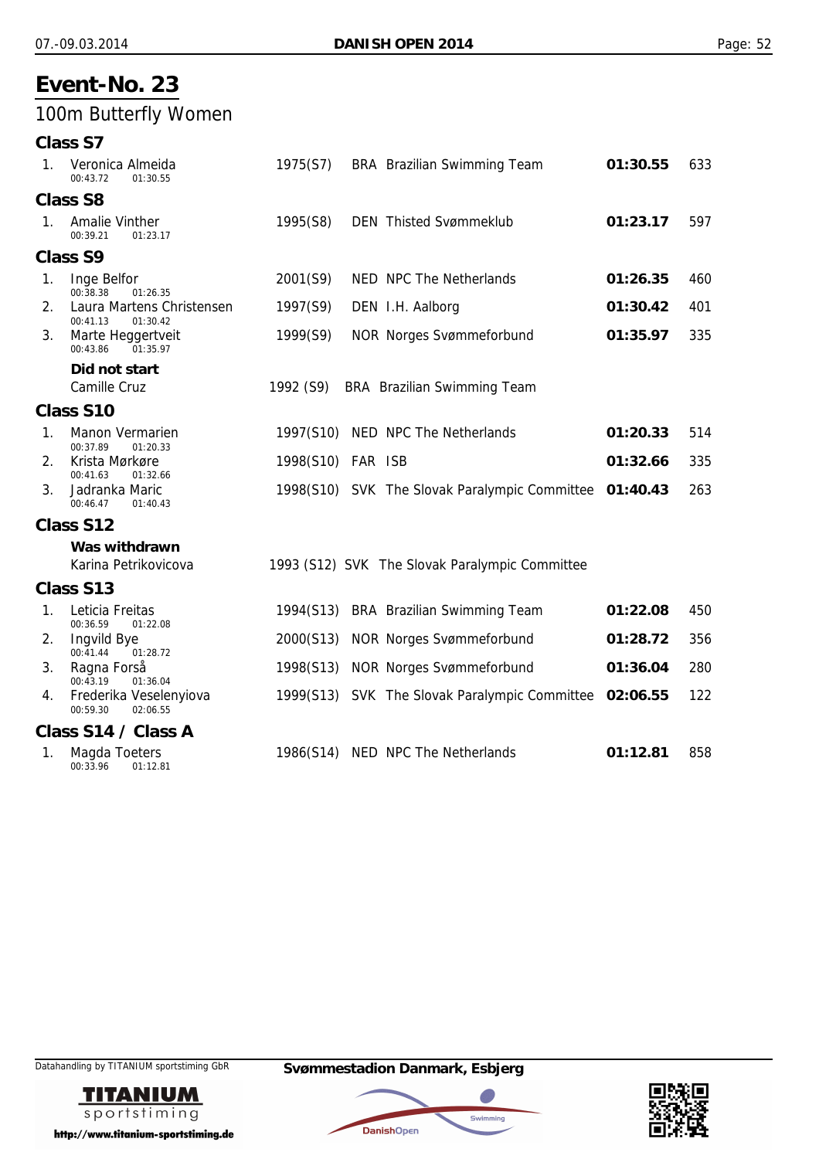## 100m Butterfly Women

| 1. | Veronica Almeida<br>00:43.72<br>01:30.55          | 1975(S7)          | <b>BRA</b> Brazilian Swimming Team                     | 01:30.55 | 633 |
|----|---------------------------------------------------|-------------------|--------------------------------------------------------|----------|-----|
|    | <b>Class S8</b>                                   |                   |                                                        |          |     |
| 1. | Amalie Vinther<br>00:39.21<br>01:23.17            | 1995(S8)          | <b>DEN</b> Thisted Svømmeklub                          | 01:23.17 | 597 |
|    | <b>Class S9</b>                                   |                   |                                                        |          |     |
| 1. | Inge Belfor<br>00:38.38<br>01:26.35               | 2001(S9)          | NED NPC The Netherlands                                | 01:26.35 | 460 |
| 2. | Laura Martens Christensen<br>00:41.13<br>01:30.42 | 1997(S9)          | DEN I.H. Aalborg                                       | 01:30.42 | 401 |
| 3. | Marte Heggertveit<br>00:43.86<br>01:35.97         | 1999(S9)          | <b>NOR Norges Svømmeforbund</b>                        | 01:35.97 | 335 |
|    | Did not start                                     |                   |                                                        |          |     |
|    | Camille Cruz                                      | 1992 (S9)         | BRA Brazilian Swimming Team                            |          |     |
|    | Class S10                                         |                   |                                                        |          |     |
| 1. | Manon Vermarien<br>00:37.89<br>01:20.33           | 1997(S10)         | NED NPC The Netherlands                                | 01:20.33 | 514 |
| 2. | Krista Mørkøre<br>00:41.63<br>01:32.66            | 1998(S10) FAR ISB |                                                        | 01:32.66 | 335 |
| 3. | Jadranka Maric<br>00:46.47<br>01:40.43            |                   | 1998(S10) SVK The Slovak Paralympic Committee 01:40.43 |          | 263 |
|    | Class S12                                         |                   |                                                        |          |     |
|    | Was withdrawn                                     |                   |                                                        |          |     |
|    | Karina Petrikovicova                              |                   | 1993 (S12) SVK The Slovak Paralympic Committee         |          |     |
|    | Class S13                                         |                   |                                                        |          |     |
| 1. | Leticia Freitas<br>00:36.59<br>01:22.08           | 1994(S13)         | <b>BRA</b> Brazilian Swimming Team                     | 01:22.08 | 450 |
| 2. | <b>Ingvild Bye</b><br>00:41.44<br>01:28.72        | 2000(S13)         | <b>NOR Norges Svømmeforbund</b>                        | 01:28.72 | 356 |
| 3. | Ragna Forså<br>01:36.04<br>00:43.19               | 1998(S13)         | <b>NOR Norges Svømmeforbund</b>                        | 01:36.04 | 280 |
| 4. | Frederika Veselenyiova<br>00:59.30<br>02:06.55    |                   | 1999(S13) SVK The Slovak Paralympic Committee          | 02:06.55 | 122 |
|    | Class S14 / Class A                               |                   |                                                        |          |     |
| 1. | Magda Toeters<br>00:33.96<br>01:12.81             | 1986(S14)         | NED NPC The Netherlands                                | 01:12.81 | 858 |





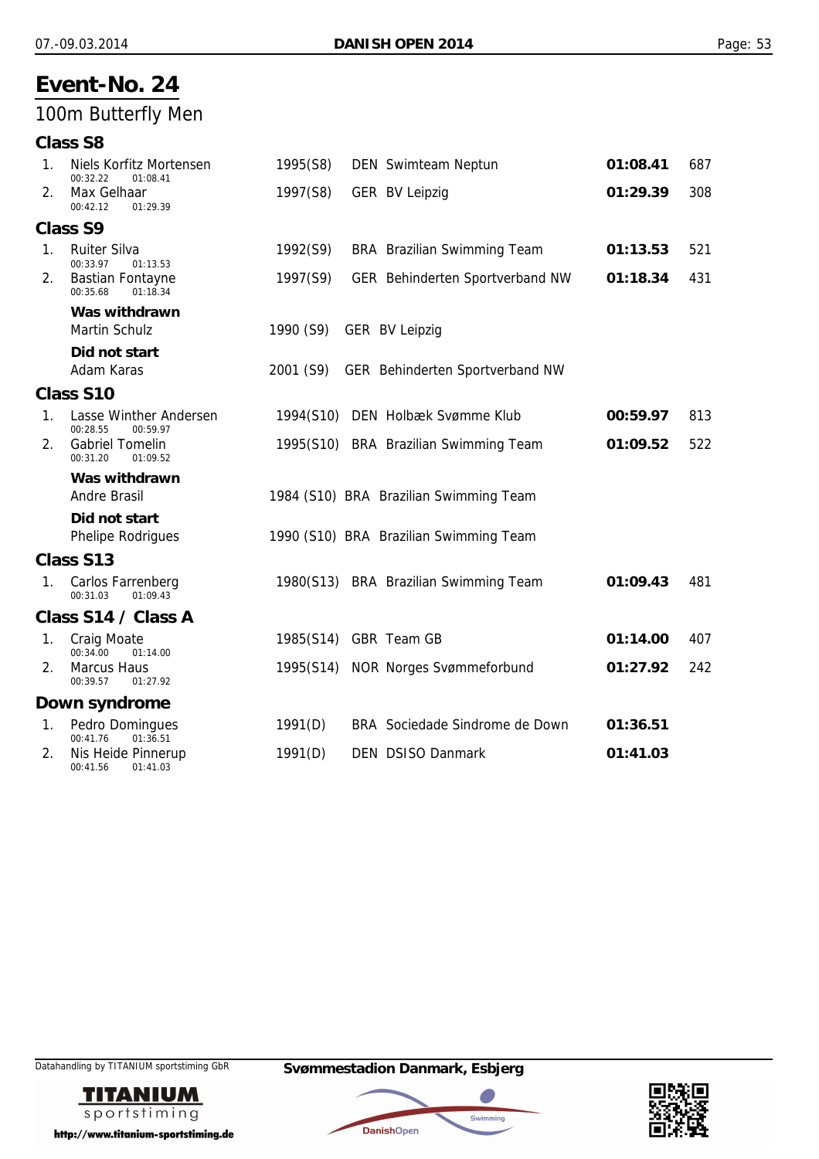## 100m Butterfly Men

| <b>Class S8</b> |  |
|-----------------|--|
|-----------------|--|

| 1.             | Niels Korfitz Mortensen<br>00:32.22<br>01:08.41 | 1995(S8)  | DEN Swimteam Neptun                    | 01:08.41 | 687 |
|----------------|-------------------------------------------------|-----------|----------------------------------------|----------|-----|
| 2.             | Max Gelhaar<br>00:42.12<br>01:29.39             | 1997(S8)  | <b>GER BV Leipzig</b>                  | 01:29.39 | 308 |
|                | <b>Class S9</b>                                 |           |                                        |          |     |
| 1.             | <b>Ruiter Silva</b><br>00:33.97<br>01:13.53     | 1992(S9)  | <b>BRA</b> Brazilian Swimming Team     | 01:13.53 | 521 |
| 2.             | <b>Bastian Fontayne</b><br>00:35.68<br>01:18.34 | 1997(S9)  | GER Behinderten Sportverband NW        | 01:18.34 | 431 |
|                | Was withdrawn                                   |           |                                        |          |     |
|                | <b>Martin Schulz</b>                            | 1990 (S9) | <b>GER BV Leipzig</b>                  |          |     |
|                | Did not start                                   |           |                                        |          |     |
|                | Adam Karas                                      | 2001 (S9) | GER Behinderten Sportverband NW        |          |     |
|                | Class S10                                       |           |                                        |          |     |
| 1.             | Lasse Winther Andersen<br>00:28.55<br>00:59.97  |           | 1994(S10) DEN Holbæk Svømme Klub       | 00:59.97 | 813 |
| 2.             | <b>Gabriel Tomelin</b><br>00:31.20<br>01:09.52  |           | 1995(S10) BRA Brazilian Swimming Team  | 01:09.52 | 522 |
|                | Was withdrawn                                   |           |                                        |          |     |
|                | <b>Andre Brasil</b>                             |           | 1984 (S10) BRA Brazilian Swimming Team |          |     |
|                | Did not start                                   |           |                                        |          |     |
|                | <b>Phelipe Rodrigues</b>                        |           | 1990 (S10) BRA Brazilian Swimming Team |          |     |
|                | Class S13                                       |           |                                        |          |     |
| 1 <sub>1</sub> | Carlos Farrenberg<br>00:31.03<br>01:09.43       |           | 1980(S13) BRA Brazilian Swimming Team  | 01:09.43 | 481 |
|                | Class S14 / Class A                             |           |                                        |          |     |
| 1.             | <b>Craig Moate</b><br>00:34.00<br>01:14.00      |           | 1985(S14) GBR Team GB                  | 01:14.00 | 407 |
| 2.             | <b>Marcus Haus</b><br>00:39.57<br>01:27.92      |           | 1995(S14) NOR Norges Svømmeforbund     | 01:27.92 | 242 |
|                | Down syndrome                                   |           |                                        |          |     |
| 1.             | Pedro Domingues<br>00:41.76<br>01:36.51         | 1991(D)   | BRA Sociedade Sindrome de Down         | 01:36.51 |     |
| 2.             | Nis Heide Pinnerup<br>00:41.56<br>01:41.03      | 1991(D)   | <b>DEN DSISO Danmark</b>               | 01:41.03 |     |





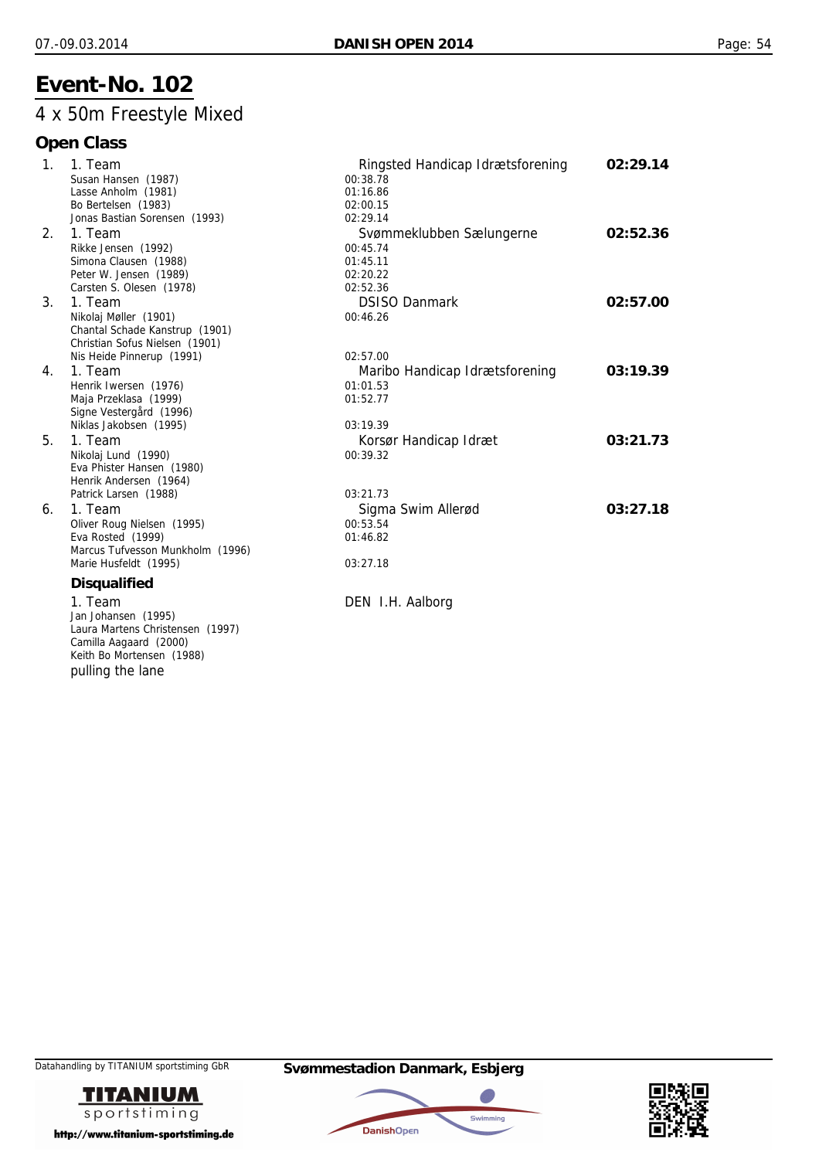## 4 x 50m Freestyle Mixed

| 1 <sub>1</sub> | 1. Team                          | Ringsted Handicap Idrætsforening | 02:29.14 |
|----------------|----------------------------------|----------------------------------|----------|
|                | Susan Hansen (1987)              | 00:38.78                         |          |
|                | Lasse Anholm (1981)              | 01:16.86                         |          |
|                | Bo Bertelsen (1983)              | 02:00.15                         |          |
|                | Jonas Bastian Sorensen (1993)    | 02:29.14                         |          |
| 2.             | 1. Team                          | Svømmeklubben Sælungerne         | 02:52.36 |
|                | Rikke Jensen (1992)              | 00:45.74                         |          |
|                | Simona Clausen (1988)            | 01:45.11                         |          |
|                | Peter W. Jensen (1989)           | 02:20.22                         |          |
|                | Carsten S. Olesen (1978)         | 02:52.36                         |          |
| 3 <sub>1</sub> | 1. Team                          | <b>DSISO Danmark</b>             | 02:57.00 |
|                | Nikolaj Møller (1901)            | 00:46.26                         |          |
|                | Chantal Schade Kanstrup (1901)   |                                  |          |
|                | Christian Sofus Nielsen (1901)   |                                  |          |
|                | Nis Heide Pinnerup (1991)        | 02:57.00                         |          |
| 4.             | 1. Team                          | Maribo Handicap Idrætsforening   | 03:19.39 |
|                | Henrik Iwersen (1976)            | 01:01.53                         |          |
|                | Maja Przeklasa (1999)            | 01:52.77                         |          |
|                | Signe Vestergård (1996)          |                                  |          |
|                | Niklas Jakobsen (1995)           | 03:19.39                         |          |
| 5.             | 1. Team                          | Korsør Handicap Idræt            | 03:21.73 |
|                | Nikolaj Lund (1990)              | 00:39.32                         |          |
|                | Eva Phister Hansen (1980)        |                                  |          |
|                | Henrik Andersen (1964)           |                                  |          |
|                | Patrick Larsen (1988)            | 03:21.73                         |          |
| 6.             | 1. Team                          | Sigma Swim Allerød               | 03:27.18 |
|                | Oliver Roug Nielsen (1995)       | 00:53.54                         |          |
|                | Eva Rosted (1999)                | 01:46.82                         |          |
|                | Marcus Tufvesson Munkholm (1996) |                                  |          |
|                | Marie Husfeldt (1995)            | 03:27.18                         |          |
|                | <b>Disqualified</b>              |                                  |          |
|                | 1. Team                          | DEN I.H. Aalborg                 |          |
|                | Jan Johansen (1995)              |                                  |          |
|                | Laura Martens Christensen (1997) |                                  |          |
|                | Camilla Aagaard (2000)           |                                  |          |
|                | Keith Bo Mortensen (1988)        |                                  |          |
|                | pulling the lane                 |                                  |          |
|                |                                  |                                  |          |





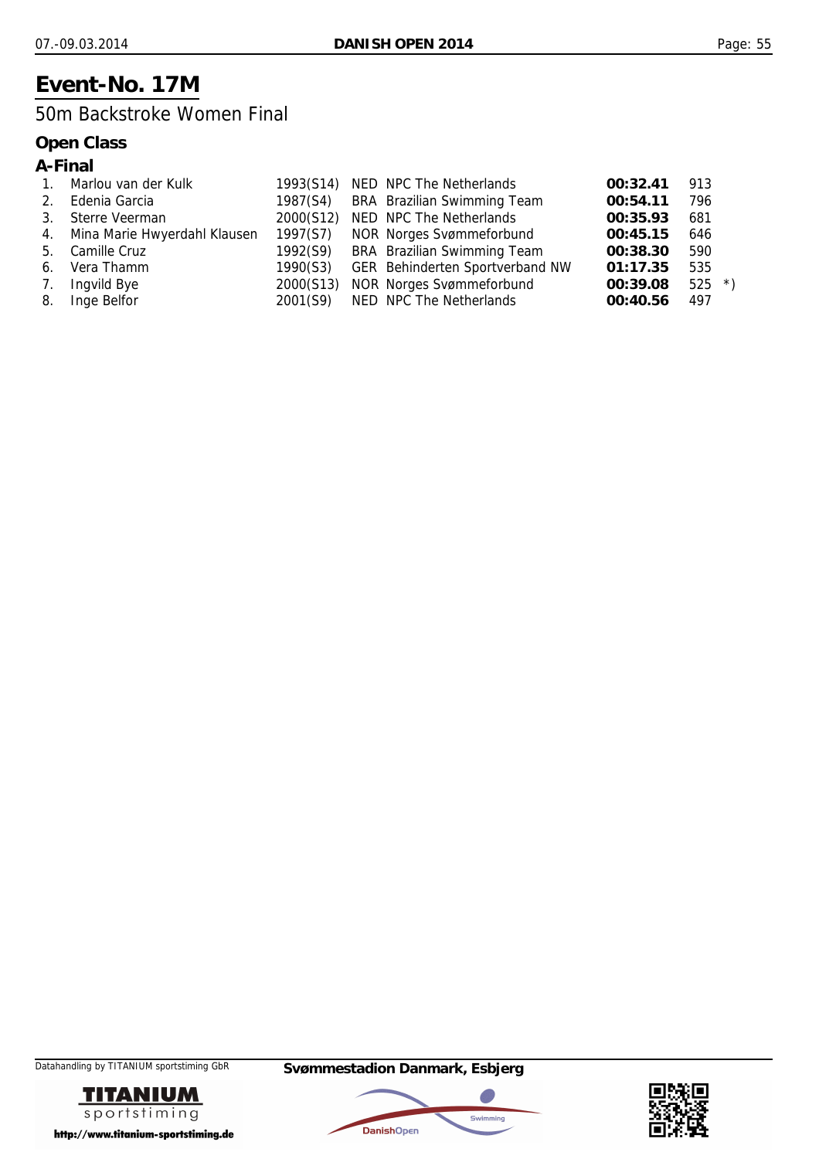## **Event-No. 17M**

### 50m Backstroke Women Final

|    | A-Final                      |           |                                 |          |         |  |
|----|------------------------------|-----------|---------------------------------|----------|---------|--|
|    | Marlou van der Kulk          | 1993(S14) | NED NPC The Netherlands         | 00:32.41 | 913     |  |
| 2. | Edenia Garcia                | 1987(S4)  | BRA Brazilian Swimming Team     | 00:54.11 | 796     |  |
| 3. | Sterre Veerman               | 2000(S12) | NED NPC The Netherlands         | 00:35.93 | 681     |  |
| 4. | Mina Marie Hwyerdahl Klausen | 1997(S7)  | NOR Norges Svømmeforbund        | 00:45.15 | 646     |  |
| 5. | Camille Cruz                 | 1992(S9)  | BRA Brazilian Swimming Team     | 00:38.30 | 590     |  |
| 6. | Vera Thamm                   | 1990(S3)  | GER Behinderten Sportverband NW | 01:17.35 | 535     |  |
| 7. | Ingvild Bye                  | 2000(S13) | <b>NOR Norges Svømmeforbund</b> | 00:39.08 | $525 *$ |  |
| 8. | Inge Belfor                  | 2001(S9)  | NED NPC The Netherlands         | 00:40.56 | 497     |  |





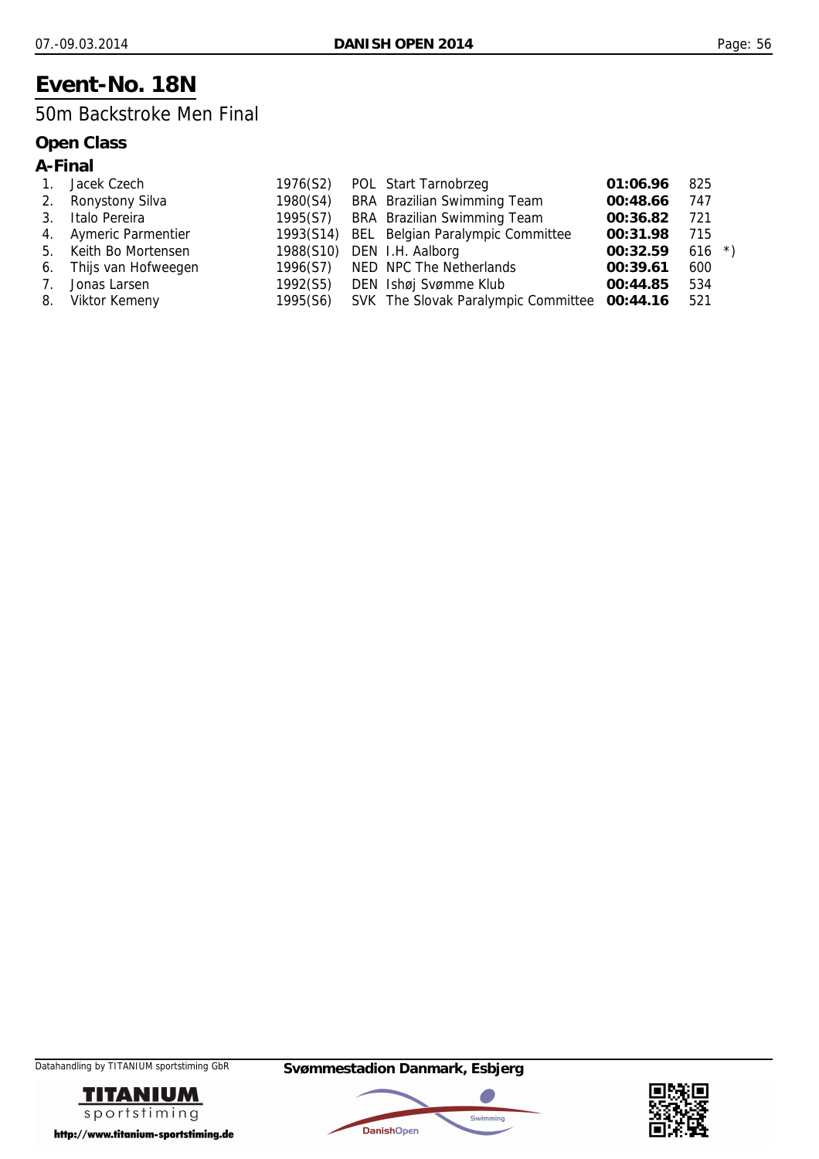## **Event-No. 18N**

### 50m Backstroke Men Final

### **Open Class**

### **A-Final**

| $\mathbf{1}$ . | Jacek Czech            | 1976(S2) | POL Start Tarnobrzeg                         | 01:06.96 | 825       |  |
|----------------|------------------------|----------|----------------------------------------------|----------|-----------|--|
| 2.             | Ronystony Silva        |          | 1980(S4) BRA Brazilian Swimming Team         | 00:48.66 | 747       |  |
| 3.             | Italo Pereira          |          | 1995(S7) BRA Brazilian Swimming Team         | 00:36.82 | 721       |  |
|                | 4. Aymeric Parmentier  |          | 1993(S14) BEL Belgian Paralympic Committee   | 00:31.98 | 715       |  |
|                | 5. Keith Bo Mortensen  |          | 1988(S10) DEN I.H. Aalborg                   | 00:32.59 | 616 $*$ ) |  |
|                | 6. Thijs van Hofweegen |          | 1996(S7) NED NPC The Netherlands             | 00:39.61 | 600       |  |
| 7.             | Jonas Larsen           | 1992(S5) | DEN Ishøj Svømme Klub                        | 00:44.85 | 534       |  |
| 8.             | Viktor Kemeny          | 1995(S6) | SVK The Slovak Paralympic Committee 00:44.16 |          | 521       |  |





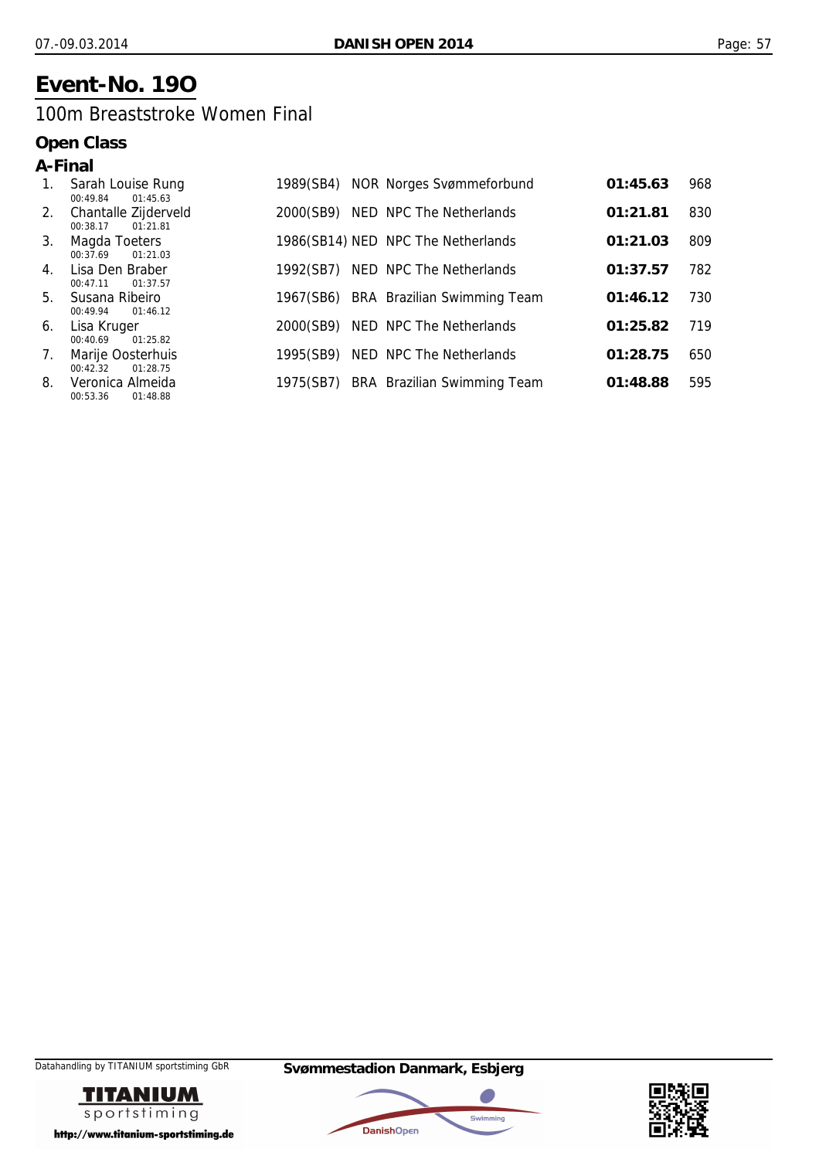## **Event-No. 19O**

### 100m Breaststroke Women Final

| A-Final        |                                              |           |                                    |          |     |
|----------------|----------------------------------------------|-----------|------------------------------------|----------|-----|
| 1.             | Sarah Louise Rung<br>01:45.63<br>00:49.84    | 1989(SB4) | <b>NOR Norges Svømmeforbund</b>    | 01:45.63 | 968 |
| 2.             | Chantalle Zijderveld<br>01:21.81<br>00:38.17 | 2000(SB9) | NED NPC The Netherlands            | 01:21.81 | 830 |
| 3.             | Magda Toeters<br>00:37.69<br>01:21.03        |           | 1986(SB14) NED NPC The Netherlands | 01:21.03 | 809 |
| $\mathbf{4}$ . | Lisa Den Braber<br>00:47.11<br>01:37.57      | 1992(SB7) | NED NPC The Netherlands            | 01:37.57 | 782 |
| 5.             | Susana Ribeiro<br>01:46.12<br>00:49.94       | 1967(SB6) | <b>BRA</b> Brazilian Swimming Team | 01:46.12 | 730 |
| 6.             | Lisa Kruger<br>00:40.69<br>01:25.82          | 2000(SB9) | NED NPC The Netherlands            | 01:25.82 | 719 |
| 7.             | Marije Oosterhuis<br>00:42.32<br>01:28.75    | 1995(SB9) | NED NPC The Netherlands            | 01:28.75 | 650 |
| 8.             | Veronica Almeida<br>00:53.36<br>01:48.88     | 1975(SB7) | BRA Brazilian Swimming Team        | 01:48.88 | 595 |





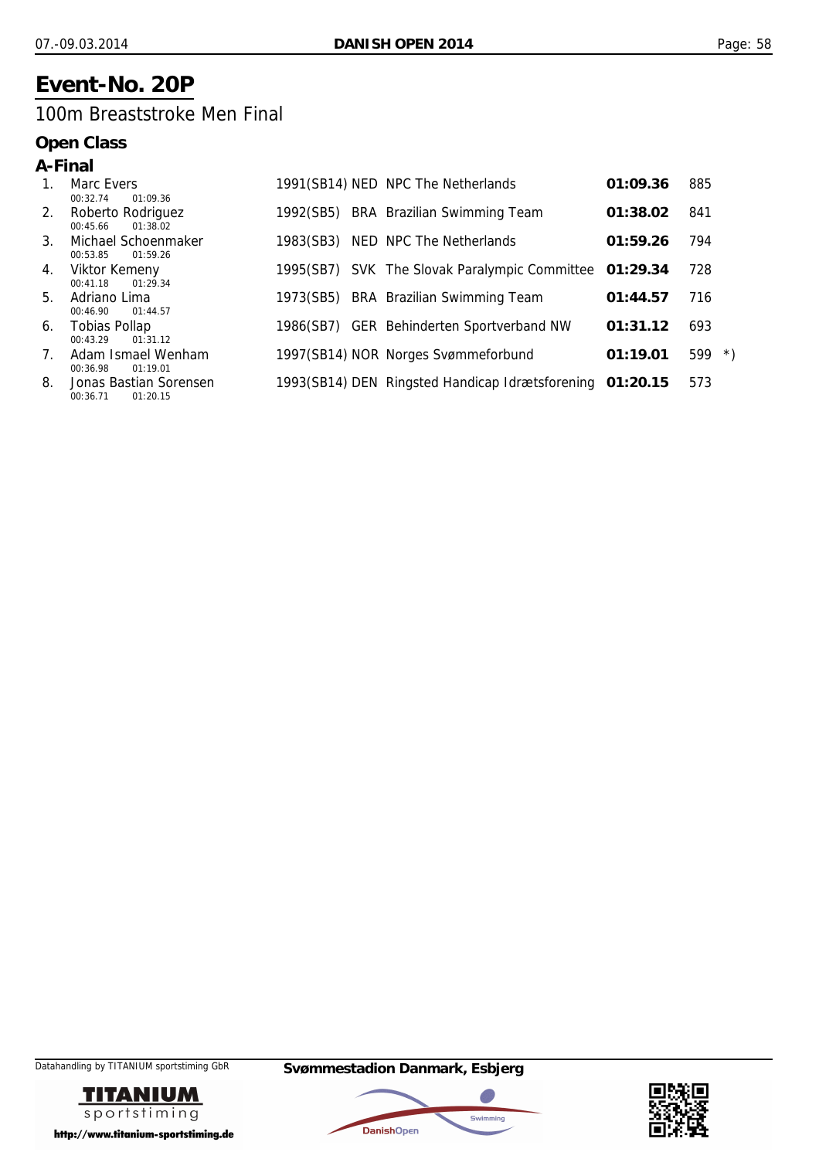## **Event-No. 20P**

### 100m Breaststroke Men Final

|                                 | A-Final                                        |           |                                                          |          |                  |
|---------------------------------|------------------------------------------------|-----------|----------------------------------------------------------|----------|------------------|
| $1_{-}$                         | Marc Evers<br>00:32.74<br>01:09.36             |           | 1991(SB14) NED NPC The Netherlands                       | 01:09.36 | 885              |
| 2.                              | Roberto Rodriguez<br>01:38.02<br>00:45.66      |           | 1992(SB5) BRA Brazilian Swimming Team                    | 01:38.02 | 841              |
| 3 <sub>1</sub>                  | Michael Schoenmaker<br>01:59.26<br>00:53.85    | 1983(SB3) | NED NPC The Netherlands                                  | 01:59.26 | 794              |
| 4.                              | Viktor Kemeny<br>01:29.34<br>00:41.18          |           | 1995(SB7) SVK The Slovak Paralympic Committee 01:29.34   |          | 728              |
| 5.                              | Adriano Lima<br>01:44.57<br>00:46.90           |           | 1973(SB5) BRA Brazilian Swimming Team                    | 01:44.57 | 716              |
| 6.                              | <b>Tobias Pollap</b><br>00:43.29<br>01:31.12   |           | 1986(SB7) GER Behinderten Sportverband NW                | 01:31.12 | 693              |
| $7_{\scriptscriptstyle{\circ}}$ | Adam Ismael Wenham<br>00:36.98<br>01:19.01     |           | 1997(SB14) NOR Norges Svømmeforbund                      | 01:19.01 | 599<br>$\lambda$ |
| 8.                              | Jonas Bastian Sorensen<br>01:20.15<br>00:36.71 |           | 1993(SB14) DEN Ringsted Handicap Idrætsforening 01:20.15 |          | 573              |





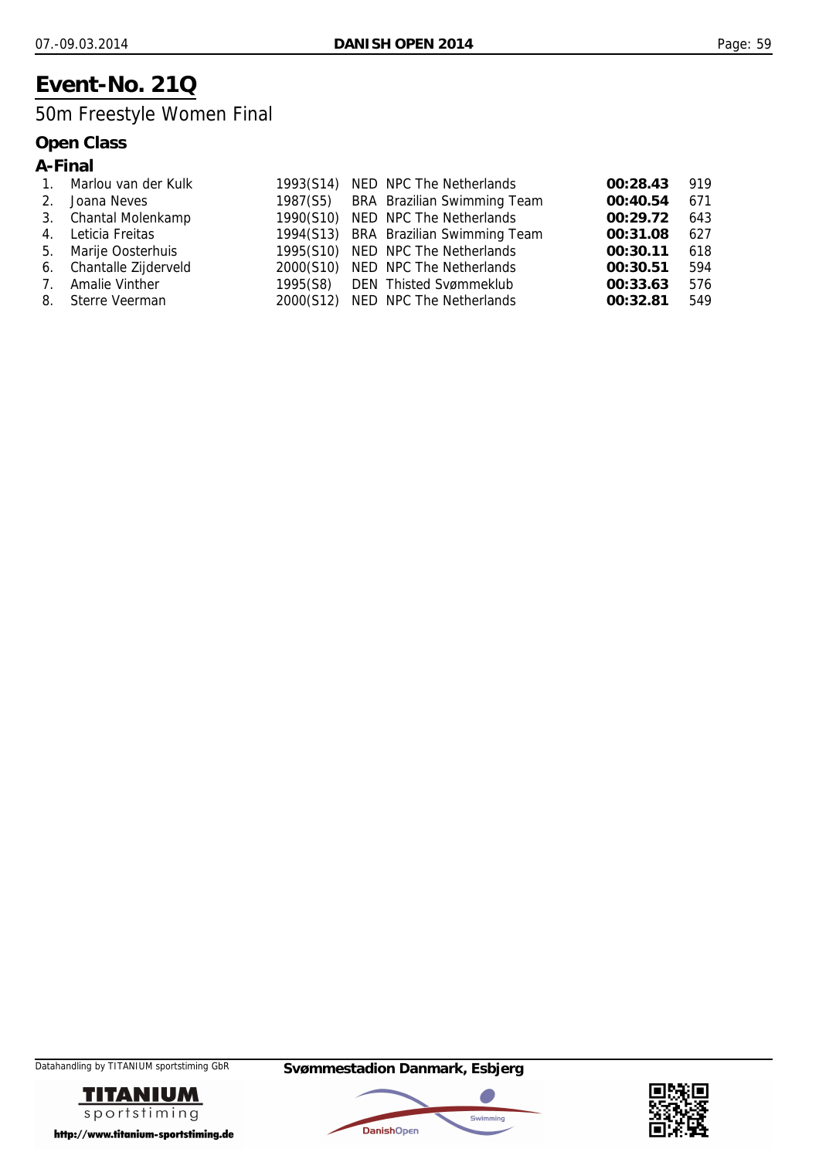## **Event-No. 21Q**

## 50m Freestyle Women Final

|    | A-Final               |           |                                       |          |     |
|----|-----------------------|-----------|---------------------------------------|----------|-----|
|    | Marlou van der Kulk   | 1993(S14) | NED NPC The Netherlands               | 00:28.43 | 919 |
| 2. | Joana Neves           |           | 1987(S5) BRA Brazilian Swimming Team  | 00:40.54 | 671 |
|    | 3. Chantal Molenkamp  |           | 1990(S10) NED NPC The Netherlands     | 00:29.72 | 643 |
| 4. | Leticia Freitas       |           | 1994(S13) BRA Brazilian Swimming Team | 00:31.08 | 627 |
| 5. | Marije Oosterhuis     |           | 1995(S10) NED NPC The Netherlands     | 00:30.11 | 618 |
| 6. | Chantalle Zijderveld  |           | 2000(S10) NED NPC The Netherlands     | 00:30.51 | 594 |
| 7. | <b>Amalie Vinther</b> |           | 1995(S8) DEN Thisted Svømmeklub       | 00:33.63 | 576 |
|    | 8. Sterre Veerman     |           | 2000(S12) NED NPC The Netherlands     | 00:32.81 | 549 |





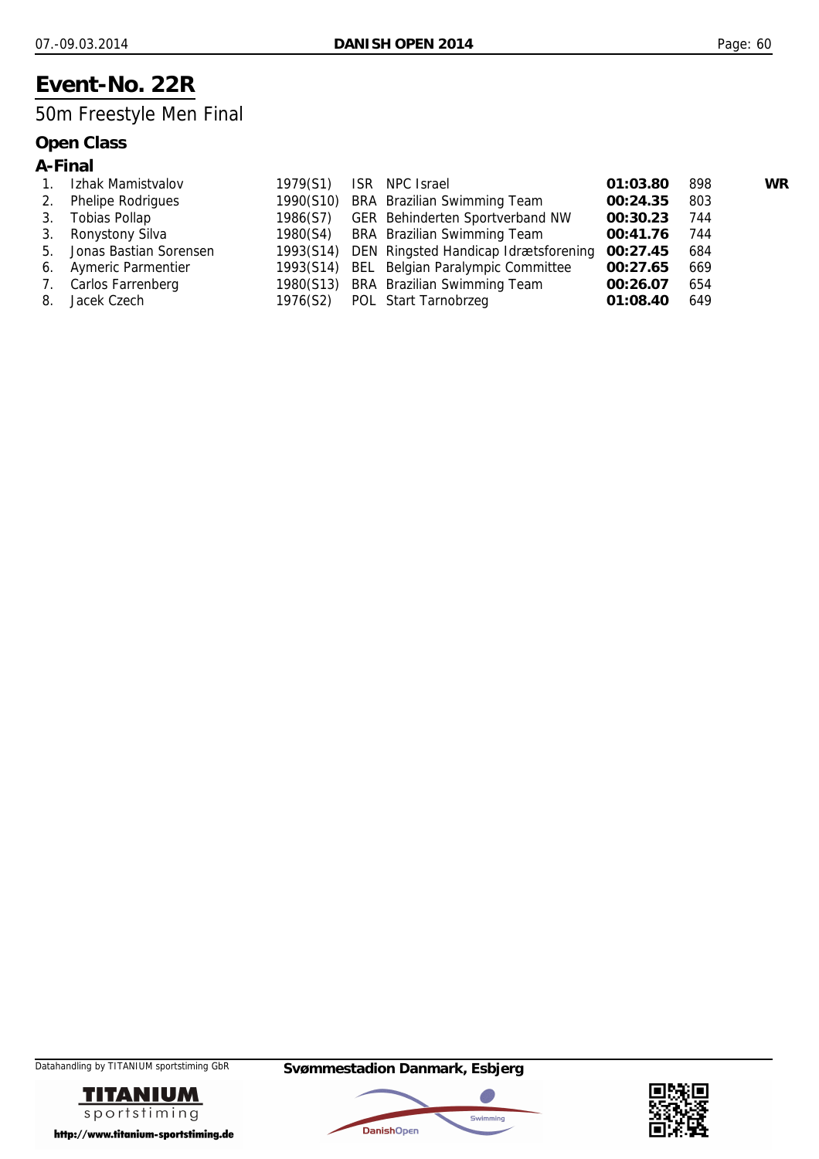## **Event-No. 22R**

## 50m Freestyle Men Final

|  | ın<br>п.<br>и |
|--|---------------|
|--|---------------|

| $1_{\cdot}$ | Izhak Mamistvalov         | 1979(S1) | ISR NPC Israel                                 | 01:03.80 | 898 | <b>WR</b> |
|-------------|---------------------------|----------|------------------------------------------------|----------|-----|-----------|
| 2.          | <b>Phelipe Rodrigues</b>  |          | 1990(S10) BRA Brazilian Swimming Team          | 00:24.35 | 803 |           |
| 3.          | Tobias Pollap             |          | 1986(S7) GER Behinderten Sportverband NW       | 00:30.23 | 744 |           |
|             | 3. Ronystony Silva        |          | 1980(S4) BRA Brazilian Swimming Team           | 00:41.76 | 744 |           |
|             | 5. Jonas Bastian Sorensen |          | 1993(S14) DEN Ringsted Handicap Idrætsforening | 00:27.45 | 684 |           |
|             | 6. Aymeric Parmentier     |          | 1993(S14) BEL Belgian Paralympic Committee     | 00:27.65 | 669 |           |
| 7.          | Carlos Farrenberg         |          | 1980(S13) BRA Brazilian Swimming Team          | 00:26.07 | 654 |           |
| 8.          | Jacek Czech               |          | 1976(S2) POL Start Tarnobrzeg                  | 01:08.40 | 649 |           |





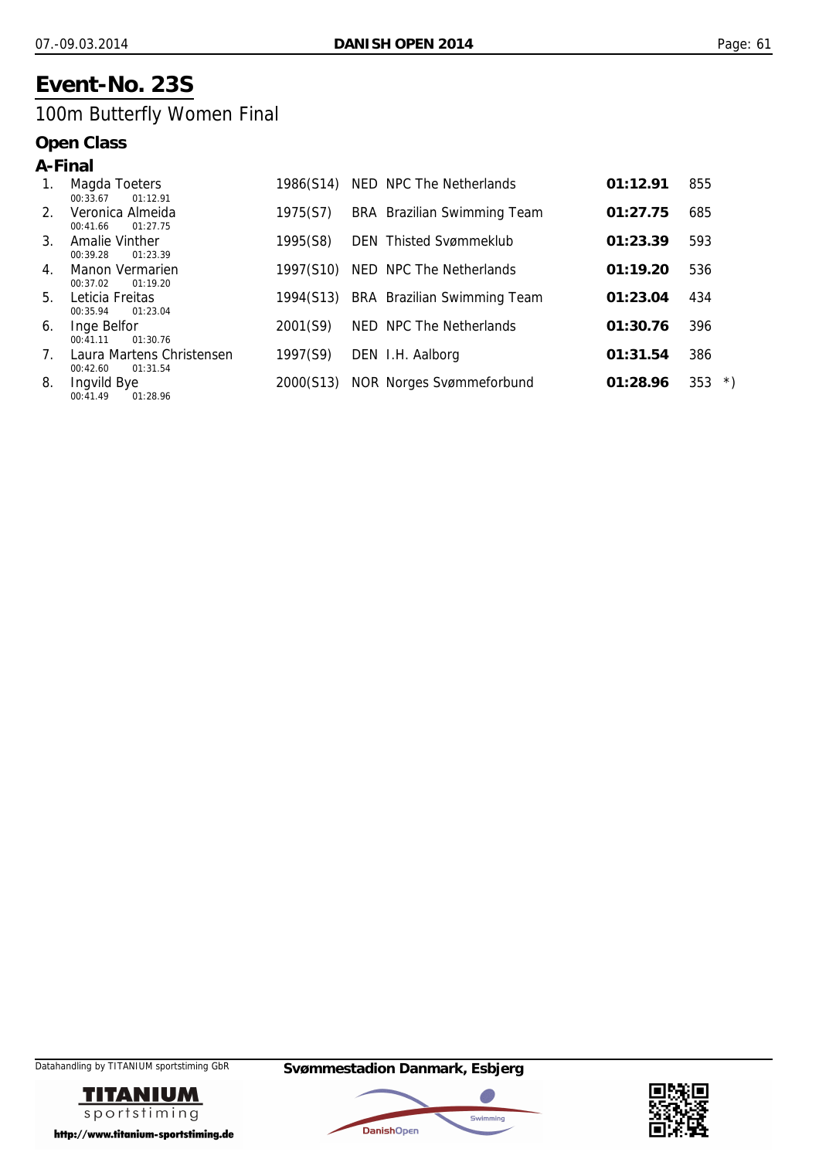## **Event-No. 23S**

## 100m Butterfly Women Final

|         | A-Final                                                     |           |                                    |          |                      |
|---------|-------------------------------------------------------------|-----------|------------------------------------|----------|----------------------|
| 1.      | Magda Toeters<br>00:33.67<br>01:12.91                       | 1986(S14) | NED NPC The Netherlands            | 01:12.91 | 855                  |
| $2_{1}$ | Veronica Almeida<br>00:41.66<br>01:27.75                    | 1975(S7)  | BRA Brazilian Swimming Team        | 01:27.75 | 685                  |
| $3_{-}$ | <b>Amalie Vinther</b><br>00:39.28<br>01:23.39               | 1995(S8)  | <b>DEN</b> Thisted Svømmeklub      | 01:23.39 | 593                  |
| 4.      | Manon Vermarien<br>00:37.02<br>01:19.20                     | 1997(S10) | NED NPC The Netherlands            | 01:19.20 | 536                  |
| 5.      | Leticia Freitas<br>01:23.04<br>00:35.94                     | 1994(S13) | <b>BRA</b> Brazilian Swimming Team | 01:23.04 | 434                  |
| 6.      | Inge Belfor<br>00:41.11<br>01:30.76                         | 2001(S9)  | NED NPC The Netherlands            | 01:30.76 | 396                  |
| 7.      | Laura Martens Christensen                                   | 1997(S9)  | DEN I.H. Aalborg                   | 01:31.54 | 386                  |
| 8.      | 00:42.60<br>01:31.54<br>Ingvild Bye<br>00:41.49<br>01:28.96 | 2000(S13) | <b>NOR Norges Svømmeforbund</b>    | 01:28.96 | 353<br>$\rightarrow$ |